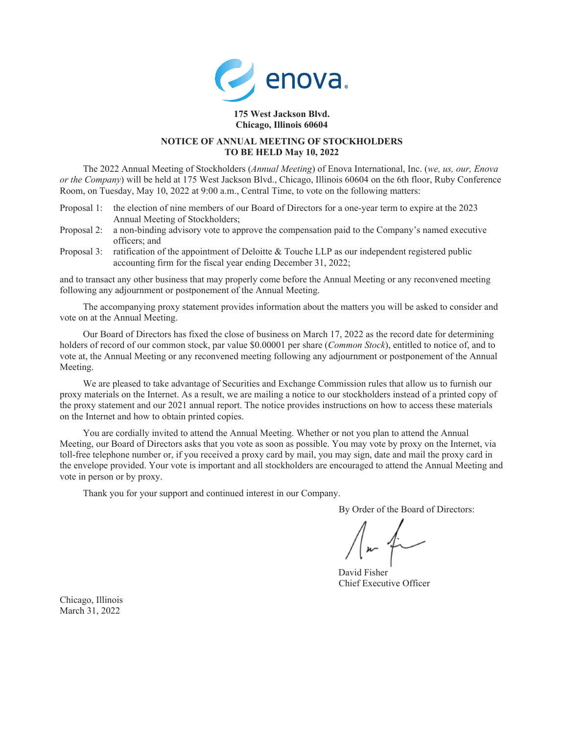

## **175 West Jackson Blvd. Chicago, Illinois 60604**

# **NOTICE OF ANNUAL MEETING OF STOCKHOLDERS TO BE HELD May 10, 2022**

The 2022 Annual Meeting of Stockholders (*Annual Meeting*) of Enova International, Inc. (*we, us, our, Enova or the Company*) will be held at 175 West Jackson Blvd., Chicago, Illinois 60604 on the 6th floor, Ruby Conference Room, on Tuesday, May 10, 2022 at 9:00 a.m., Central Time, to vote on the following matters:

- Proposal 1: the election of nine members of our Board of Directors for a one-year term to expire at the 2023 Annual Meeting of Stockholders;
- Proposal 2: a non-binding advisory vote to approve the compensation paid to the Company's named executive officers; and
- Proposal 3: ratification of the appointment of Deloitte & Touche LLP as our independent registered public accounting firm for the fiscal year ending December 31, 2022;

and to transact any other business that may properly come before the Annual Meeting or any reconvened meeting following any adjournment or postponement of the Annual Meeting.

The accompanying proxy statement provides information about the matters you will be asked to consider and vote on at the Annual Meeting.

Our Board of Directors has fixed the close of business on March 17, 2022 as the record date for determining holders of record of our common stock, par value \$0.00001 per share (*Common Stock*), entitled to notice of, and to vote at, the Annual Meeting or any reconvened meeting following any adjournment or postponement of the Annual Meeting.

We are pleased to take advantage of Securities and Exchange Commission rules that allow us to furnish our proxy materials on the Internet. As a result, we are mailing a notice to our stockholders instead of a printed copy of the proxy statement and our 2021 annual report. The notice provides instructions on how to access these materials on the Internet and how to obtain printed copies.

You are cordially invited to attend the Annual Meeting. Whether or not you plan to attend the Annual Meeting, our Board of Directors asks that you vote as soon as possible. You may vote by proxy on the Internet, via toll-free telephone number or, if you received a proxy card by mail, you may sign, date and mail the proxy card in the envelope provided. Your vote is important and all stockholders are encouraged to attend the Annual Meeting and vote in person or by proxy.

Thank you for your support and continued interest in our Company.

By Order of the Board of Directors:

David Fisher Chief Executive Officer

Chicago, Illinois March 31, 2022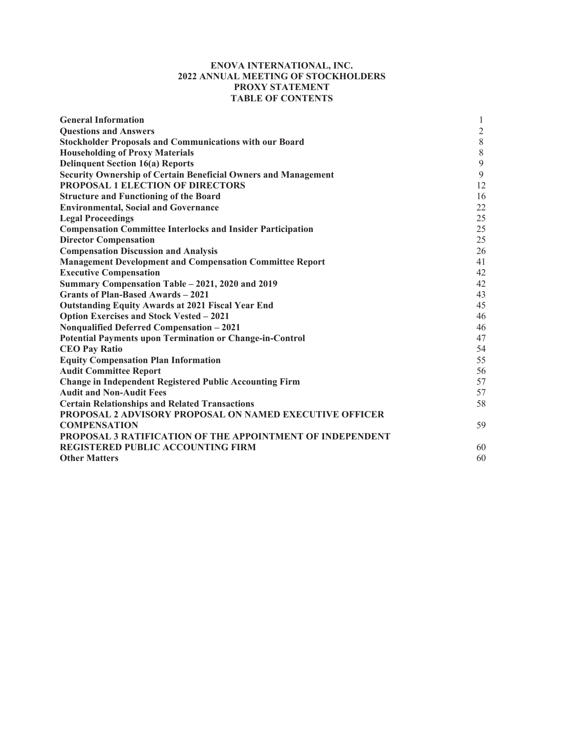# **ENOVA INTERNATIONAL, INC. 2022 ANNUAL MEETING OF STOCKHOLDERS PROXY STATEMENT TABLE OF CONTENTS**

| <b>General Information</b>                                            | 1              |
|-----------------------------------------------------------------------|----------------|
| <b>Questions and Answers</b>                                          | $\overline{2}$ |
| <b>Stockholder Proposals and Communications with our Board</b>        | $\,8\,$        |
| <b>Householding of Proxy Materials</b>                                | $\,8\,$        |
| <b>Delinquent Section 16(a) Reports</b>                               | 9              |
| <b>Security Ownership of Certain Beneficial Owners and Management</b> | 9              |
| PROPOSAL 1 ELECTION OF DIRECTORS                                      | 12             |
| <b>Structure and Functioning of the Board</b>                         | 16             |
| <b>Environmental, Social and Governance</b>                           | 22             |
| <b>Legal Proceedings</b>                                              | 25             |
| <b>Compensation Committee Interlocks and Insider Participation</b>    | 25             |
| <b>Director Compensation</b>                                          | 25             |
| <b>Compensation Discussion and Analysis</b>                           | 26             |
| <b>Management Development and Compensation Committee Report</b>       | 41             |
| <b>Executive Compensation</b>                                         | 42             |
| Summary Compensation Table – 2021, 2020 and 2019                      | 42             |
| <b>Grants of Plan-Based Awards - 2021</b>                             | 43             |
| <b>Outstanding Equity Awards at 2021 Fiscal Year End</b>              | 45             |
| <b>Option Exercises and Stock Vested - 2021</b>                       | 46             |
| Nonqualified Deferred Compensation - 2021                             | 46             |
| <b>Potential Payments upon Termination or Change-in-Control</b>       | 47             |
| <b>CEO Pay Ratio</b>                                                  | 54             |
| <b>Equity Compensation Plan Information</b>                           | 55             |
| <b>Audit Committee Report</b>                                         | 56             |
| <b>Change in Independent Registered Public Accounting Firm</b>        | 57             |
| <b>Audit and Non-Audit Fees</b>                                       | 57             |
| <b>Certain Relationships and Related Transactions</b>                 | 58             |
| <b>PROPOSAL 2 ADVISORY PROPOSAL ON NAMED EXECUTIVE OFFICER</b>        |                |
| <b>COMPENSATION</b>                                                   | 59             |
| <b>PROPOSAL 3 RATIFICATION OF THE APPOINTMENT OF INDEPENDENT</b>      |                |
| REGISTERED PUBLIC ACCOUNTING FIRM                                     | 60             |
| <b>Other Matters</b>                                                  | 60             |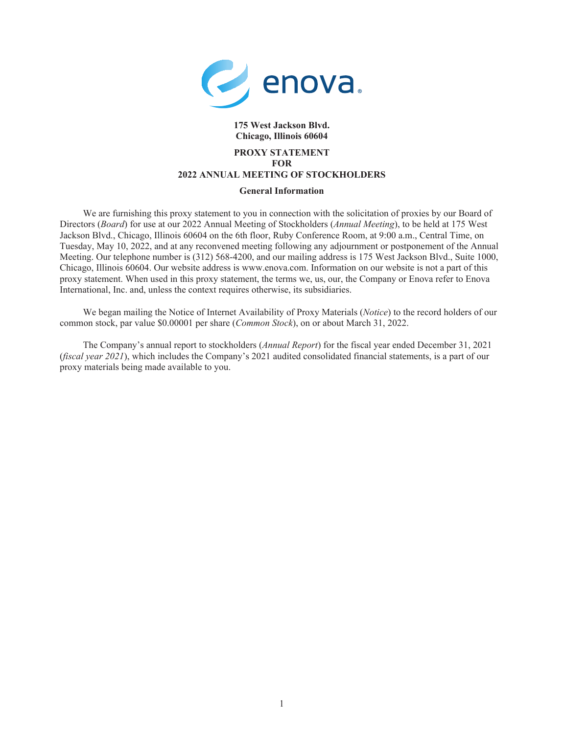

# **175 West Jackson Blvd. Chicago, Illinois 60604**

# **PROXY STATEMENT FOR 2022 ANNUAL MEETING OF STOCKHOLDERS**

## **General Information**

We are furnishing this proxy statement to you in connection with the solicitation of proxies by our Board of Directors (*Board*) for use at our 2022 Annual Meeting of Stockholders (*Annual Meeting*), to be held at 175 West Jackson Blvd., Chicago, Illinois 60604 on the 6th floor, Ruby Conference Room, at 9:00 a.m., Central Time, on Tuesday, May 10, 2022, and at any reconvened meeting following any adjournment or postponement of the Annual Meeting. Our telephone number is (312) 568-4200, and our mailing address is 175 West Jackson Blvd., Suite 1000, Chicago, Illinois 60604. Our website address is www.enova.com. Information on our website is not a part of this proxy statement. When used in this proxy statement, the terms we, us, our, the Company or Enova refer to Enova International, Inc. and, unless the context requires otherwise, its subsidiaries.

We began mailing the Notice of Internet Availability of Proxy Materials (*Notice*) to the record holders of our common stock, par value \$0.00001 per share (*Common Stock*), on or about March 31, 2022.

The Company's annual report to stockholders (*Annual Report*) for the fiscal year ended December 31, 2021 (*fiscal year 2021*), which includes the Company's 2021 audited consolidated financial statements, is a part of our proxy materials being made available to you.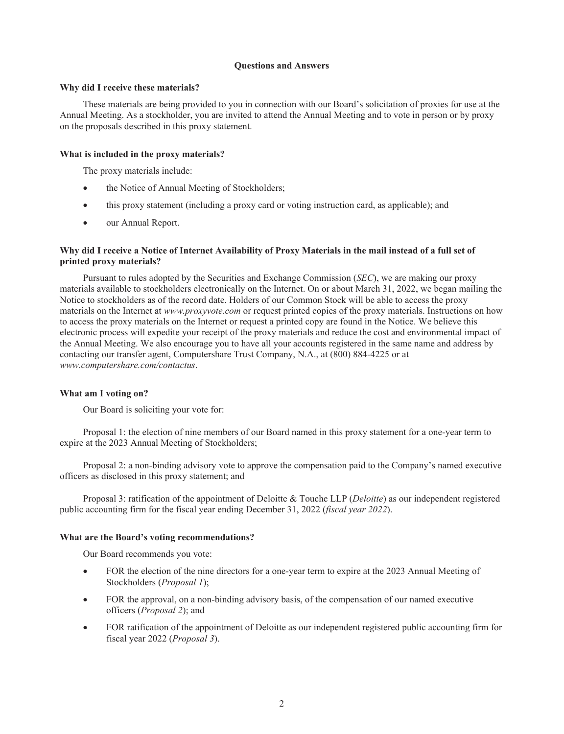## **Questions and Answers**

### **Why did I receive these materials?**

These materials are being provided to you in connection with our Board's solicitation of proxies for use at the Annual Meeting. As a stockholder, you are invited to attend the Annual Meeting and to vote in person or by proxy on the proposals described in this proxy statement.

## **What is included in the proxy materials?**

The proxy materials include:

- the Notice of Annual Meeting of Stockholders;
- this proxy statement (including a proxy card or voting instruction card, as applicable); and
- our Annual Report.

# Why did I receive a Notice of Internet Availability of Proxy Materials in the mail instead of a full set of **printed proxy materials?**

Pursuant to rules adopted by the Securities and Exchange Commission (*SEC*), we are making our proxy materials available to stockholders electronically on the Internet. On or about March 31, 2022, we began mailing the Notice to stockholders as of the record date. Holders of our Common Stock will be able to access the proxy materials on the Internet at *www.proxyvote.com* or request printed copies of the proxy materials. Instructions on how to access the proxy materials on the Internet or request a printed copy are found in the Notice. We believe this electronic process will expedite your receipt of the proxy materials and reduce the cost and environmental impact of the Annual Meeting. We also encourage you to have all your accounts registered in the same name and address by contacting our transfer agent, Computershare Trust Company, N.A., at (800) 884-4225 or at *www.computershare.com/contactus*.

## **What am I voting on?**

Our Board is soliciting your vote for:

Proposal 1: the election of nine members of our Board named in this proxy statement for a one-year term to expire at the 2023 Annual Meeting of Stockholders;

Proposal 2: a non-binding advisory vote to approve the compensation paid to the Company's named executive officers as disclosed in this proxy statement; and

Proposal 3: ratification of the appointment of Deloitte & Touche LLP (*Deloitte*) as our independent registered public accounting firm for the fiscal year ending December 31, 2022 (*fiscal year 2022*).

## **What are the Board's voting recommendations?**

Our Board recommends you vote:

- FOR the election of the nine directors for a one-year term to expire at the 2023 Annual Meeting of Stockholders (*Proposal 1*);
- FOR the approval, on a non-binding advisory basis, of the compensation of our named executive officers (*Proposal 2*); and
- FOR ratification of the appointment of Deloitte as our independent registered public accounting firm for fiscal year 2022 (*Proposal 3*).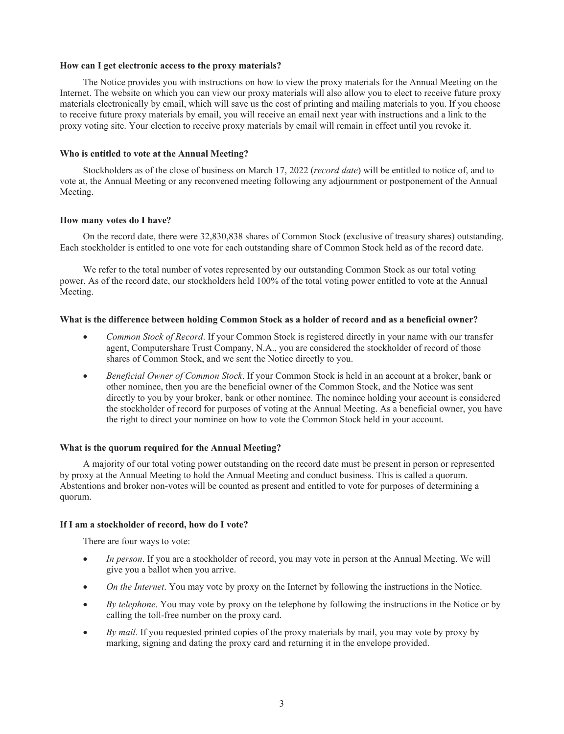## **How can I get electronic access to the proxy materials?**

The Notice provides you with instructions on how to view the proxy materials for the Annual Meeting on the Internet. The website on which you can view our proxy materials will also allow you to elect to receive future proxy materials electronically by email, which will save us the cost of printing and mailing materials to you. If you choose to receive future proxy materials by email, you will receive an email next year with instructions and a link to the proxy voting site. Your election to receive proxy materials by email will remain in effect until you revoke it.

## **Who is entitled to vote at the Annual Meeting?**

Stockholders as of the close of business on March 17, 2022 (*record date*) will be entitled to notice of, and to vote at, the Annual Meeting or any reconvened meeting following any adjournment or postponement of the Annual Meeting.

## **How many votes do I have?**

On the record date, there were 32,830,838 shares of Common Stock (exclusive of treasury shares) outstanding. Each stockholder is entitled to one vote for each outstanding share of Common Stock held as of the record date.

We refer to the total number of votes represented by our outstanding Common Stock as our total voting power. As of the record date, our stockholders held 100% of the total voting power entitled to vote at the Annual Meeting.

## What is the difference between holding Common Stock as a holder of record and as a beneficial owner?

- *Common Stock of Record*. If your Common Stock is registered directly in your name with our transfer agent, Computershare Trust Company, N.A., you are considered the stockholder of record of those shares of Common Stock, and we sent the Notice directly to you.
- *Beneficial Owner of Common Stock*. If your Common Stock is held in an account at a broker, bank or other nominee, then you are the beneficial owner of the Common Stock, and the Notice was sent directly to you by your broker, bank or other nominee. The nominee holding your account is considered the stockholder of record for purposes of voting at the Annual Meeting. As a beneficial owner, you have the right to direct your nominee on how to vote the Common Stock held in your account.

# **What is the quorum required for the Annual Meeting?**

A majority of our total voting power outstanding on the record date must be present in person or represented by proxy at the Annual Meeting to hold the Annual Meeting and conduct business. This is called a quorum. Abstentions and broker non-votes will be counted as present and entitled to vote for purposes of determining a quorum.

## **If I am a stockholder of record, how do I vote?**

There are four ways to vote:

- *In person*. If you are a stockholder of record, you may vote in person at the Annual Meeting. We will give you a ballot when you arrive.
- *On the Internet*. You may vote by proxy on the Internet by following the instructions in the Notice.
- *By telephone*. You may vote by proxy on the telephone by following the instructions in the Notice or by calling the toll-free number on the proxy card.
- *By mail.* If you requested printed copies of the proxy materials by mail, you may vote by proxy by marking, signing and dating the proxy card and returning it in the envelope provided.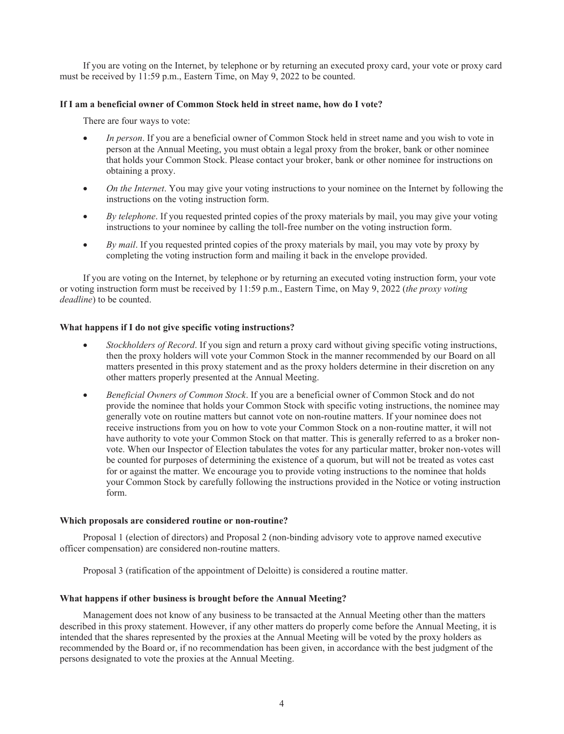If you are voting on the Internet, by telephone or by returning an executed proxy card, your vote or proxy card must be received by 11:59 p.m., Eastern Time, on May 9, 2022 to be counted.

## **If I am a beneficial owner of Common Stock held in street name, how do I vote?**

There are four ways to vote:

- *In person*. If you are a beneficial owner of Common Stock held in street name and you wish to vote in person at the Annual Meeting, you must obtain a legal proxy from the broker, bank or other nominee that holds your Common Stock. Please contact your broker, bank or other nominee for instructions on obtaining a proxy.
- *On the Internet*. You may give your voting instructions to your nominee on the Internet by following the instructions on the voting instruction form.
- *By telephone*. If you requested printed copies of the proxy materials by mail, you may give your voting instructions to your nominee by calling the toll-free number on the voting instruction form.
- *By mail*. If you requested printed copies of the proxy materials by mail, you may vote by proxy by completing the voting instruction form and mailing it back in the envelope provided.

If you are voting on the Internet, by telephone or by returning an executed voting instruction form, your vote or voting instruction form must be received by 11:59 p.m., Eastern Time, on May 9, 2022 (*the proxy voting deadline*) to be counted.

## **What happens if I do not give specific voting instructions?**

- *Stockholders of Record*. If you sign and return a proxy card without giving specific voting instructions, then the proxy holders will vote your Common Stock in the manner recommended by our Board on all matters presented in this proxy statement and as the proxy holders determine in their discretion on any other matters properly presented at the Annual Meeting.
- *Beneficial Owners of Common Stock*. If you are a beneficial owner of Common Stock and do not provide the nominee that holds your Common Stock with specific voting instructions, the nominee may generally vote on routine matters but cannot vote on non-routine matters. If your nominee does not receive instructions from you on how to vote your Common Stock on a non-routine matter, it will not have authority to vote your Common Stock on that matter. This is generally referred to as a broker nonvote. When our Inspector of Election tabulates the votes for any particular matter, broker non-votes will be counted for purposes of determining the existence of a quorum, but will not be treated as votes cast for or against the matter. We encourage you to provide voting instructions to the nominee that holds your Common Stock by carefully following the instructions provided in the Notice or voting instruction form.

## **Which proposals are considered routine or non-routine?**

Proposal 1 (election of directors) and Proposal 2 (non-binding advisory vote to approve named executive officer compensation) are considered non-routine matters.

Proposal 3 (ratification of the appointment of Deloitte) is considered a routine matter.

# **What happens if other business is brought before the Annual Meeting?**

Management does not know of any business to be transacted at the Annual Meeting other than the matters described in this proxy statement. However, if any other matters do properly come before the Annual Meeting, it is intended that the shares represented by the proxies at the Annual Meeting will be voted by the proxy holders as recommended by the Board or, if no recommendation has been given, in accordance with the best judgment of the persons designated to vote the proxies at the Annual Meeting.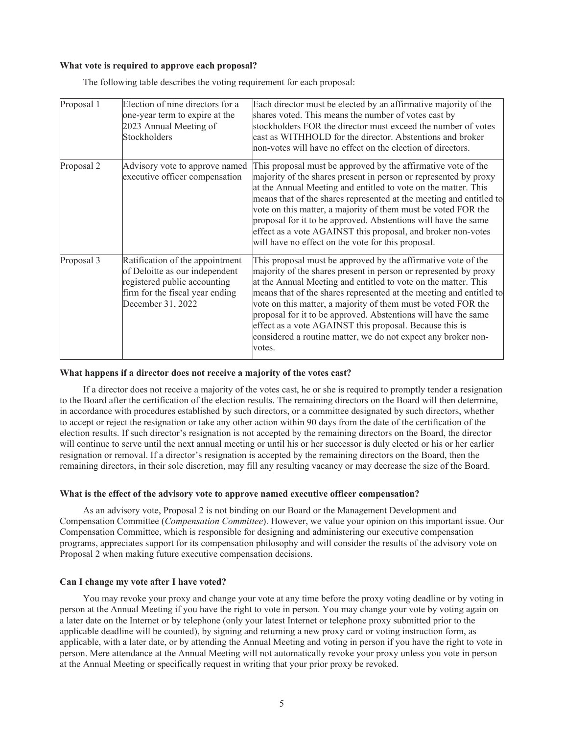#### **What vote is required to approve each proposal?**

| Proposal 1 | Election of nine directors for a<br>one-year term to expire at the<br>2023 Annual Meeting of<br>Stockholders                                              | Each director must be elected by an affirmative majority of the<br>shares voted. This means the number of votes cast by<br>stockholders FOR the director must exceed the number of votes<br>cast as WITHHOLD for the director. Abstentions and broker<br>hon-votes will have no effect on the election of directors.                                                                                                                                                                                                                                |
|------------|-----------------------------------------------------------------------------------------------------------------------------------------------------------|-----------------------------------------------------------------------------------------------------------------------------------------------------------------------------------------------------------------------------------------------------------------------------------------------------------------------------------------------------------------------------------------------------------------------------------------------------------------------------------------------------------------------------------------------------|
| Proposal 2 | Advisory vote to approve named<br>executive officer compensation                                                                                          | This proposal must be approved by the affirmative vote of the<br>majority of the shares present in person or represented by proxy<br>at the Annual Meeting and entitled to vote on the matter. This<br>means that of the shares represented at the meeting and entitled to<br>vote on this matter, a majority of them must be voted FOR the<br>proposal for it to be approved. Abstentions will have the same<br>effect as a vote AGAINST this proposal, and broker non-votes<br>will have no effect on the vote for this proposal.                 |
| Proposal 3 | Ratification of the appointment<br>of Deloitte as our independent<br>registered public accounting<br>firm for the fiscal year ending<br>December 31, 2022 | This proposal must be approved by the affirmative vote of the<br>majority of the shares present in person or represented by proxy<br>at the Annual Meeting and entitled to vote on the matter. This<br>means that of the shares represented at the meeting and entitled to<br>vote on this matter, a majority of them must be voted FOR the<br>proposal for it to be approved. Abstentions will have the same<br>effect as a vote AGAINST this proposal. Because this is<br>considered a routine matter, we do not expect any broker non-<br>votes. |

The following table describes the voting requirement for each proposal:

#### **What happens if a director does not receive a majority of the votes cast?**

If a director does not receive a majority of the votes cast, he or she is required to promptly tender a resignation to the Board after the certification of the election results. The remaining directors on the Board will then determine, in accordance with procedures established by such directors, or a committee designated by such directors, whether to accept or reject the resignation or take any other action within 90 days from the date of the certification of the election results. If such director's resignation is not accepted by the remaining directors on the Board, the director will continue to serve until the next annual meeting or until his or her successor is duly elected or his or her earlier resignation or removal. If a director's resignation is accepted by the remaining directors on the Board, then the remaining directors, in their sole discretion, may fill any resulting vacancy or may decrease the size of the Board.

#### **What is the effect of the advisory vote to approve named executive officer compensation?**

As an advisory vote, Proposal 2 is not binding on our Board or the Management Development and Compensation Committee (*Compensation Committee*). However, we value your opinion on this important issue. Our Compensation Committee, which is responsible for designing and administering our executive compensation programs, appreciates support for its compensation philosophy and will consider the results of the advisory vote on Proposal 2 when making future executive compensation decisions.

#### **Can I change my vote after I have voted?**

You may revoke your proxy and change your vote at any time before the proxy voting deadline or by voting in person at the Annual Meeting if you have the right to vote in person. You may change your vote by voting again on a later date on the Internet or by telephone (only your latest Internet or telephone proxy submitted prior to the applicable deadline will be counted), by signing and returning a new proxy card or voting instruction form, as applicable, with a later date, or by attending the Annual Meeting and voting in person if you have the right to vote in person. Mere attendance at the Annual Meeting will not automatically revoke your proxy unless you vote in person at the Annual Meeting or specifically request in writing that your prior proxy be revoked.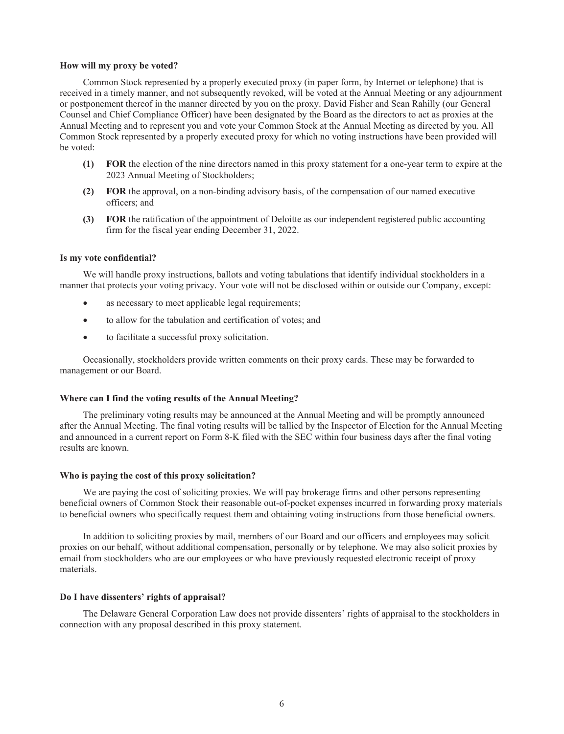#### **How will my proxy be voted?**

Common Stock represented by a properly executed proxy (in paper form, by Internet or telephone) that is received in a timely manner, and not subsequently revoked, will be voted at the Annual Meeting or any adjournment or postponement thereof in the manner directed by you on the proxy. David Fisher and Sean Rahilly (our General Counsel and Chief Compliance Officer) have been designated by the Board as the directors to act as proxies at the Annual Meeting and to represent you and vote your Common Stock at the Annual Meeting as directed by you. All Common Stock represented by a properly executed proxy for which no voting instructions have been provided will be voted:

- **(1) FOR** the election of the nine directors named in this proxy statement for a one-year term to expire at the 2023 Annual Meeting of Stockholders;
- **(2) FOR** the approval, on a non-binding advisory basis, of the compensation of our named executive officers; and
- **(3) FOR** the ratification of the appointment of Deloitte as our independent registered public accounting firm for the fiscal year ending December 31, 2022.

## **Is my vote confidential?**

We will handle proxy instructions, ballots and voting tabulations that identify individual stockholders in a manner that protects your voting privacy. Your vote will not be disclosed within or outside our Company, except:

- as necessary to meet applicable legal requirements;
- to allow for the tabulation and certification of votes; and
- to facilitate a successful proxy solicitation.

Occasionally, stockholders provide written comments on their proxy cards. These may be forwarded to management or our Board.

#### **Where can I find the voting results of the Annual Meeting?**

The preliminary voting results may be announced at the Annual Meeting and will be promptly announced after the Annual Meeting. The final voting results will be tallied by the Inspector of Election for the Annual Meeting and announced in a current report on Form 8-K filed with the SEC within four business days after the final voting results are known.

#### **Who is paying the cost of this proxy solicitation?**

We are paying the cost of soliciting proxies. We will pay brokerage firms and other persons representing beneficial owners of Common Stock their reasonable out-of-pocket expenses incurred in forwarding proxy materials to beneficial owners who specifically request them and obtaining voting instructions from those beneficial owners.

In addition to soliciting proxies by mail, members of our Board and our officers and employees may solicit proxies on our behalf, without additional compensation, personally or by telephone. We may also solicit proxies by email from stockholders who are our employees or who have previously requested electronic receipt of proxy materials.

#### **Do I have dissenters' rights of appraisal?**

The Delaware General Corporation Law does not provide dissenters' rights of appraisal to the stockholders in connection with any proposal described in this proxy statement.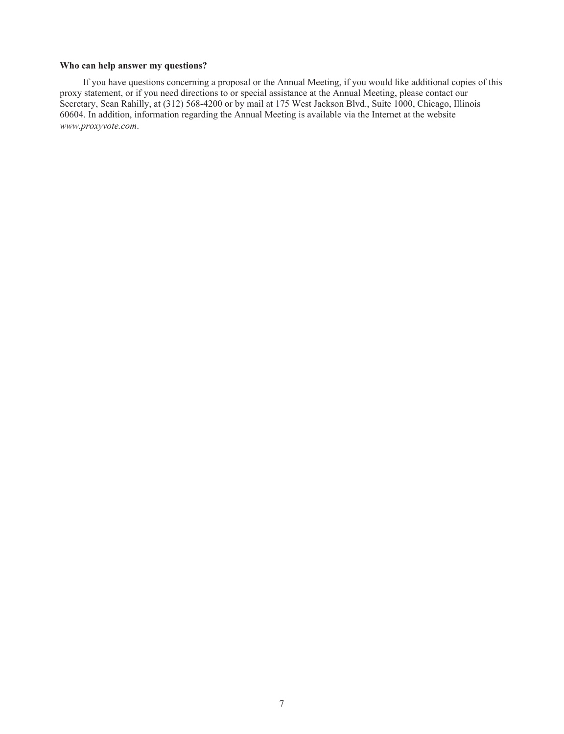## **Who can help answer my questions?**

If you have questions concerning a proposal or the Annual Meeting, if you would like additional copies of this proxy statement, or if you need directions to or special assistance at the Annual Meeting, please contact our Secretary, Sean Rahilly, at (312) 568-4200 or by mail at 175 West Jackson Blvd., Suite 1000, Chicago, Illinois 60604. In addition, information regarding the Annual Meeting is available via the Internet at the website *www.proxyvote.com*.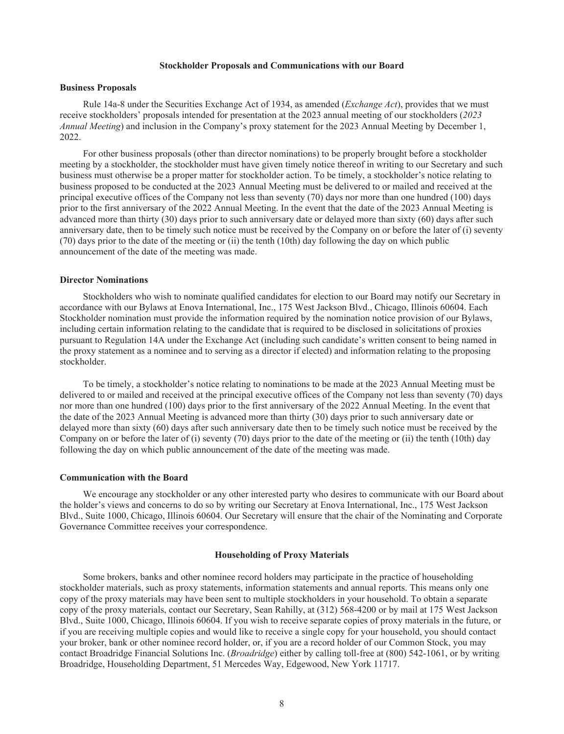#### **Stockholder Proposals and Communications with our Board**

#### **Business Proposals**

Rule 14a-8 under the Securities Exchange Act of 1934, as amended (*Exchange Act*), provides that we must receive stockholders' proposals intended for presentation at the 2023 annual meeting of our stockholders (*2023 Annual Meeting*) and inclusion in the Company's proxy statement for the 2023 Annual Meeting by December 1, 2022.

For other business proposals (other than director nominations) to be properly brought before a stockholder meeting by a stockholder, the stockholder must have given timely notice thereof in writing to our Secretary and such business must otherwise be a proper matter for stockholder action. To be timely, a stockholder's notice relating to business proposed to be conducted at the 2023 Annual Meeting must be delivered to or mailed and received at the principal executive offices of the Company not less than seventy (70) days nor more than one hundred (100) days prior to the first anniversary of the 2022 Annual Meeting. In the event that the date of the 2023 Annual Meeting is advanced more than thirty (30) days prior to such anniversary date or delayed more than sixty (60) days after such anniversary date, then to be timely such notice must be received by the Company on or before the later of (i) seventy (70) days prior to the date of the meeting or (ii) the tenth (10th) day following the day on which public announcement of the date of the meeting was made.

## **Director Nominations**

Stockholders who wish to nominate qualified candidates for election to our Board may notify our Secretary in accordance with our Bylaws at Enova International, Inc., 175 West Jackson Blvd., Chicago, Illinois 60604. Each Stockholder nomination must provide the information required by the nomination notice provision of our Bylaws, including certain information relating to the candidate that is required to be disclosed in solicitations of proxies pursuant to Regulation 14A under the Exchange Act (including such candidate's written consent to being named in the proxy statement as a nominee and to serving as a director if elected) and information relating to the proposing stockholder.

To be timely, a stockholder's notice relating to nominations to be made at the 2023 Annual Meeting must be delivered to or mailed and received at the principal executive offices of the Company not less than seventy (70) days nor more than one hundred (100) days prior to the first anniversary of the 2022 Annual Meeting. In the event that the date of the 2023 Annual Meeting is advanced more than thirty (30) days prior to such anniversary date or delayed more than sixty (60) days after such anniversary date then to be timely such notice must be received by the Company on or before the later of (i) seventy (70) days prior to the date of the meeting or (ii) the tenth (10th) day following the day on which public announcement of the date of the meeting was made.

## **Communication with the Board**

We encourage any stockholder or any other interested party who desires to communicate with our Board about the holder's views and concerns to do so by writing our Secretary at Enova International, Inc., 175 West Jackson Blvd., Suite 1000, Chicago, Illinois 60604. Our Secretary will ensure that the chair of the Nominating and Corporate Governance Committee receives your correspondence.

#### **Householding of Proxy Materials**

Some brokers, banks and other nominee record holders may participate in the practice of householding stockholder materials, such as proxy statements, information statements and annual reports. This means only one copy of the proxy materials may have been sent to multiple stockholders in your household. To obtain a separate copy of the proxy materials, contact our Secretary, Sean Rahilly, at (312) 568-4200 or by mail at 175 West Jackson Blvd., Suite 1000, Chicago, Illinois 60604. If you wish to receive separate copies of proxy materials in the future, or if you are receiving multiple copies and would like to receive a single copy for your household, you should contact your broker, bank or other nominee record holder, or, if you are a record holder of our Common Stock, you may contact Broadridge Financial Solutions Inc. (*Broadridge*) either by calling toll-free at (800) 542-1061, or by writing Broadridge, Householding Department, 51 Mercedes Way, Edgewood, New York 11717.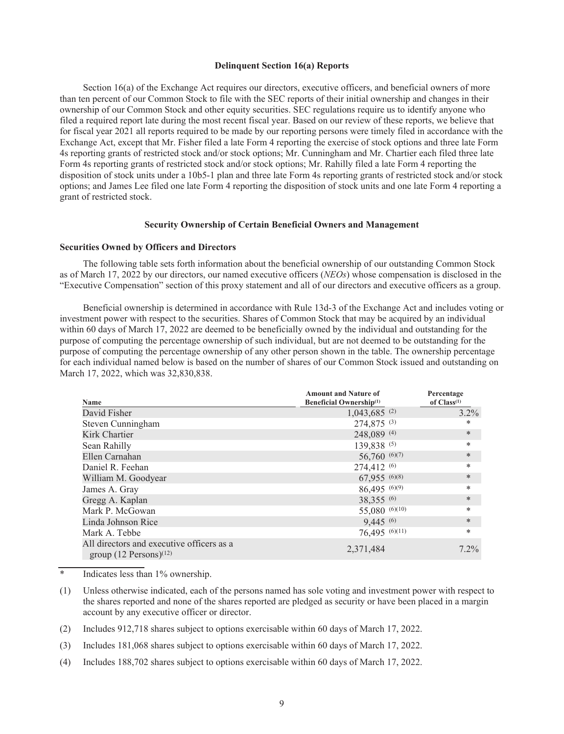### **Delinquent Section 16(a) Reports**

Section 16(a) of the Exchange Act requires our directors, executive officers, and beneficial owners of more than ten percent of our Common Stock to file with the SEC reports of their initial ownership and changes in their ownership of our Common Stock and other equity securities. SEC regulations require us to identify anyone who filed a required report late during the most recent fiscal year. Based on our review of these reports, we believe that for fiscal year 2021 all reports required to be made by our reporting persons were timely filed in accordance with the Exchange Act, except that Mr. Fisher filed a late Form 4 reporting the exercise of stock options and three late Form 4s reporting grants of restricted stock and/or stock options; Mr. Cunningham and Mr. Chartier each filed three late Form 4s reporting grants of restricted stock and/or stock options; Mr. Rahilly filed a late Form 4 reporting the disposition of stock units under a 10b5-1 plan and three late Form 4s reporting grants of restricted stock and/or stock options; and James Lee filed one late Form 4 reporting the disposition of stock units and one late Form 4 reporting a grant of restricted stock.

## **Security Ownership of Certain Beneficial Owners and Management**

#### **Securities Owned by Officers and Directors**

The following table sets forth information about the beneficial ownership of our outstanding Common Stock as of March 17, 2022 by our directors, our named executive officers (*NEOs*) whose compensation is disclosed in the "Executive Compensation" section of this proxy statement and all of our directors and executive officers as a group.

Beneficial ownership is determined in accordance with Rule 13d-3 of the Exchange Act and includes voting or investment power with respect to the securities. Shares of Common Stock that may be acquired by an individual within 60 days of March 17, 2022 are deemed to be beneficially owned by the individual and outstanding for the purpose of computing the percentage ownership of such individual, but are not deemed to be outstanding for the purpose of computing the percentage ownership of any other person shown in the table. The ownership percentage for each individual named below is based on the number of shares of our Common Stock issued and outstanding on March 17, 2022, which was 32,830,838.

| <b>Name</b>                                                                       | <b>Amount and Nature of</b><br><b>Beneficial Ownership</b> <sup>(1)</sup> | Percentage<br>of $Class^{(1)}$ |
|-----------------------------------------------------------------------------------|---------------------------------------------------------------------------|--------------------------------|
| David Fisher                                                                      | $1,043,685$ <sup>(2)</sup>                                                | $3.2\%$                        |
| Steven Cunningham                                                                 | 274,875 (3)                                                               | *                              |
| Kirk Chartier                                                                     | 248,089 (4)                                                               | $\ast$                         |
| Sean Rahilly                                                                      | 139,838 (5)                                                               | $\ast$                         |
| Ellen Carnahan                                                                    | 56,760(6)(7)                                                              | $\ast$                         |
| Daniel R. Feehan                                                                  | 274,412 (6)                                                               | *                              |
| William M. Goodyear                                                               | 67,955 (6)(8)                                                             | $\ast$                         |
| James A. Gray                                                                     | $86,495$ (6)(9)                                                           | $\ast$                         |
| Gregg A. Kaplan                                                                   | 38,355 (6)                                                                | $\ast$                         |
| Mark P. McGowan                                                                   | 55,080 (6)(10)                                                            | *                              |
| Linda Johnson Rice                                                                | 9,445 (6)                                                                 | $\ast$                         |
| Mark A. Tebbe                                                                     | 76,495 $(6)(11)$                                                          | $\ast$                         |
| All directors and executive officers as a<br>group $(12$ Persons) <sup>(12)</sup> | 2,371,484                                                                 | $7.2\%$                        |

\* Indicates less than 1% ownership.

- (1) Unless otherwise indicated, each of the persons named has sole voting and investment power with respect to the shares reported and none of the shares reported are pledged as security or have been placed in a margin account by any executive officer or director.
- (2) Includes 912,718 shares subject to options exercisable within 60 days of March 17, 2022.
- (3) Includes 181,068 shares subject to options exercisable within 60 days of March 17, 2022.
- (4) Includes 188,702 shares subject to options exercisable within 60 days of March 17, 2022.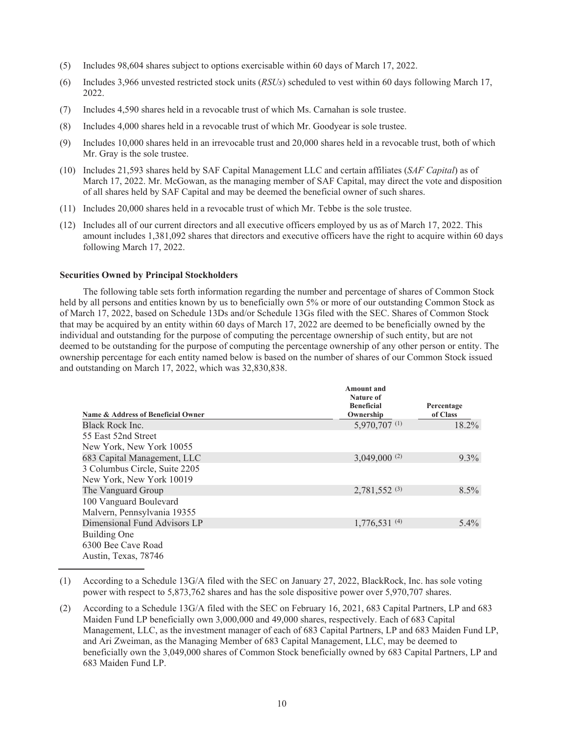- (5) Includes 98,604 shares subject to options exercisable within 60 days of March 17, 2022.
- (6) Includes 3,966 unvested restricted stock units (*RSUs*) scheduled to vest within 60 days following March 17, 2022.
- (7) Includes 4,590 shares held in a revocable trust of which Ms. Carnahan is sole trustee.
- (8) Includes 4,000 shares held in a revocable trust of which Mr. Goodyear is sole trustee.
- (9) Includes 10,000 shares held in an irrevocable trust and 20,000 shares held in a revocable trust, both of which Mr. Gray is the sole trustee.
- (10) Includes 21,593 shares held by SAF Capital Management LLC and certain affiliates (*SAF Capital*) as of March 17, 2022. Mr. McGowan, as the managing member of SAF Capital, may direct the vote and disposition of all shares held by SAF Capital and may be deemed the beneficial owner of such shares.
- (11) Includes 20,000 shares held in a revocable trust of which Mr. Tebbe is the sole trustee.
- (12) Includes all of our current directors and all executive officers employed by us as of March 17, 2022. This amount includes 1,381,092 shares that directors and executive officers have the right to acquire within 60 days following March 17, 2022.

## **Securities Owned by Principal Stockholders**

The following table sets forth information regarding the number and percentage of shares of Common Stock held by all persons and entities known by us to beneficially own 5% or more of our outstanding Common Stock as of March 17, 2022, based on Schedule 13Ds and/or Schedule 13Gs filed with the SEC. Shares of Common Stock that may be acquired by an entity within 60 days of March 17, 2022 are deemed to be beneficially owned by the individual and outstanding for the purpose of computing the percentage ownership of such entity, but are not deemed to be outstanding for the purpose of computing the percentage ownership of any other person or entity. The ownership percentage for each entity named below is based on the number of shares of our Common Stock issued and outstanding on March 17, 2022, which was 32,830,838.

|                                    | <b>Amount</b> and<br>Nature of |            |
|------------------------------------|--------------------------------|------------|
|                                    | <b>Beneficial</b>              | Percentage |
| Name & Address of Beneficial Owner | Ownership                      | of Class   |
| Black Rock Inc.                    | 5,970,707 (1)                  | $18.2\%$   |
| 55 East 52nd Street                |                                |            |
| New York, New York 10055           |                                |            |
| 683 Capital Management, LLC        | $3,049,000^{(2)}$              | $9.3\%$    |
| 3 Columbus Circle, Suite 2205      |                                |            |
| New York, New York 10019           |                                |            |
| The Vanguard Group                 | 2,781,552 (3)                  | $8.5\%$    |
| 100 Vanguard Boulevard             |                                |            |
| Malvern, Pennsylvania 19355        |                                |            |
| Dimensional Fund Advisors LP       | $1,776,531$ <sup>(4)</sup>     | $5.4\%$    |
| Building One                       |                                |            |
| 6300 Bee Cave Road                 |                                |            |
| Austin, Texas, 78746               |                                |            |

<sup>(1)</sup> According to a Schedule 13G/A filed with the SEC on January 27, 2022, BlackRock, Inc. has sole voting power with respect to 5,873,762 shares and has the sole dispositive power over 5,970,707 shares.

<sup>(2)</sup> According to a Schedule 13G/A filed with the SEC on February 16, 2021, 683 Capital Partners, LP and 683 Maiden Fund LP beneficially own 3,000,000 and 49,000 shares, respectively. Each of 683 Capital Management, LLC, as the investment manager of each of 683 Capital Partners, LP and 683 Maiden Fund LP, and Ari Zweiman, as the Managing Member of 683 Capital Management, LLC, may be deemed to beneficially own the 3,049,000 shares of Common Stock beneficially owned by 683 Capital Partners, LP and 683 Maiden Fund LP.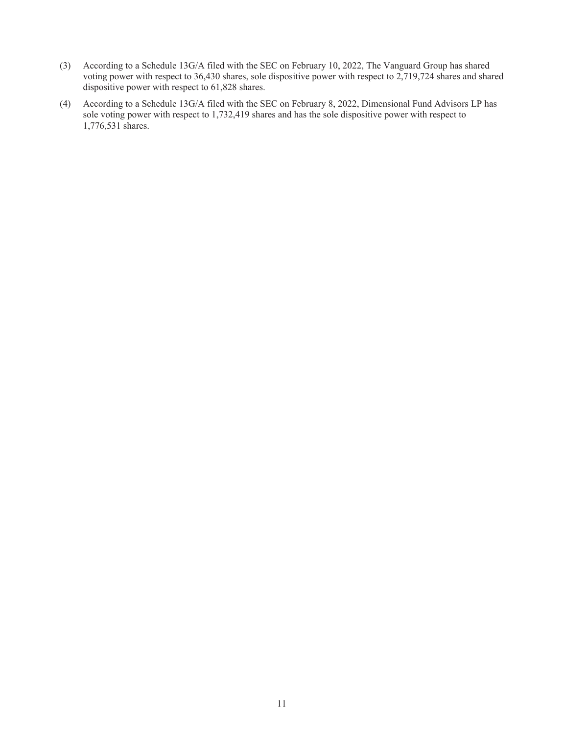- (3) According to a Schedule 13G/A filed with the SEC on February 10, 2022, The Vanguard Group has shared voting power with respect to 36,430 shares, sole dispositive power with respect to 2,719,724 shares and shared dispositive power with respect to 61,828 shares.
- (4) According to a Schedule 13G/A filed with the SEC on February 8, 2022, Dimensional Fund Advisors LP has sole voting power with respect to 1,732,419 shares and has the sole dispositive power with respect to 1,776,531 shares.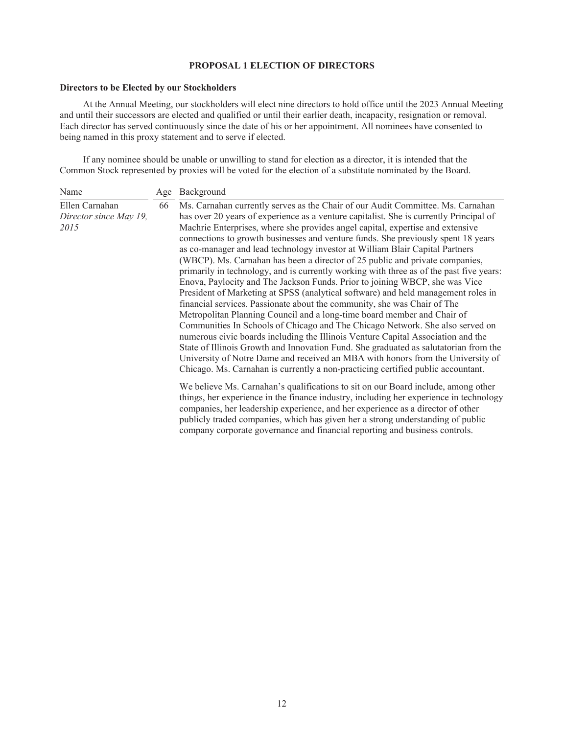# **PROPOSAL 1 ELECTION OF DIRECTORS**

## **Directors to be Elected by our Stockholders**

At the Annual Meeting, our stockholders will elect nine directors to hold office until the 2023 Annual Meeting and until their successors are elected and qualified or until their earlier death, incapacity, resignation or removal. Each director has served continuously since the date of his or her appointment. All nominees have consented to being named in this proxy statement and to serve if elected.

If any nominee should be unable or unwilling to stand for election as a director, it is intended that the Common Stock represented by proxies will be voted for the election of a substitute nominated by the Board.

|                                                          | Age | Background                                                                                                                                                                                                                                                                                                                                                                                                                                                                                                                                                                                                                                                                                                                                                  |
|----------------------------------------------------------|-----|-------------------------------------------------------------------------------------------------------------------------------------------------------------------------------------------------------------------------------------------------------------------------------------------------------------------------------------------------------------------------------------------------------------------------------------------------------------------------------------------------------------------------------------------------------------------------------------------------------------------------------------------------------------------------------------------------------------------------------------------------------------|
| Name<br>Ellen Carnahan<br>Director since May 19,<br>2015 | 66  | Ms. Carnahan currently serves as the Chair of our Audit Committee. Ms. Carnahan<br>has over 20 years of experience as a venture capitalist. She is currently Principal of<br>Machrie Enterprises, where she provides angel capital, expertise and extensive<br>connections to growth businesses and venture funds. She previously spent 18 years<br>as co-manager and lead technology investor at William Blair Capital Partners<br>(WBCP). Ms. Carnahan has been a director of 25 public and private companies,<br>primarily in technology, and is currently working with three as of the past five years:                                                                                                                                                 |
|                                                          |     | Enova, Paylocity and The Jackson Funds. Prior to joining WBCP, she was Vice<br>President of Marketing at SPSS (analytical software) and held management roles in<br>financial services. Passionate about the community, she was Chair of The<br>Metropolitan Planning Council and a long-time board member and Chair of<br>Communities In Schools of Chicago and The Chicago Network. She also served on<br>numerous civic boards including the Illinois Venture Capital Association and the<br>State of Illinois Growth and Innovation Fund. She graduated as salutatorian from the<br>University of Notre Dame and received an MBA with honors from the University of<br>Chicago. Ms. Carnahan is currently a non-practicing certified public accountant. |
|                                                          |     | We believe Ms. Carnahan's qualifications to sit on our Board include, among other<br>things, her experience in the finance industry, including her experience in technology<br>companies, her leadership experience, and her experience as a director of other<br>publicly traded companies, which has given her a strong understanding of public<br>company corporate governance and financial reporting and business controls.                                                                                                                                                                                                                                                                                                                            |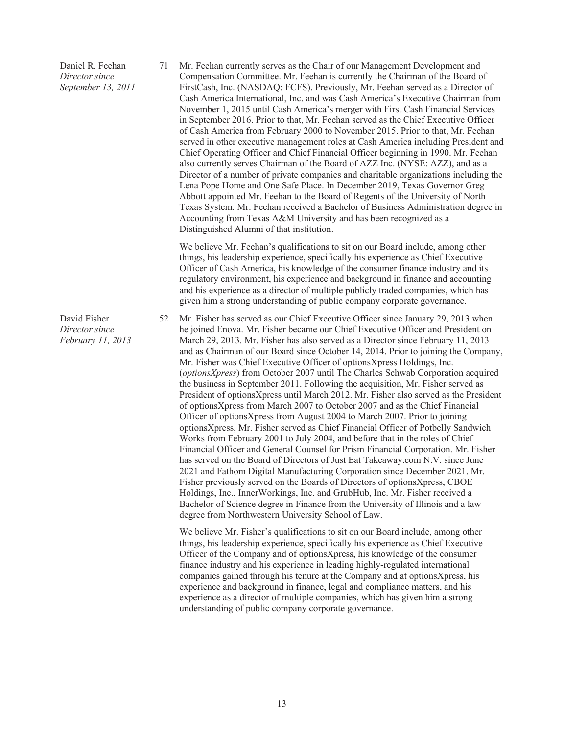Daniel R. Feehan *Director since September 13, 2011* 71 Mr. Feehan currently serves as the Chair of our Management Development and Compensation Committee. Mr. Feehan is currently the Chairman of the Board of FirstCash, Inc. (NASDAQ: FCFS). Previously, Mr. Feehan served as a Director of Cash America International, Inc. and was Cash America's Executive Chairman from November 1, 2015 until Cash America's merger with First Cash Financial Services in September 2016. Prior to that, Mr. Feehan served as the Chief Executive Officer of Cash America from February 2000 to November 2015. Prior to that, Mr. Feehan served in other executive management roles at Cash America including President and Chief Operating Officer and Chief Financial Officer beginning in 1990. Mr. Feehan also currently serves Chairman of the Board of AZZ Inc. (NYSE: AZZ), and as a Director of a number of private companies and charitable organizations including the Lena Pope Home and One Safe Place. In December 2019, Texas Governor Greg Abbott appointed Mr. Feehan to the Board of Regents of the University of North Texas System. Mr. Feehan received a Bachelor of Business Administration degree in Accounting from Texas A&M University and has been recognized as a Distinguished Alumni of that institution.

We believe Mr. Feehan's qualifications to sit on our Board include, among other things, his leadership experience, specifically his experience as Chief Executive Officer of Cash America, his knowledge of the consumer finance industry and its regulatory environment, his experience and background in finance and accounting and his experience as a director of multiple publicly traded companies, which has given him a strong understanding of public company corporate governance.

52 Mr. Fisher has served as our Chief Executive Officer since January 29, 2013 when he joined Enova. Mr. Fisher became our Chief Executive Officer and President on March 29, 2013. Mr. Fisher has also served as a Director since February 11, 2013 and as Chairman of our Board since October 14, 2014. Prior to joining the Company, Mr. Fisher was Chief Executive Officer of optionsXpress Holdings, Inc. (*optionsXpress*) from October 2007 until The Charles Schwab Corporation acquired the business in September 2011. Following the acquisition, Mr. Fisher served as President of optionsXpress until March 2012. Mr. Fisher also served as the President of optionsXpress from March 2007 to October 2007 and as the Chief Financial Officer of optionsXpress from August 2004 to March 2007. Prior to joining optionsXpress, Mr. Fisher served as Chief Financial Officer of Potbelly Sandwich Works from February 2001 to July 2004, and before that in the roles of Chief Financial Officer and General Counsel for Prism Financial Corporation. Mr. Fisher has served on the Board of Directors of Just Eat Takeaway.com N.V. since June 2021 and Fathom Digital Manufacturing Corporation since December 2021. Mr. Fisher previously served on the Boards of Directors of optionsXpress, CBOE Holdings, Inc., InnerWorkings, Inc. and GrubHub, Inc. Mr. Fisher received a Bachelor of Science degree in Finance from the University of Illinois and a law degree from Northwestern University School of Law.

We believe Mr. Fisher's qualifications to sit on our Board include, among other things, his leadership experience, specifically his experience as Chief Executive Officer of the Company and of optionsXpress, his knowledge of the consumer finance industry and his experience in leading highly-regulated international companies gained through his tenure at the Company and at optionsXpress, his experience and background in finance, legal and compliance matters, and his experience as a director of multiple companies, which has given him a strong understanding of public company corporate governance.

*Director since February 11, 2013*

David Fisher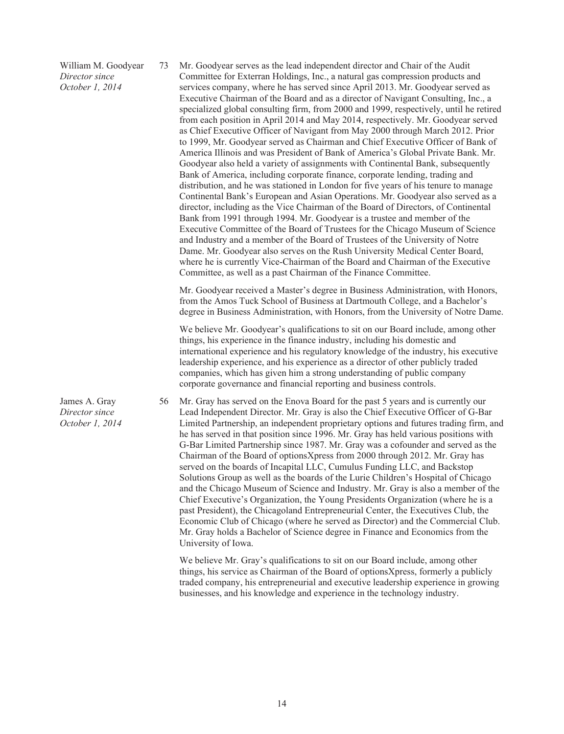William M. Goodyear *Director since October 1, 2014*

73 Mr. Goodyear serves as the lead independent director and Chair of the Audit Committee for Exterran Holdings, Inc., a natural gas compression products and services company, where he has served since April 2013. Mr. Goodyear served as Executive Chairman of the Board and as a director of Navigant Consulting, Inc., a specialized global consulting firm, from 2000 and 1999, respectively, until he retired from each position in April 2014 and May 2014, respectively. Mr. Goodyear served as Chief Executive Officer of Navigant from May 2000 through March 2012. Prior to 1999, Mr. Goodyear served as Chairman and Chief Executive Officer of Bank of America Illinois and was President of Bank of America's Global Private Bank. Mr. Goodyear also held a variety of assignments with Continental Bank, subsequently Bank of America, including corporate finance, corporate lending, trading and distribution, and he was stationed in London for five years of his tenure to manage Continental Bank's European and Asian Operations. Mr. Goodyear also served as a director, including as the Vice Chairman of the Board of Directors, of Continental Bank from 1991 through 1994. Mr. Goodyear is a trustee and member of the Executive Committee of the Board of Trustees for the Chicago Museum of Science and Industry and a member of the Board of Trustees of the University of Notre Dame. Mr. Goodyear also serves on the Rush University Medical Center Board, where he is currently Vice-Chairman of the Board and Chairman of the Executive Committee, as well as a past Chairman of the Finance Committee.

Mr. Goodyear received a Master's degree in Business Administration, with Honors, from the Amos Tuck School of Business at Dartmouth College, and a Bachelor's degree in Business Administration, with Honors, from the University of Notre Dame.

We believe Mr. Goodyear's qualifications to sit on our Board include, among other things, his experience in the finance industry, including his domestic and international experience and his regulatory knowledge of the industry, his executive leadership experience, and his experience as a director of other publicly traded companies, which has given him a strong understanding of public company corporate governance and financial reporting and business controls.

56 Mr. Gray has served on the Enova Board for the past 5 years and is currently our Lead Independent Director. Mr. Gray is also the Chief Executive Officer of G-Bar Limited Partnership, an independent proprietary options and futures trading firm, and he has served in that position since 1996. Mr. Gray has held various positions with G-Bar Limited Partnership since 1987. Mr. Gray was a cofounder and served as the Chairman of the Board of optionsXpress from 2000 through 2012. Mr. Gray has served on the boards of Incapital LLC, Cumulus Funding LLC, and Backstop Solutions Group as well as the boards of the Lurie Children's Hospital of Chicago and the Chicago Museum of Science and Industry. Mr. Gray is also a member of the Chief Executive's Organization, the Young Presidents Organization (where he is a past President), the Chicagoland Entrepreneurial Center, the Executives Club, the Economic Club of Chicago (where he served as Director) and the Commercial Club. Mr. Gray holds a Bachelor of Science degree in Finance and Economics from the University of Iowa.

We believe Mr. Gray's qualifications to sit on our Board include, among other things, his service as Chairman of the Board of optionsXpress, formerly a publicly traded company, his entrepreneurial and executive leadership experience in growing businesses, and his knowledge and experience in the technology industry.

James A. Gray *Director since October 1, 2014*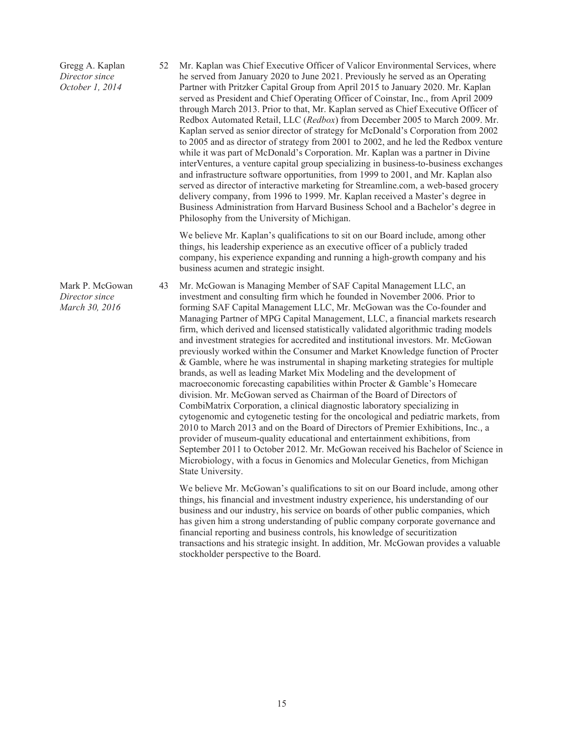Gregg A. Kaplan *Director since October 1, 2014*

52 Mr. Kaplan was Chief Executive Officer of Valicor Environmental Services, where he served from January 2020 to June 2021. Previously he served as an Operating Partner with Pritzker Capital Group from April 2015 to January 2020. Mr. Kaplan served as President and Chief Operating Officer of Coinstar, Inc., from April 2009 through March 2013. Prior to that, Mr. Kaplan served as Chief Executive Officer of Redbox Automated Retail, LLC (*Redbox*) from December 2005 to March 2009. Mr. Kaplan served as senior director of strategy for McDonald's Corporation from 2002 to 2005 and as director of strategy from 2001 to 2002, and he led the Redbox venture while it was part of McDonald's Corporation. Mr. Kaplan was a partner in Divine interVentures, a venture capital group specializing in business-to-business exchanges and infrastructure software opportunities, from 1999 to 2001, and Mr. Kaplan also served as director of interactive marketing for Streamline.com, a web-based grocery delivery company, from 1996 to 1999. Mr. Kaplan received a Master's degree in Business Administration from Harvard Business School and a Bachelor's degree in Philosophy from the University of Michigan.

We believe Mr. Kaplan's qualifications to sit on our Board include, among other things, his leadership experience as an executive officer of a publicly traded company, his experience expanding and running a high-growth company and his business acumen and strategic insight.

43 Mr. McGowan is Managing Member of SAF Capital Management LLC, an investment and consulting firm which he founded in November 2006. Prior to forming SAF Capital Management LLC, Mr. McGowan was the Co-founder and Managing Partner of MPG Capital Management, LLC, a financial markets research firm, which derived and licensed statistically validated algorithmic trading models and investment strategies for accredited and institutional investors. Mr. McGowan previously worked within the Consumer and Market Knowledge function of Procter & Gamble, where he was instrumental in shaping marketing strategies for multiple brands, as well as leading Market Mix Modeling and the development of macroeconomic forecasting capabilities within Procter & Gamble's Homecare division. Mr. McGowan served as Chairman of the Board of Directors of CombiMatrix Corporation, a clinical diagnostic laboratory specializing in cytogenomic and cytogenetic testing for the oncological and pediatric markets, from 2010 to March 2013 and on the Board of Directors of Premier Exhibitions, Inc., a provider of museum-quality educational and entertainment exhibitions, from September 2011 to October 2012. Mr. McGowan received his Bachelor of Science in Microbiology, with a focus in Genomics and Molecular Genetics, from Michigan State University.

We believe Mr. McGowan's qualifications to sit on our Board include, among other things, his financial and investment industry experience, his understanding of our business and our industry, his service on boards of other public companies, which has given him a strong understanding of public company corporate governance and financial reporting and business controls, his knowledge of securitization transactions and his strategic insight. In addition, Mr. McGowan provides a valuable stockholder perspective to the Board.

Mark P. McGowan *Director since March 30, 2016*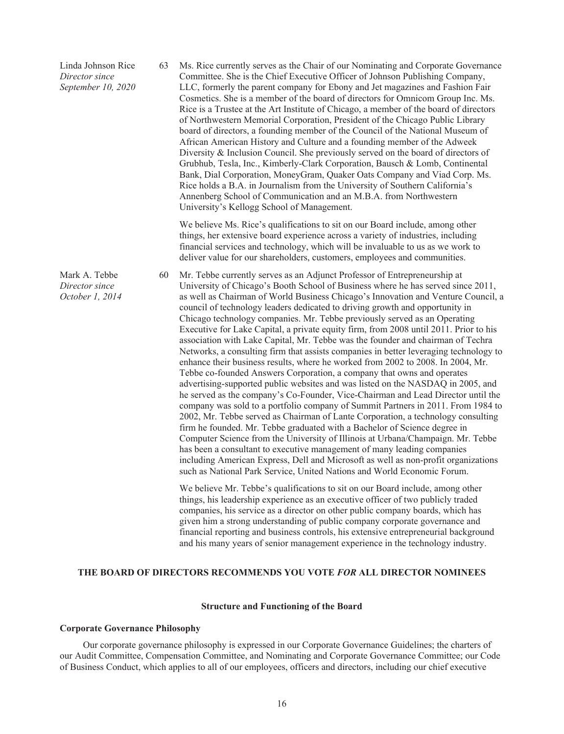Linda Johnson Rice *Director since September 10, 2020* 63 Ms. Rice currently serves as the Chair of our Nominating and Corporate Governance Committee. She is the Chief Executive Officer of Johnson Publishing Company, LLC, formerly the parent company for Ebony and Jet magazines and Fashion Fair Cosmetics. She is a member of the board of directors for Omnicom Group Inc. Ms. Rice is a Trustee at the Art Institute of Chicago, a member of the board of directors of Northwestern Memorial Corporation, President of the Chicago Public Library board of directors, a founding member of the Council of the National Museum of African American History and Culture and a founding member of the Adweek Diversity & Inclusion Council. She previously served on the board of directors of Grubhub, Tesla, Inc., Kimberly-Clark Corporation, Bausch & Lomb, Continental Bank, Dial Corporation, MoneyGram, Quaker Oats Company and Viad Corp. Ms. Rice holds a B.A. in Journalism from the University of Southern California's Annenberg School of Communication and an M.B.A. from Northwestern University's Kellogg School of Management.

> We believe Ms. Rice's qualifications to sit on our Board include, among other things, her extensive board experience across a variety of industries, including financial services and technology, which will be invaluable to us as we work to deliver value for our shareholders, customers, employees and communities.

60 Mr. Tebbe currently serves as an Adjunct Professor of Entrepreneurship at University of Chicago's Booth School of Business where he has served since 2011, as well as Chairman of World Business Chicago's Innovation and Venture Council, a council of technology leaders dedicated to driving growth and opportunity in Chicago technology companies. Mr. Tebbe previously served as an Operating Executive for Lake Capital, a private equity firm, from 2008 until 2011. Prior to his association with Lake Capital, Mr. Tebbe was the founder and chairman of Techra Networks, a consulting firm that assists companies in better leveraging technology to enhance their business results, where he worked from 2002 to 2008. In 2004, Mr. Tebbe co-founded Answers Corporation, a company that owns and operates advertising-supported public websites and was listed on the NASDAQ in 2005, and he served as the company's Co-Founder, Vice-Chairman and Lead Director until the company was sold to a portfolio company of Summit Partners in 2011. From 1984 to 2002, Mr. Tebbe served as Chairman of Lante Corporation, a technology consulting firm he founded. Mr. Tebbe graduated with a Bachelor of Science degree in Computer Science from the University of Illinois at Urbana/Champaign. Mr. Tebbe has been a consultant to executive management of many leading companies including American Express, Dell and Microsoft as well as non-profit organizations such as National Park Service, United Nations and World Economic Forum.

We believe Mr. Tebbe's qualifications to sit on our Board include, among other things, his leadership experience as an executive officer of two publicly traded companies, his service as a director on other public company boards, which has given him a strong understanding of public company corporate governance and financial reporting and business controls, his extensive entrepreneurial background and his many years of senior management experience in the technology industry.

## **THE BOARD OF DIRECTORS RECOMMENDS YOU VOTE** *FOR* **ALL DIRECTOR NOMINEES**

## **Structure and Functioning of the Board**

#### **Corporate Governance Philosophy**

Mark A. Tebbe *Director since October 1, 2014*

Our corporate governance philosophy is expressed in our Corporate Governance Guidelines; the charters of our Audit Committee, Compensation Committee, and Nominating and Corporate Governance Committee; our Code of Business Conduct, which applies to all of our employees, officers and directors, including our chief executive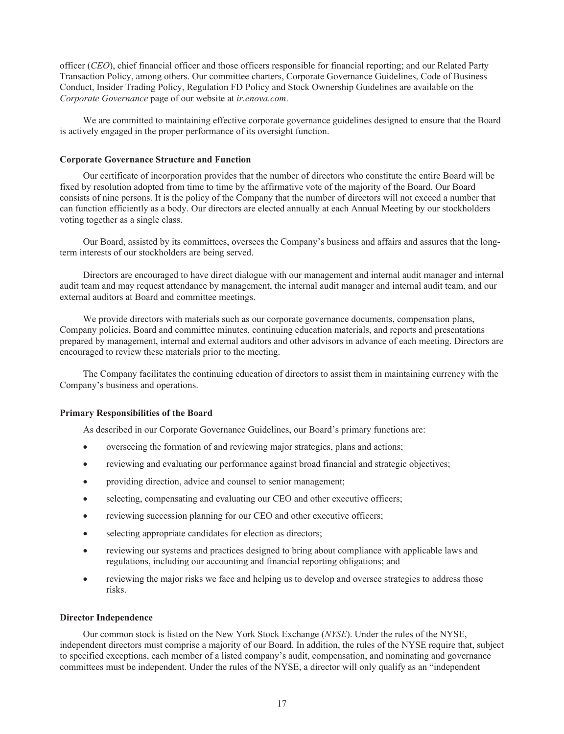officer (*CEO*), chief financial officer and those officers responsible for financial reporting; and our Related Party Transaction Policy, among others. Our committee charters, Corporate Governance Guidelines, Code of Business Conduct, Insider Trading Policy, Regulation FD Policy and Stock Ownership Guidelines are available on the *Corporate Governance* page of our website at *ir.enova.com*.

We are committed to maintaining effective corporate governance guidelines designed to ensure that the Board is actively engaged in the proper performance of its oversight function.

## **Corporate Governance Structure and Function**

Our certificate of incorporation provides that the number of directors who constitute the entire Board will be fixed by resolution adopted from time to time by the affirmative vote of the majority of the Board. Our Board consists of nine persons. It is the policy of the Company that the number of directors will not exceed a number that can function efficiently as a body. Our directors are elected annually at each Annual Meeting by our stockholders voting together as a single class.

Our Board, assisted by its committees, oversees the Company's business and affairs and assures that the longterm interests of our stockholders are being served.

Directors are encouraged to have direct dialogue with our management and internal audit manager and internal audit team and may request attendance by management, the internal audit manager and internal audit team, and our external auditors at Board and committee meetings.

We provide directors with materials such as our corporate governance documents, compensation plans, Company policies, Board and committee minutes, continuing education materials, and reports and presentations prepared by management, internal and external auditors and other advisors in advance of each meeting. Directors are encouraged to review these materials prior to the meeting.

The Company facilitates the continuing education of directors to assist them in maintaining currency with the Company's business and operations.

#### **Primary Responsibilities of the Board**

As described in our Corporate Governance Guidelines, our Board's primary functions are:

- overseeing the formation of and reviewing major strategies, plans and actions;
- reviewing and evaluating our performance against broad financial and strategic objectives;
- providing direction, advice and counsel to senior management;
- selecting, compensating and evaluating our CEO and other executive officers;
- reviewing succession planning for our CEO and other executive officers;
- selecting appropriate candidates for election as directors;
- reviewing our systems and practices designed to bring about compliance with applicable laws and regulations, including our accounting and financial reporting obligations; and
- reviewing the major risks we face and helping us to develop and oversee strategies to address those risks.

#### **Director Independence**

Our common stock is listed on the New York Stock Exchange (*NYSE*). Under the rules of the NYSE, independent directors must comprise a majority of our Board. In addition, the rules of the NYSE require that, subject to specified exceptions, each member of a listed company's audit, compensation, and nominating and governance committees must be independent. Under the rules of the NYSE, a director will only qualify as an "independent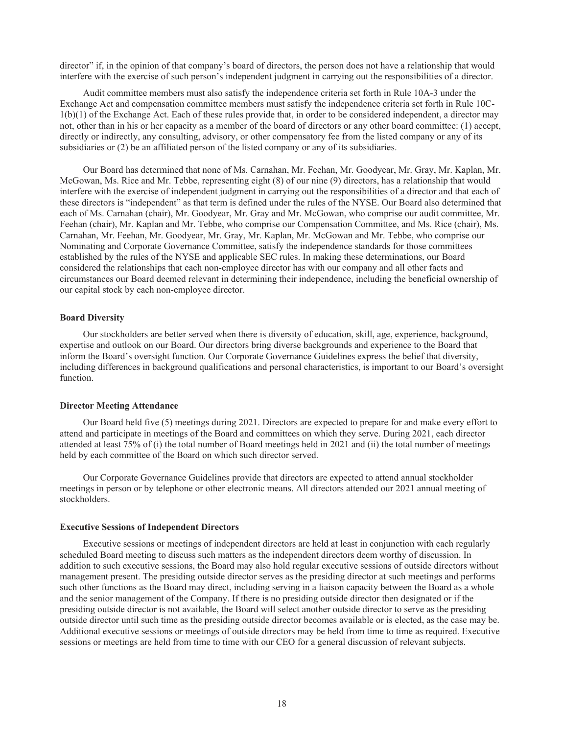director" if, in the opinion of that company's board of directors, the person does not have a relationship that would interfere with the exercise of such person's independent judgment in carrying out the responsibilities of a director.

Audit committee members must also satisfy the independence criteria set forth in Rule 10A-3 under the Exchange Act and compensation committee members must satisfy the independence criteria set forth in Rule 10C-1(b)(1) of the Exchange Act. Each of these rules provide that, in order to be considered independent, a director may not, other than in his or her capacity as a member of the board of directors or any other board committee: (1) accept, directly or indirectly, any consulting, advisory, or other compensatory fee from the listed company or any of its subsidiaries or (2) be an affiliated person of the listed company or any of its subsidiaries.

Our Board has determined that none of Ms. Carnahan, Mr. Feehan, Mr. Goodyear, Mr. Gray, Mr. Kaplan, Mr. McGowan, Ms. Rice and Mr. Tebbe, representing eight (8) of our nine (9) directors, has a relationship that would interfere with the exercise of independent judgment in carrying out the responsibilities of a director and that each of these directors is "independent" as that term is defined under the rules of the NYSE. Our Board also determined that each of Ms. Carnahan (chair), Mr. Goodyear, Mr. Gray and Mr. McGowan, who comprise our audit committee, Mr. Feehan (chair), Mr. Kaplan and Mr. Tebbe, who comprise our Compensation Committee, and Ms. Rice (chair), Ms. Carnahan, Mr. Feehan, Mr. Goodyear, Mr. Gray, Mr. Kaplan, Mr. McGowan and Mr. Tebbe, who comprise our Nominating and Corporate Governance Committee, satisfy the independence standards for those committees established by the rules of the NYSE and applicable SEC rules. In making these determinations, our Board considered the relationships that each non-employee director has with our company and all other facts and circumstances our Board deemed relevant in determining their independence, including the beneficial ownership of our capital stock by each non-employee director.

## **Board Diversity**

Our stockholders are better served when there is diversity of education, skill, age, experience, background, expertise and outlook on our Board. Our directors bring diverse backgrounds and experience to the Board that inform the Board's oversight function. Our Corporate Governance Guidelines express the belief that diversity, including differences in background qualifications and personal characteristics, is important to our Board's oversight function.

#### **Director Meeting Attendance**

Our Board held five (5) meetings during 2021. Directors are expected to prepare for and make every effort to attend and participate in meetings of the Board and committees on which they serve. During 2021, each director attended at least 75% of (i) the total number of Board meetings held in 2021 and (ii) the total number of meetings held by each committee of the Board on which such director served.

Our Corporate Governance Guidelines provide that directors are expected to attend annual stockholder meetings in person or by telephone or other electronic means. All directors attended our 2021 annual meeting of stockholders.

#### **Executive Sessions of Independent Directors**

Executive sessions or meetings of independent directors are held at least in conjunction with each regularly scheduled Board meeting to discuss such matters as the independent directors deem worthy of discussion. In addition to such executive sessions, the Board may also hold regular executive sessions of outside directors without management present. The presiding outside director serves as the presiding director at such meetings and performs such other functions as the Board may direct, including serving in a liaison capacity between the Board as a whole and the senior management of the Company. If there is no presiding outside director then designated or if the presiding outside director is not available, the Board will select another outside director to serve as the presiding outside director until such time as the presiding outside director becomes available or is elected, as the case may be. Additional executive sessions or meetings of outside directors may be held from time to time as required. Executive sessions or meetings are held from time to time with our CEO for a general discussion of relevant subjects.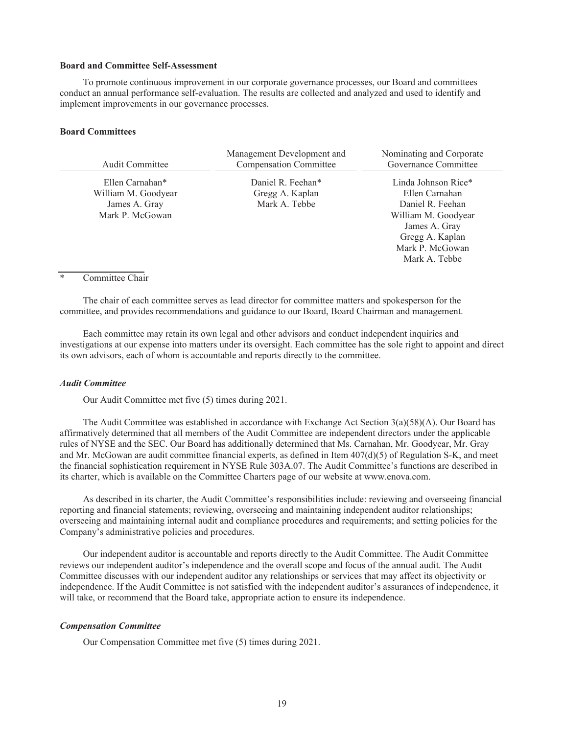#### **Board and Committee Self-Assessment**

To promote continuous improvement in our corporate governance processes, our Board and committees conduct an annual performance self-evaluation. The results are collected and analyzed and used to identify and implement improvements in our governance processes.

## **Board Committees**

|                                                                            | Management Development and                            | Nominating and Corporate                                                                                                                |
|----------------------------------------------------------------------------|-------------------------------------------------------|-----------------------------------------------------------------------------------------------------------------------------------------|
| <b>Audit Committee</b>                                                     | <b>Compensation Committee</b>                         | Governance Committee                                                                                                                    |
| Ellen Carnahan*<br>William M. Goodyear<br>James A. Gray<br>Mark P. McGowan | Daniel R. Feehan*<br>Gregg A. Kaplan<br>Mark A. Tebbe | Linda Johnson Rice*<br>Ellen Carnahan<br>Daniel R. Feehan<br>William M. Goodyear<br>James A. Gray<br>Gregg A. Kaplan<br>Mark P. McGowan |
|                                                                            |                                                       | Mark A. Tebbe                                                                                                                           |

# \* Committee Chair

The chair of each committee serves as lead director for committee matters and spokesperson for the committee, and provides recommendations and guidance to our Board, Board Chairman and management.

Each committee may retain its own legal and other advisors and conduct independent inquiries and investigations at our expense into matters under its oversight. Each committee has the sole right to appoint and direct its own advisors, each of whom is accountable and reports directly to the committee.

#### *Audit Committee*

Our Audit Committee met five (5) times during 2021.

The Audit Committee was established in accordance with Exchange Act Section 3(a)(58)(A). Our Board has affirmatively determined that all members of the Audit Committee are independent directors under the applicable rules of NYSE and the SEC. Our Board has additionally determined that Ms. Carnahan, Mr. Goodyear, Mr. Gray and Mr. McGowan are audit committee financial experts, as defined in Item  $407(d)(5)$  of Regulation S-K, and meet the financial sophistication requirement in NYSE Rule 303A.07. The Audit Committee's functions are described in its charter, which is available on the Committee Charters page of our website at www.enova.com.

As described in its charter, the Audit Committee's responsibilities include: reviewing and overseeing financial reporting and financial statements; reviewing, overseeing and maintaining independent auditor relationships; overseeing and maintaining internal audit and compliance procedures and requirements; and setting policies for the Company's administrative policies and procedures.

Our independent auditor is accountable and reports directly to the Audit Committee. The Audit Committee reviews our independent auditor's independence and the overall scope and focus of the annual audit. The Audit Committee discusses with our independent auditor any relationships or services that may affect its objectivity or independence. If the Audit Committee is not satisfied with the independent auditor's assurances of independence, it will take, or recommend that the Board take, appropriate action to ensure its independence.

### *Compensation Committee*

Our Compensation Committee met five (5) times during 2021.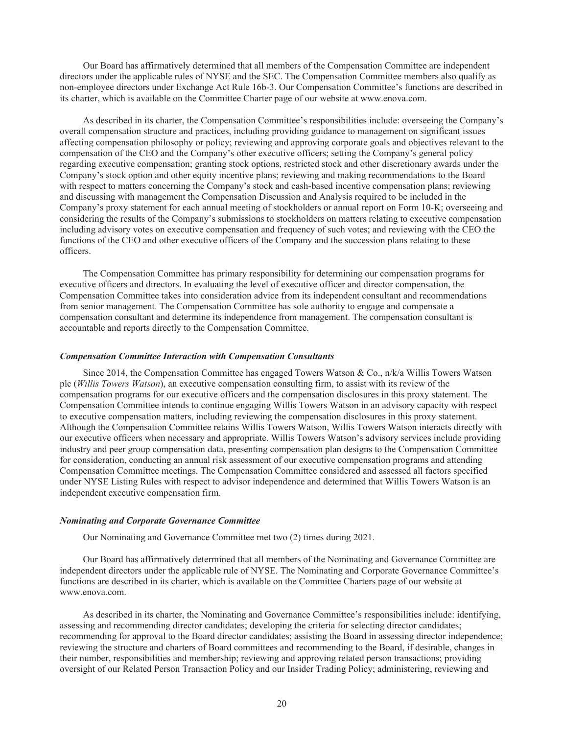Our Board has affirmatively determined that all members of the Compensation Committee are independent directors under the applicable rules of NYSE and the SEC. The Compensation Committee members also qualify as non-employee directors under Exchange Act Rule 16b-3. Our Compensation Committee's functions are described in its charter, which is available on the Committee Charter page of our website at www.enova.com.

As described in its charter, the Compensation Committee's responsibilities include: overseeing the Company's overall compensation structure and practices, including providing guidance to management on significant issues affecting compensation philosophy or policy; reviewing and approving corporate goals and objectives relevant to the compensation of the CEO and the Company's other executive officers; setting the Company's general policy regarding executive compensation; granting stock options, restricted stock and other discretionary awards under the Company's stock option and other equity incentive plans; reviewing and making recommendations to the Board with respect to matters concerning the Company's stock and cash-based incentive compensation plans; reviewing and discussing with management the Compensation Discussion and Analysis required to be included in the Company's proxy statement for each annual meeting of stockholders or annual report on Form 10-K; overseeing and considering the results of the Company's submissions to stockholders on matters relating to executive compensation including advisory votes on executive compensation and frequency of such votes; and reviewing with the CEO the functions of the CEO and other executive officers of the Company and the succession plans relating to these officers.

The Compensation Committee has primary responsibility for determining our compensation programs for executive officers and directors. In evaluating the level of executive officer and director compensation, the Compensation Committee takes into consideration advice from its independent consultant and recommendations from senior management. The Compensation Committee has sole authority to engage and compensate a compensation consultant and determine its independence from management. The compensation consultant is accountable and reports directly to the Compensation Committee.

# *Compensation Committee Interaction with Compensation Consultants*

Since 2014, the Compensation Committee has engaged Towers Watson & Co., n/k/a Willis Towers Watson plc (*Willis Towers Watson*), an executive compensation consulting firm, to assist with its review of the compensation programs for our executive officers and the compensation disclosures in this proxy statement. The Compensation Committee intends to continue engaging Willis Towers Watson in an advisory capacity with respect to executive compensation matters, including reviewing the compensation disclosures in this proxy statement. Although the Compensation Committee retains Willis Towers Watson, Willis Towers Watson interacts directly with our executive officers when necessary and appropriate. Willis Towers Watson's advisory services include providing industry and peer group compensation data, presenting compensation plan designs to the Compensation Committee for consideration, conducting an annual risk assessment of our executive compensation programs and attending Compensation Committee meetings. The Compensation Committee considered and assessed all factors specified under NYSE Listing Rules with respect to advisor independence and determined that Willis Towers Watson is an independent executive compensation firm.

## *Nominating and Corporate Governance Committee*

Our Nominating and Governance Committee met two (2) times during 2021.

Our Board has affirmatively determined that all members of the Nominating and Governance Committee are independent directors under the applicable rule of NYSE. The Nominating and Corporate Governance Committee's functions are described in its charter, which is available on the Committee Charters page of our website at www.enova.com.

As described in its charter, the Nominating and Governance Committee's responsibilities include: identifying, assessing and recommending director candidates; developing the criteria for selecting director candidates; recommending for approval to the Board director candidates; assisting the Board in assessing director independence; reviewing the structure and charters of Board committees and recommending to the Board, if desirable, changes in their number, responsibilities and membership; reviewing and approving related person transactions; providing oversight of our Related Person Transaction Policy and our Insider Trading Policy; administering, reviewing and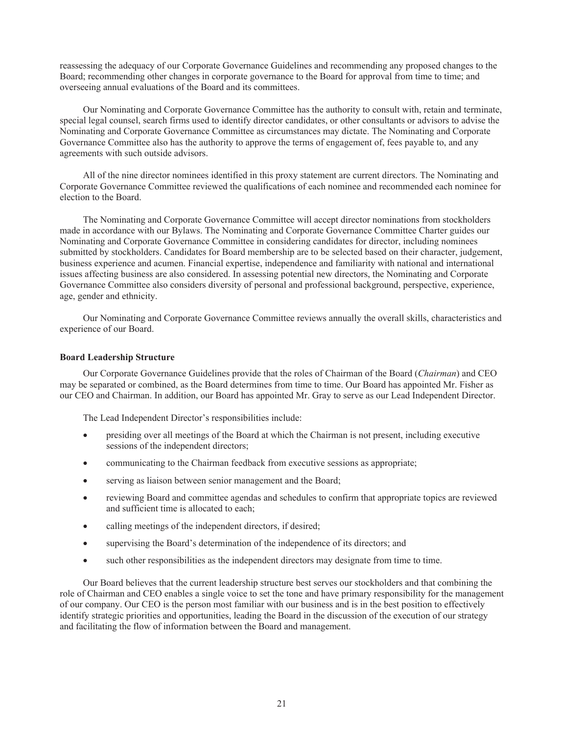reassessing the adequacy of our Corporate Governance Guidelines and recommending any proposed changes to the Board; recommending other changes in corporate governance to the Board for approval from time to time; and overseeing annual evaluations of the Board and its committees.

Our Nominating and Corporate Governance Committee has the authority to consult with, retain and terminate, special legal counsel, search firms used to identify director candidates, or other consultants or advisors to advise the Nominating and Corporate Governance Committee as circumstances may dictate. The Nominating and Corporate Governance Committee also has the authority to approve the terms of engagement of, fees payable to, and any agreements with such outside advisors.

All of the nine director nominees identified in this proxy statement are current directors. The Nominating and Corporate Governance Committee reviewed the qualifications of each nominee and recommended each nominee for election to the Board.

The Nominating and Corporate Governance Committee will accept director nominations from stockholders made in accordance with our Bylaws. The Nominating and Corporate Governance Committee Charter guides our Nominating and Corporate Governance Committee in considering candidates for director, including nominees submitted by stockholders. Candidates for Board membership are to be selected based on their character, judgement, business experience and acumen. Financial expertise, independence and familiarity with national and international issues affecting business are also considered. In assessing potential new directors, the Nominating and Corporate Governance Committee also considers diversity of personal and professional background, perspective, experience, age, gender and ethnicity.

Our Nominating and Corporate Governance Committee reviews annually the overall skills, characteristics and experience of our Board.

#### **Board Leadership Structure**

Our Corporate Governance Guidelines provide that the roles of Chairman of the Board (*Chairman*) and CEO may be separated or combined, as the Board determines from time to time. Our Board has appointed Mr. Fisher as our CEO and Chairman. In addition, our Board has appointed Mr. Gray to serve as our Lead Independent Director.

The Lead Independent Director's responsibilities include:

- presiding over all meetings of the Board at which the Chairman is not present, including executive sessions of the independent directors;
- communicating to the Chairman feedback from executive sessions as appropriate;
- serving as liaison between senior management and the Board;
- reviewing Board and committee agendas and schedules to confirm that appropriate topics are reviewed and sufficient time is allocated to each;
- calling meetings of the independent directors, if desired;
- supervising the Board's determination of the independence of its directors; and
- such other responsibilities as the independent directors may designate from time to time.

Our Board believes that the current leadership structure best serves our stockholders and that combining the role of Chairman and CEO enables a single voice to set the tone and have primary responsibility for the management of our company. Our CEO is the person most familiar with our business and is in the best position to effectively identify strategic priorities and opportunities, leading the Board in the discussion of the execution of our strategy and facilitating the flow of information between the Board and management.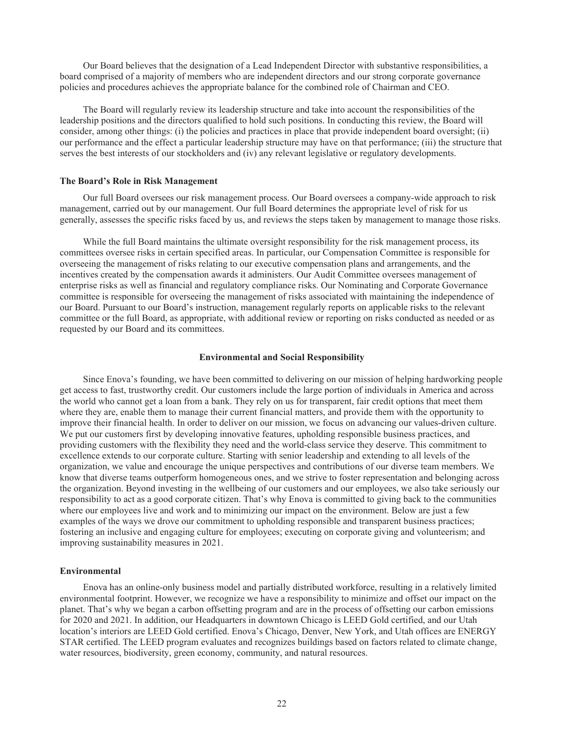Our Board believes that the designation of a Lead Independent Director with substantive responsibilities, a board comprised of a majority of members who are independent directors and our strong corporate governance policies and procedures achieves the appropriate balance for the combined role of Chairman and CEO.

The Board will regularly review its leadership structure and take into account the responsibilities of the leadership positions and the directors qualified to hold such positions. In conducting this review, the Board will consider, among other things: (i) the policies and practices in place that provide independent board oversight; (ii) our performance and the effect a particular leadership structure may have on that performance; (iii) the structure that serves the best interests of our stockholders and (iv) any relevant legislative or regulatory developments.

### **The Board's Role in Risk Management**

Our full Board oversees our risk management process. Our Board oversees a company-wide approach to risk management, carried out by our management. Our full Board determines the appropriate level of risk for us generally, assesses the specific risks faced by us, and reviews the steps taken by management to manage those risks.

While the full Board maintains the ultimate oversight responsibility for the risk management process, its committees oversee risks in certain specified areas. In particular, our Compensation Committee is responsible for overseeing the management of risks relating to our executive compensation plans and arrangements, and the incentives created by the compensation awards it administers. Our Audit Committee oversees management of enterprise risks as well as financial and regulatory compliance risks. Our Nominating and Corporate Governance committee is responsible for overseeing the management of risks associated with maintaining the independence of our Board. Pursuant to our Board's instruction, management regularly reports on applicable risks to the relevant committee or the full Board, as appropriate, with additional review or reporting on risks conducted as needed or as requested by our Board and its committees.

#### **Environmental and Social Responsibility**

Since Enova's founding, we have been committed to delivering on our mission of helping hardworking people get access to fast, trustworthy credit. Our customers include the large portion of individuals in America and across the world who cannot get a loan from a bank. They rely on us for transparent, fair credit options that meet them where they are, enable them to manage their current financial matters, and provide them with the opportunity to improve their financial health. In order to deliver on our mission, we focus on advancing our values-driven culture. We put our customers first by developing innovative features, upholding responsible business practices, and providing customers with the flexibility they need and the world-class service they deserve. This commitment to excellence extends to our corporate culture. Starting with senior leadership and extending to all levels of the organization, we value and encourage the unique perspectives and contributions of our diverse team members. We know that diverse teams outperform homogeneous ones, and we strive to foster representation and belonging across the organization. Beyond investing in the wellbeing of our customers and our employees, we also take seriously our responsibility to act as a good corporate citizen. That's why Enova is committed to giving back to the communities where our employees live and work and to minimizing our impact on the environment. Below are just a few examples of the ways we drove our commitment to upholding responsible and transparent business practices; fostering an inclusive and engaging culture for employees; executing on corporate giving and volunteerism; and improving sustainability measures in 2021.

#### **Environmental**

Enova has an online-only business model and partially distributed workforce, resulting in a relatively limited environmental footprint. However, we recognize we have a responsibility to minimize and offset our impact on the planet. That's why we began a carbon offsetting program and are in the process of offsetting our carbon emissions for 2020 and 2021. In addition, our Headquarters in downtown Chicago is LEED Gold certified, and our Utah location's interiors are LEED Gold certified. Enova's Chicago, Denver, New York, and Utah offices are ENERGY STAR certified. The LEED program evaluates and recognizes buildings based on factors related to climate change, water resources, biodiversity, green economy, community, and natural resources.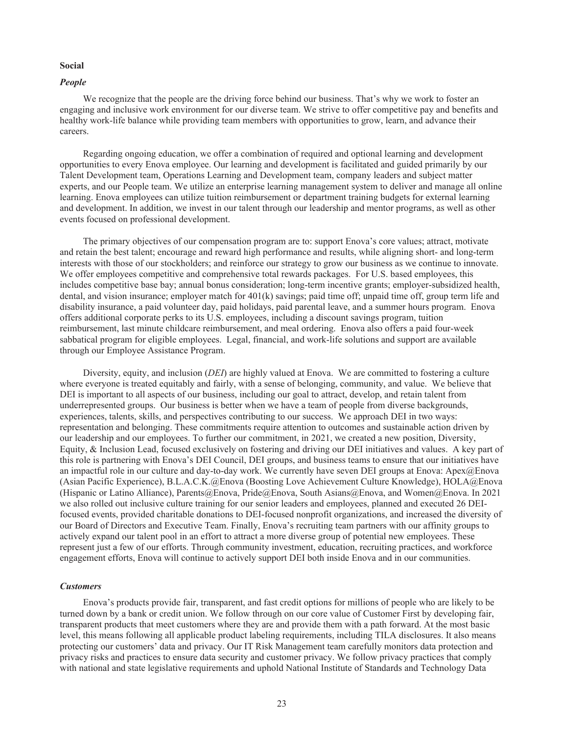### **Social**

## *People*

We recognize that the people are the driving force behind our business. That's why we work to foster an engaging and inclusive work environment for our diverse team. We strive to offer competitive pay and benefits and healthy work-life balance while providing team members with opportunities to grow, learn, and advance their careers.

Regarding ongoing education, we offer a combination of required and optional learning and development opportunities to every Enova employee. Our learning and development is facilitated and guided primarily by our Talent Development team, Operations Learning and Development team, company leaders and subject matter experts, and our People team. We utilize an enterprise learning management system to deliver and manage all online learning. Enova employees can utilize tuition reimbursement or department training budgets for external learning and development. In addition, we invest in our talent through our leadership and mentor programs, as well as other events focused on professional development.

The primary objectives of our compensation program are to: support Enova's core values; attract, motivate and retain the best talent; encourage and reward high performance and results, while aligning short- and long-term interests with those of our stockholders; and reinforce our strategy to grow our business as we continue to innovate. We offer employees competitive and comprehensive total rewards packages. For U.S. based employees, this includes competitive base bay; annual bonus consideration; long-term incentive grants; employer-subsidized health, dental, and vision insurance; employer match for 401(k) savings; paid time off; unpaid time off, group term life and disability insurance, a paid volunteer day, paid holidays, paid parental leave, and a summer hours program. Enova offers additional corporate perks to its U.S. employees, including a discount savings program, tuition reimbursement, last minute childcare reimbursement, and meal ordering. Enova also offers a paid four-week sabbatical program for eligible employees. Legal, financial, and work-life solutions and support are available through our Employee Assistance Program.

Diversity, equity, and inclusion (*DEI*) are highly valued at Enova. We are committed to fostering a culture where everyone is treated equitably and fairly, with a sense of belonging, community, and value. We believe that DEI is important to all aspects of our business, including our goal to attract, develop, and retain talent from underrepresented groups. Our business is better when we have a team of people from diverse backgrounds, experiences, talents, skills, and perspectives contributing to our success. We approach DEI in two ways: representation and belonging. These commitments require attention to outcomes and sustainable action driven by our leadership and our employees. To further our commitment, in 2021, we created a new position, Diversity, Equity, & Inclusion Lead, focused exclusively on fostering and driving our DEI initiatives and values. A key part of this role is partnering with Enova's DEI Council, DEI groups, and business teams to ensure that our initiatives have an impactful role in our culture and day-to-day work. We currently have seven DEI groups at Enova: Apex@Enova (Asian Pacific Experience), B.L.A.C.K.@Enova (Boosting Love Achievement Culture Knowledge), HOLA@Enova (Hispanic or Latino Alliance), Parents@Enova, Pride@Enova, South Asians@Enova, and Women@Enova. In 2021 we also rolled out inclusive culture training for our senior leaders and employees, planned and executed 26 DEIfocused events, provided charitable donations to DEI-focused nonprofit organizations, and increased the diversity of our Board of Directors and Executive Team. Finally, Enova's recruiting team partners with our affinity groups to actively expand our talent pool in an effort to attract a more diverse group of potential new employees. These represent just a few of our efforts. Through community investment, education, recruiting practices, and workforce engagement efforts, Enova will continue to actively support DEI both inside Enova and in our communities.

# *Customers*

Enova's products provide fair, transparent, and fast credit options for millions of people who are likely to be turned down by a bank or credit union. We follow through on our core value of Customer First by developing fair, transparent products that meet customers where they are and provide them with a path forward. At the most basic level, this means following all applicable product labeling requirements, including TILA disclosures. It also means protecting our customers' data and privacy. Our IT Risk Management team carefully monitors data protection and privacy risks and practices to ensure data security and customer privacy. We follow privacy practices that comply with national and state legislative requirements and uphold National Institute of Standards and Technology Data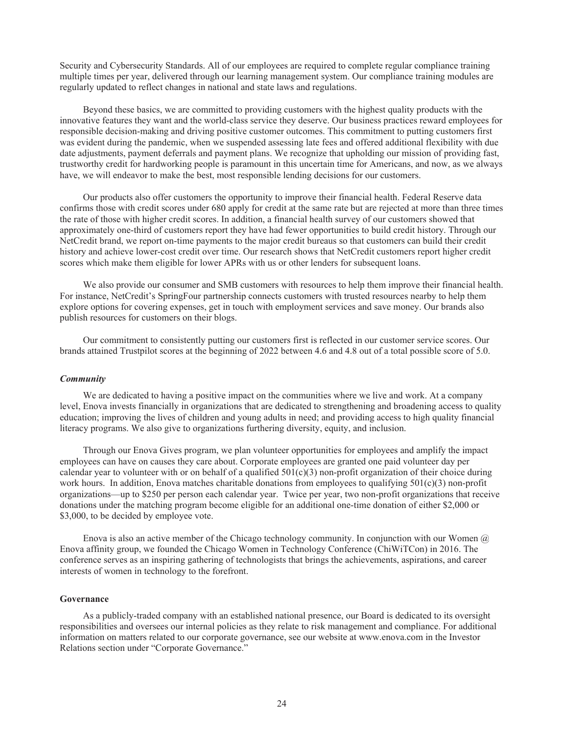Security and Cybersecurity Standards. All of our employees are required to complete regular compliance training multiple times per year, delivered through our learning management system. Our compliance training modules are regularly updated to reflect changes in national and state laws and regulations.

Beyond these basics, we are committed to providing customers with the highest quality products with the innovative features they want and the world-class service they deserve. Our business practices reward employees for responsible decision-making and driving positive customer outcomes. This commitment to putting customers first was evident during the pandemic, when we suspended assessing late fees and offered additional flexibility with due date adjustments, payment deferrals and payment plans. We recognize that upholding our mission of providing fast, trustworthy credit for hardworking people is paramount in this uncertain time for Americans, and now, as we always have, we will endeavor to make the best, most responsible lending decisions for our customers.

Our products also offer customers the opportunity to improve their financial health. Federal Reserve data confirms those with credit scores under 680 apply for credit at the same rate but are rejected at more than three times the rate of those with higher credit scores. In addition, a financial health survey of our customers showed that approximately one-third of customers report they have had fewer opportunities to build credit history. Through our NetCredit brand, we report on-time payments to the major credit bureaus so that customers can build their credit history and achieve lower-cost credit over time. Our research shows that NetCredit customers report higher credit scores which make them eligible for lower APRs with us or other lenders for subsequent loans.

We also provide our consumer and SMB customers with resources to help them improve their financial health. For instance, NetCredit's SpringFour partnership connects customers with trusted resources nearby to help them explore options for covering expenses, get in touch with employment services and save money. Our brands also publish resources for customers on their blogs.

Our commitment to consistently putting our customers first is reflected in our customer service scores. Our brands attained Trustpilot scores at the beginning of 2022 between 4.6 and 4.8 out of a total possible score of 5.0.

#### *Community*

We are dedicated to having a positive impact on the communities where we live and work. At a company level, Enova invests financially in organizations that are dedicated to strengthening and broadening access to quality education; improving the lives of children and young adults in need; and providing access to high quality financial literacy programs. We also give to organizations furthering diversity, equity, and inclusion.

Through our Enova Gives program, we plan volunteer opportunities for employees and amplify the impact employees can have on causes they care about. Corporate employees are granted one paid volunteer day per calendar year to volunteer with or on behalf of a qualified  $501(c)(3)$  non-profit organization of their choice during work hours. In addition, Enova matches charitable donations from employees to qualifying 501(c)(3) non-profit organizations—up to \$250 per person each calendar year. Twice per year, two non-profit organizations that receive donations under the matching program become eligible for an additional one-time donation of either \$2,000 or \$3,000, to be decided by employee vote.

Enova is also an active member of the Chicago technology community. In conjunction with our Women  $\omega$ Enova affinity group, we founded the Chicago Women in Technology Conference (ChiWiTCon) in 2016. The conference serves as an inspiring gathering of technologists that brings the achievements, aspirations, and career interests of women in technology to the forefront.

# **Governance**

As a publicly-traded company with an established national presence, our Board is dedicated to its oversight responsibilities and oversees our internal policies as they relate to risk management and compliance. For additional information on matters related to our corporate governance, see our website at www.enova.com in the Investor Relations section under "Corporate Governance."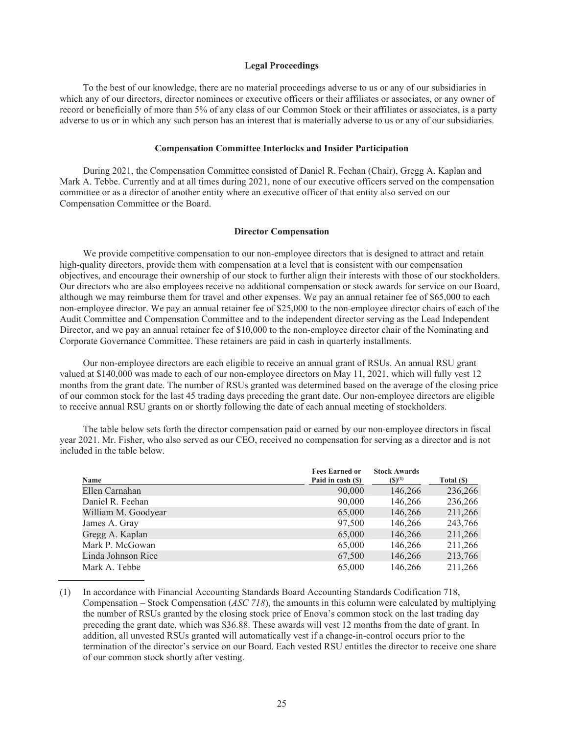### **Legal Proceedings**

To the best of our knowledge, there are no material proceedings adverse to us or any of our subsidiaries in which any of our directors, director nominees or executive officers or their affiliates or associates, or any owner of record or beneficially of more than 5% of any class of our Common Stock or their affiliates or associates, is a party adverse to us or in which any such person has an interest that is materially adverse to us or any of our subsidiaries.

## **Compensation Committee Interlocks and Insider Participation**

During 2021, the Compensation Committee consisted of Daniel R. Feehan (Chair), Gregg A. Kaplan and Mark A. Tebbe. Currently and at all times during 2021, none of our executive officers served on the compensation committee or as a director of another entity where an executive officer of that entity also served on our Compensation Committee or the Board.

#### **Director Compensation**

We provide competitive compensation to our non-employee directors that is designed to attract and retain high-quality directors, provide them with compensation at a level that is consistent with our compensation objectives, and encourage their ownership of our stock to further align their interests with those of our stockholders. Our directors who are also employees receive no additional compensation or stock awards for service on our Board, although we may reimburse them for travel and other expenses. We pay an annual retainer fee of \$65,000 to each non-employee director. We pay an annual retainer fee of \$25,000 to the non-employee director chairs of each of the Audit Committee and Compensation Committee and to the independent director serving as the Lead Independent Director, and we pay an annual retainer fee of \$10,000 to the non-employee director chair of the Nominating and Corporate Governance Committee. These retainers are paid in cash in quarterly installments.

Our non-employee directors are each eligible to receive an annual grant of RSUs. An annual RSU grant valued at \$140,000 was made to each of our non-employee directors on May 11, 2021, which will fully vest 12 months from the grant date. The number of RSUs granted was determined based on the average of the closing price of our common stock for the last 45 trading days preceding the grant date. Our non-employee directors are eligible to receive annual RSU grants on or shortly following the date of each annual meeting of stockholders.

The table below sets forth the director compensation paid or earned by our non-employee directors in fiscal year 2021. Mr. Fisher, who also served as our CEO, received no compensation for serving as a director and is not included in the table below.

|                     | <b>Fees Earned or</b> | <b>Stock Awards</b> |            |
|---------------------|-----------------------|---------------------|------------|
| Name                | Paid in cash (\$)     | $(S)^{(1)}$         | Total (\$) |
| Ellen Carnahan      | 90,000                | 146,266             | 236,266    |
| Daniel R. Feehan    | 90,000                | 146,266             | 236,266    |
| William M. Goodyear | 65,000                | 146,266             | 211,266    |
| James A. Gray       | 97,500                | 146,266             | 243,766    |
| Gregg A. Kaplan     | 65,000                | 146,266             | 211,266    |
| Mark P. McGowan     | 65,000                | 146,266             | 211,266    |
| Linda Johnson Rice  | 67,500                | 146,266             | 213,766    |
| Mark A. Tebbe       | 65,000                | 146,266             | 211,266    |

(1) In accordance with Financial Accounting Standards Board Accounting Standards Codification 718, Compensation – Stock Compensation (*ASC 718*), the amounts in this column were calculated by multiplying the number of RSUs granted by the closing stock price of Enova's common stock on the last trading day preceding the grant date, which was \$36.88. These awards will vest 12 months from the date of grant. In addition, all unvested RSUs granted will automatically vest if a change-in-control occurs prior to the termination of the director's service on our Board. Each vested RSU entitles the director to receive one share of our common stock shortly after vesting.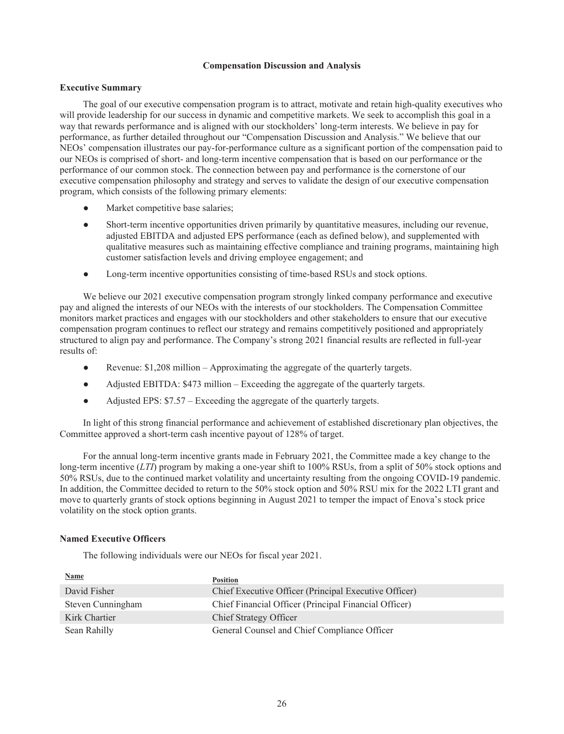## **Compensation Discussion and Analysis**

## **Executive Summary**

The goal of our executive compensation program is to attract, motivate and retain high-quality executives who will provide leadership for our success in dynamic and competitive markets. We seek to accomplish this goal in a way that rewards performance and is aligned with our stockholders' long-term interests. We believe in pay for performance, as further detailed throughout our "Compensation Discussion and Analysis." We believe that our NEOs' compensation illustrates our pay-for-performance culture as a significant portion of the compensation paid to our NEOs is comprised of short- and long-term incentive compensation that is based on our performance or the performance of our common stock. The connection between pay and performance is the cornerstone of our executive compensation philosophy and strategy and serves to validate the design of our executive compensation program, which consists of the following primary elements:

- Market competitive base salaries;
- Short-term incentive opportunities driven primarily by quantitative measures, including our revenue, adjusted EBITDA and adjusted EPS performance (each as defined below), and supplemented with qualitative measures such as maintaining effective compliance and training programs, maintaining high customer satisfaction levels and driving employee engagement; and
- Long-term incentive opportunities consisting of time-based RSUs and stock options.

We believe our 2021 executive compensation program strongly linked company performance and executive pay and aligned the interests of our NEOs with the interests of our stockholders. The Compensation Committee monitors market practices and engages with our stockholders and other stakeholders to ensure that our executive compensation program continues to reflect our strategy and remains competitively positioned and appropriately structured to align pay and performance. The Company's strong 2021 financial results are reflected in full-year results of:

- Revenue: \$1,208 million Approximating the aggregate of the quarterly targets.
- Adjusted EBITDA: \$473 million Exceeding the aggregate of the quarterly targets.
- Adjusted EPS: \$7.57 Exceeding the aggregate of the quarterly targets.

In light of this strong financial performance and achievement of established discretionary plan objectives, the Committee approved a short-term cash incentive payout of 128% of target.

For the annual long-term incentive grants made in February 2021, the Committee made a key change to the long-term incentive (*LTI*) program by making a one-year shift to 100% RSUs, from a split of 50% stock options and 50% RSUs, due to the continued market volatility and uncertainty resulting from the ongoing COVID-19 pandemic. In addition, the Committee decided to return to the 50% stock option and 50% RSU mix for the 2022 LTI grant and move to quarterly grants of stock options beginning in August 2021 to temper the impact of Enova's stock price volatility on the stock option grants.

# **Named Executive Officers**

The following individuals were our NEOs for fiscal year 2021.

| <b>Name</b>       | <b>Position</b>                                       |
|-------------------|-------------------------------------------------------|
| David Fisher      | Chief Executive Officer (Principal Executive Officer) |
| Steven Cunningham | Chief Financial Officer (Principal Financial Officer) |
| Kirk Chartier     | Chief Strategy Officer                                |
| Sean Rahilly      | General Counsel and Chief Compliance Officer          |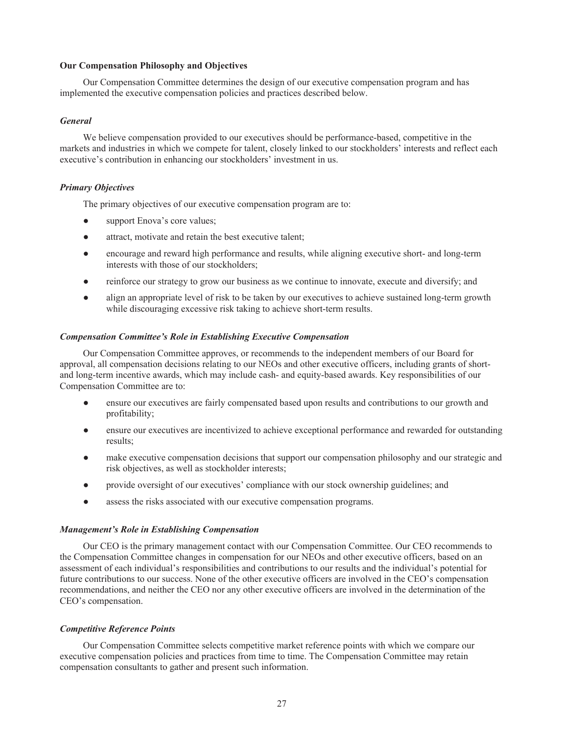## **Our Compensation Philosophy and Objectives**

Our Compensation Committee determines the design of our executive compensation program and has implemented the executive compensation policies and practices described below.

## *General*

We believe compensation provided to our executives should be performance-based, competitive in the markets and industries in which we compete for talent, closely linked to our stockholders' interests and reflect each executive's contribution in enhancing our stockholders' investment in us.

# *Primary Objectives*

The primary objectives of our executive compensation program are to:

- support Enova's core values;
- attract, motivate and retain the best executive talent:
- encourage and reward high performance and results, while aligning executive short- and long-term interests with those of our stockholders;
- reinforce our strategy to grow our business as we continue to innovate, execute and diversify; and
- align an appropriate level of risk to be taken by our executives to achieve sustained long-term growth while discouraging excessive risk taking to achieve short-term results.

## *Compensation Committee's Role in Establishing Executive Compensation*

Our Compensation Committee approves, or recommends to the independent members of our Board for approval, all compensation decisions relating to our NEOs and other executive officers, including grants of shortand long-term incentive awards, which may include cash- and equity-based awards. Key responsibilities of our Compensation Committee are to:

- ensure our executives are fairly compensated based upon results and contributions to our growth and profitability;
- ensure our executives are incentivized to achieve exceptional performance and rewarded for outstanding results;
- make executive compensation decisions that support our compensation philosophy and our strategic and risk objectives, as well as stockholder interests;
- provide oversight of our executives' compliance with our stock ownership guidelines; and
- assess the risks associated with our executive compensation programs.

## *Management's Role in Establishing Compensation*

Our CEO is the primary management contact with our Compensation Committee. Our CEO recommends to the Compensation Committee changes in compensation for our NEOs and other executive officers, based on an assessment of each individual's responsibilities and contributions to our results and the individual's potential for future contributions to our success. None of the other executive officers are involved in the CEO's compensation recommendations, and neither the CEO nor any other executive officers are involved in the determination of the CEO's compensation.

# *Competitive Reference Points*

Our Compensation Committee selects competitive market reference points with which we compare our executive compensation policies and practices from time to time. The Compensation Committee may retain compensation consultants to gather and present such information.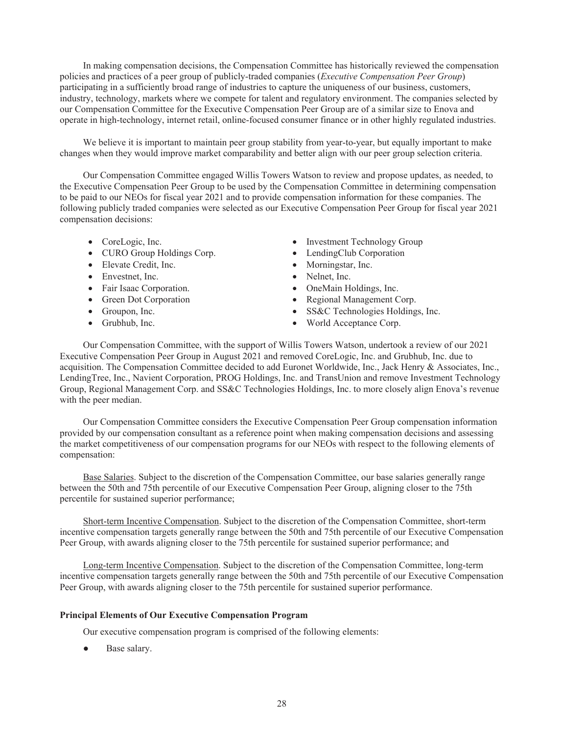In making compensation decisions, the Compensation Committee has historically reviewed the compensation policies and practices of a peer group of publicly-traded companies (*Executive Compensation Peer Group*) participating in a sufficiently broad range of industries to capture the uniqueness of our business, customers, industry, technology, markets where we compete for talent and regulatory environment. The companies selected by our Compensation Committee for the Executive Compensation Peer Group are of a similar size to Enova and operate in high-technology, internet retail, online-focused consumer finance or in other highly regulated industries.

We believe it is important to maintain peer group stability from year-to-year, but equally important to make changes when they would improve market comparability and better align with our peer group selection criteria.

Our Compensation Committee engaged Willis Towers Watson to review and propose updates, as needed, to the Executive Compensation Peer Group to be used by the Compensation Committee in determining compensation to be paid to our NEOs for fiscal year 2021 and to provide compensation information for these companies. The following publicly traded companies were selected as our Executive Compensation Peer Group for fiscal year 2021 compensation decisions:

- 
- CURO Group Holdings Corp. LendingClub Corporation
- Elevate Credit, Inc. Morningstar, Inc.
- Envestnet, Inc. Nelnet, Inc.
- 
- 
- 
- 
- CoreLogic, Inc. Investment Technology Group
	-
	-
	-
- Fair Isaac Corporation. OneMain Holdings, Inc.
- Green Dot Corporation Regional Management Corp.
- Groupon, Inc. SS&C Technologies Holdings, Inc.
- Grubhub, Inc. World Acceptance Corp.

Our Compensation Committee, with the support of Willis Towers Watson, undertook a review of our 2021 Executive Compensation Peer Group in August 2021 and removed CoreLogic, Inc. and Grubhub, Inc. due to acquisition. The Compensation Committee decided to add Euronet Worldwide, Inc., Jack Henry & Associates, Inc., LendingTree, Inc., Navient Corporation, PROG Holdings, Inc. and TransUnion and remove Investment Technology Group, Regional Management Corp. and SS&C Technologies Holdings, Inc. to more closely align Enova's revenue with the peer median.

Our Compensation Committee considers the Executive Compensation Peer Group compensation information provided by our compensation consultant as a reference point when making compensation decisions and assessing the market competitiveness of our compensation programs for our NEOs with respect to the following elements of compensation:

Base Salaries. Subject to the discretion of the Compensation Committee, our base salaries generally range between the 50th and 75th percentile of our Executive Compensation Peer Group, aligning closer to the 75th percentile for sustained superior performance;

Short-term Incentive Compensation. Subject to the discretion of the Compensation Committee, short-term incentive compensation targets generally range between the 50th and 75th percentile of our Executive Compensation Peer Group, with awards aligning closer to the 75th percentile for sustained superior performance; and

Long-term Incentive Compensation. Subject to the discretion of the Compensation Committee, long-term incentive compensation targets generally range between the 50th and 75th percentile of our Executive Compensation Peer Group, with awards aligning closer to the 75th percentile for sustained superior performance.

# **Principal Elements of Our Executive Compensation Program**

Our executive compensation program is comprised of the following elements:

Base salary.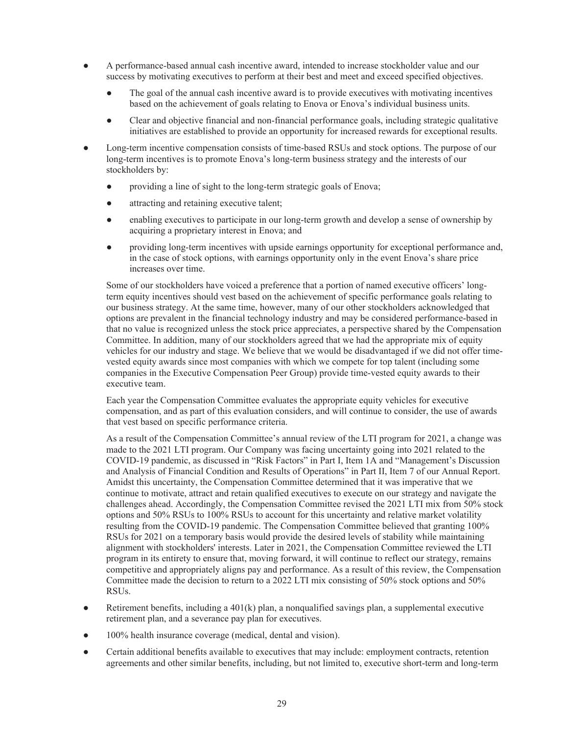- A performance-based annual cash incentive award, intended to increase stockholder value and our success by motivating executives to perform at their best and meet and exceed specified objectives.
	- The goal of the annual cash incentive award is to provide executives with motivating incentives based on the achievement of goals relating to Enova or Enova's individual business units.
	- Clear and objective financial and non-financial performance goals, including strategic qualitative initiatives are established to provide an opportunity for increased rewards for exceptional results.
- Long-term incentive compensation consists of time-based RSUs and stock options. The purpose of our long-term incentives is to promote Enova's long-term business strategy and the interests of our stockholders by:
	- providing a line of sight to the long-term strategic goals of Enova;
	- attracting and retaining executive talent;
	- enabling executives to participate in our long-term growth and develop a sense of ownership by acquiring a proprietary interest in Enova; and
	- providing long-term incentives with upside earnings opportunity for exceptional performance and, in the case of stock options, with earnings opportunity only in the event Enova's share price increases over time.

Some of our stockholders have voiced a preference that a portion of named executive officers' longterm equity incentives should vest based on the achievement of specific performance goals relating to our business strategy. At the same time, however, many of our other stockholders acknowledged that options are prevalent in the financial technology industry and may be considered performance-based in that no value is recognized unless the stock price appreciates, a perspective shared by the Compensation Committee. In addition, many of our stockholders agreed that we had the appropriate mix of equity vehicles for our industry and stage. We believe that we would be disadvantaged if we did not offer timevested equity awards since most companies with which we compete for top talent (including some companies in the Executive Compensation Peer Group) provide time-vested equity awards to their executive team.

Each year the Compensation Committee evaluates the appropriate equity vehicles for executive compensation, and as part of this evaluation considers, and will continue to consider, the use of awards that vest based on specific performance criteria.

As a result of the Compensation Committee's annual review of the LTI program for 2021, a change was made to the 2021 LTI program. Our Company was facing uncertainty going into 2021 related to the COVID-19 pandemic, as discussed in "Risk Factors" in Part I, Item 1A and "Management's Discussion and Analysis of Financial Condition and Results of Operations" in Part II, Item 7 of our Annual Report. Amidst this uncertainty, the Compensation Committee determined that it was imperative that we continue to motivate, attract and retain qualified executives to execute on our strategy and navigate the challenges ahead. Accordingly, the Compensation Committee revised the 2021 LTI mix from 50% stock options and 50% RSUs to 100% RSUs to account for this uncertainty and relative market volatility resulting from the COVID-19 pandemic. The Compensation Committee believed that granting 100% RSUs for 2021 on a temporary basis would provide the desired levels of stability while maintaining alignment with stockholders' interests. Later in 2021, the Compensation Committee reviewed the LTI program in its entirety to ensure that, moving forward, it will continue to reflect our strategy, remains competitive and appropriately aligns pay and performance. As a result of this review, the Compensation Committee made the decision to return to a 2022 LTI mix consisting of 50% stock options and 50% RSUs.

- $\bullet$  Retirement benefits, including a 401(k) plan, a nonqualified savings plan, a supplemental executive retirement plan, and a severance pay plan for executives.
- 100% health insurance coverage (medical, dental and vision).
- Certain additional benefits available to executives that may include: employment contracts, retention agreements and other similar benefits, including, but not limited to, executive short-term and long-term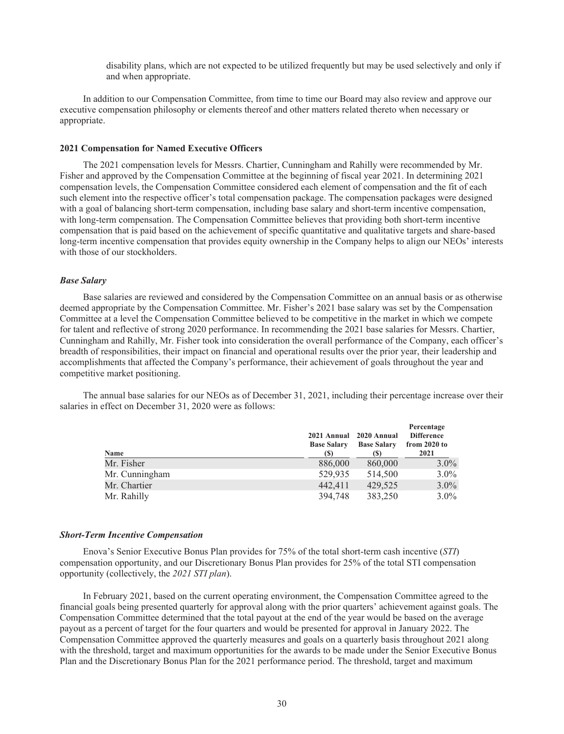disability plans, which are not expected to be utilized frequently but may be used selectively and only if and when appropriate.

In addition to our Compensation Committee, from time to time our Board may also review and approve our executive compensation philosophy or elements thereof and other matters related thereto when necessary or appropriate.

## **2021 Compensation for Named Executive Officers**

The 2021 compensation levels for Messrs. Chartier, Cunningham and Rahilly were recommended by Mr. Fisher and approved by the Compensation Committee at the beginning of fiscal year 2021. In determining 2021 compensation levels, the Compensation Committee considered each element of compensation and the fit of each such element into the respective officer's total compensation package. The compensation packages were designed with a goal of balancing short-term compensation, including base salary and short-term incentive compensation, with long-term compensation. The Compensation Committee believes that providing both short-term incentive compensation that is paid based on the achievement of specific quantitative and qualitative targets and share-based long-term incentive compensation that provides equity ownership in the Company helps to align our NEOs' interests with those of our stockholders.

## *Base Salary*

Base salaries are reviewed and considered by the Compensation Committee on an annual basis or as otherwise deemed appropriate by the Compensation Committee. Mr. Fisher's 2021 base salary was set by the Compensation Committee at a level the Compensation Committee believed to be competitive in the market in which we compete for talent and reflective of strong 2020 performance. In recommending the 2021 base salaries for Messrs. Chartier, Cunningham and Rahilly, Mr. Fisher took into consideration the overall performance of the Company, each officer's breadth of responsibilities, their impact on financial and operational results over the prior year, their leadership and accomplishments that affected the Company's performance, their achievement of goals throughout the year and competitive market positioning.

The annual base salaries for our NEOs as of December 31, 2021, including their percentage increase over their salaries in effect on December 31, 2020 were as follows:

| Name           | 2021 Annual 2020 Annual<br><b>Base Salary</b><br><b>(S)</b> | <b>Base Salary</b><br>(S) | Percentage<br><b>Difference</b><br>from $2020$ to<br>2021 |
|----------------|-------------------------------------------------------------|---------------------------|-----------------------------------------------------------|
| Mr. Fisher     | 886,000                                                     | 860,000                   | $3.0\%$                                                   |
| Mr. Cunningham | 529,935                                                     | 514,500                   | $3.0\%$                                                   |
| Mr. Chartier   | 442.411                                                     | 429.525                   | $3.0\%$                                                   |
| Mr. Rahilly    | 394,748                                                     | 383,250                   | $3.0\%$                                                   |

#### *Short-Term Incentive Compensation*

Enova's Senior Executive Bonus Plan provides for 75% of the total short-term cash incentive (*STI*) compensation opportunity, and our Discretionary Bonus Plan provides for 25% of the total STI compensation opportunity (collectively, the *2021 STI plan*).

In February 2021, based on the current operating environment, the Compensation Committee agreed to the financial goals being presented quarterly for approval along with the prior quarters' achievement against goals. The Compensation Committee determined that the total payout at the end of the year would be based on the average payout as a percent of target for the four quarters and would be presented for approval in January 2022. The Compensation Committee approved the quarterly measures and goals on a quarterly basis throughout 2021 along with the threshold, target and maximum opportunities for the awards to be made under the Senior Executive Bonus Plan and the Discretionary Bonus Plan for the 2021 performance period. The threshold, target and maximum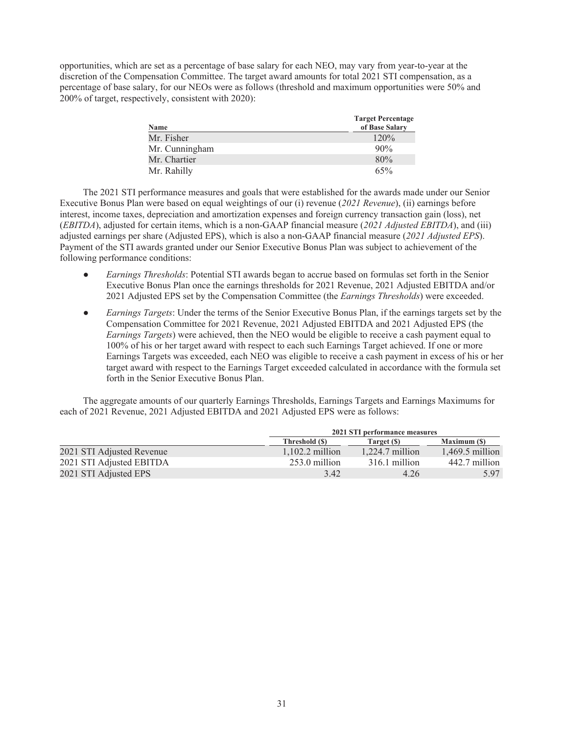opportunities, which are set as a percentage of base salary for each NEO, may vary from year-to-year at the discretion of the Compensation Committee. The target award amounts for total 2021 STI compensation, as a percentage of base salary, for our NEOs were as follows (threshold and maximum opportunities were 50% and 200% of target, respectively, consistent with 2020):

| <b>Name</b>    | <b>Target Percentage</b><br>of Base Salary |
|----------------|--------------------------------------------|
| Mr. Fisher     | 120%                                       |
| Mr. Cunningham | 90%                                        |
| Mr. Chartier   | 80%                                        |
| Mr. Rahilly    | 65%                                        |

The 2021 STI performance measures and goals that were established for the awards made under our Senior Executive Bonus Plan were based on equal weightings of our (i) revenue (*2021 Revenue*), (ii) earnings before interest, income taxes, depreciation and amortization expenses and foreign currency transaction gain (loss), net (*EBITDA*), adjusted for certain items, which is a non-GAAP financial measure (*2021 Adjusted EBITDA*), and (iii) adjusted earnings per share (Adjusted EPS), which is also a non-GAAP financial measure (*2021 Adjusted EPS*). Payment of the STI awards granted under our Senior Executive Bonus Plan was subject to achievement of the following performance conditions:

- *Earnings Thresholds*: Potential STI awards began to accrue based on formulas set forth in the Senior Executive Bonus Plan once the earnings thresholds for 2021 Revenue, 2021 Adjusted EBITDA and/or 2021 Adjusted EPS set by the Compensation Committee (the *Earnings Thresholds*) were exceeded.
- *Earnings Targets*: Under the terms of the Senior Executive Bonus Plan, if the earnings targets set by the Compensation Committee for 2021 Revenue, 2021 Adjusted EBITDA and 2021 Adjusted EPS (the *Earnings Targets*) were achieved, then the NEO would be eligible to receive a cash payment equal to 100% of his or her target award with respect to each such Earnings Target achieved. If one or more Earnings Targets was exceeded, each NEO was eligible to receive a cash payment in excess of his or her target award with respect to the Earnings Target exceeded calculated in accordance with the formula set forth in the Senior Executive Bonus Plan.

The aggregate amounts of our quarterly Earnings Thresholds, Earnings Targets and Earnings Maximums for each of 2021 Revenue, 2021 Adjusted EBITDA and 2021 Adjusted EPS were as follows:

|                           |                   | 2021 STI performance measures |                    |  |
|---------------------------|-------------------|-------------------------------|--------------------|--|
|                           | Threshold (\$)    | Target (S)                    | <b>Maximum (S)</b> |  |
| 2021 STI Adjusted Revenue | $1.102.2$ million | $1,224.7$ million             | $1,469.5$ million  |  |
| 2021 STI Adjusted EBITDA  | $253.0$ million   | 316.1 million                 | 442.7 million      |  |
| 2021 STI Adjusted EPS     | 3.42              | 4.26                          | 597                |  |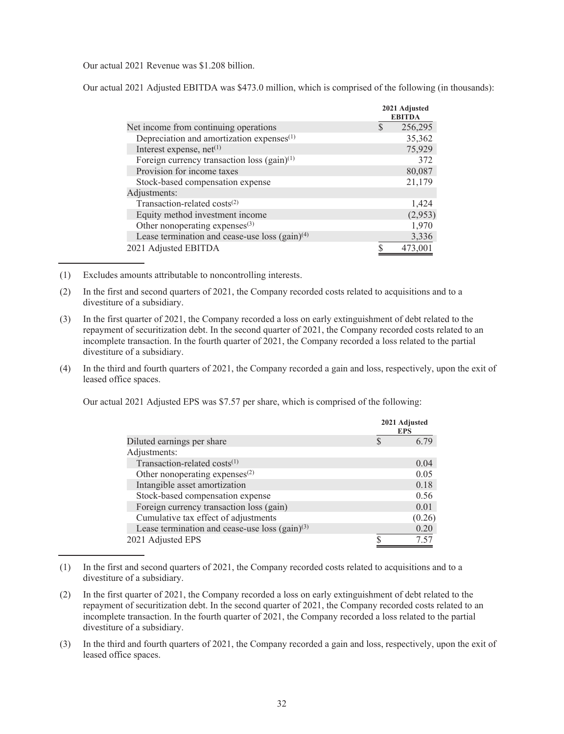Our actual 2021 Revenue was \$1.208 billion.

Our actual 2021 Adjusted EBITDA was \$473.0 million, which is comprised of the following (in thousands):

|                                                       | 2021 Adjusted<br><b>EBITDA</b> |
|-------------------------------------------------------|--------------------------------|
| Net income from continuing operations.                | 256,295                        |
| Depreciation and amortization expenses <sup>(1)</sup> | 35,362                         |
| Interest expense, $net(1)$                            | 75,929                         |
| Foreign currency transaction loss $(gain)^{(1)}$      | 372                            |
| Provision for income taxes                            | 80,087                         |
| Stock-based compensation expense                      | 21,179                         |
| Adjustments:                                          |                                |
| Transaction-related costs <sup>(2)</sup>              | 1,424                          |
| Equity method investment income                       | (2,953)                        |
| Other nonoperating expenses $(3)$                     | 1,970                          |
| Lease termination and cease-use loss $(gain)^{(4)}$   | 3,336                          |
| 2021 Adjusted EBITDA                                  | 473,001                        |

(1) Excludes amounts attributable to noncontrolling interests.

(2) In the first and second quarters of 2021, the Company recorded costs related to acquisitions and to a divestiture of a subsidiary.

- (3) In the first quarter of 2021, the Company recorded a loss on early extinguishment of debt related to the repayment of securitization debt. In the second quarter of 2021, the Company recorded costs related to an incomplete transaction. In the fourth quarter of 2021, the Company recorded a loss related to the partial divestiture of a subsidiary.
- (4) In the third and fourth quarters of 2021, the Company recorded a gain and loss, respectively, upon the exit of leased office spaces.

Our actual 2021 Adjusted EPS was \$7.57 per share, which is comprised of the following:

|                                                     | 2021 Adjusted<br><b>EPS</b> |
|-----------------------------------------------------|-----------------------------|
| Diluted earnings per share                          | 6.79                        |
| Adjustments:                                        |                             |
| Transaction-related costs $(1)$                     | 0.04                        |
| Other nonoperating expenses $(2)$                   | 0.05                        |
| Intangible asset amortization                       | 0.18                        |
| Stock-based compensation expense                    | 0.56                        |
| Foreign currency transaction loss (gain)            | 0.01                        |
| Cumulative tax effect of adjustments                | (0.26)                      |
| Lease termination and cease-use loss $(gain)^{(3)}$ | 0.20                        |
| 2021 Adjusted EPS                                   | 7.57                        |

<sup>(1)</sup> In the first and second quarters of 2021, the Company recorded costs related to acquisitions and to a divestiture of a subsidiary.

<sup>(2)</sup> In the first quarter of 2021, the Company recorded a loss on early extinguishment of debt related to the repayment of securitization debt. In the second quarter of 2021, the Company recorded costs related to an incomplete transaction. In the fourth quarter of 2021, the Company recorded a loss related to the partial divestiture of a subsidiary.

<sup>(3)</sup> In the third and fourth quarters of 2021, the Company recorded a gain and loss, respectively, upon the exit of leased office spaces.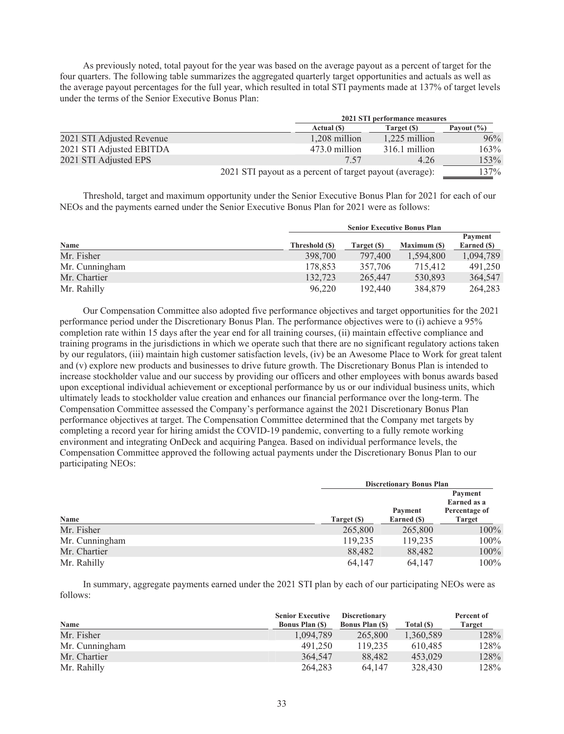As previously noted, total payout for the year was based on the average payout as a percent of target for the four quarters. The following table summarizes the aggregated quarterly target opportunities and actuals as well as the average payout percentages for the full year, which resulted in total STI payments made at 137% of target levels under the terms of the Senior Executive Bonus Plan:

|                           |                                                          | 2021 STI performance measures |               |                |  |
|---------------------------|----------------------------------------------------------|-------------------------------|---------------|----------------|--|
|                           |                                                          | Actual (\$)                   | Target (\$)   | Payout $(\% )$ |  |
| 2021 STI Adjusted Revenue |                                                          | 1,208 million                 | 1,225 million | 96%            |  |
| 2021 STI Adjusted EBITDA  |                                                          | 473.0 million                 | 316.1 million | 163%           |  |
| 2021 STI Adjusted EPS     |                                                          | 7.57                          | 4.26          | 153%           |  |
|                           | 2021 STI payout as a percent of target payout (average): |                               |               | 137%           |  |

Threshold, target and maximum opportunity under the Senior Executive Bonus Plan for 2021 for each of our NEOs and the payments earned under the Senior Executive Bonus Plan for 2021 were as follows:

|                | <b>Senior Executive Bonus Plan</b> |             |                     |             |
|----------------|------------------------------------|-------------|---------------------|-------------|
|                |                                    |             |                     | Payment     |
| <b>Name</b>    | Threshold (\$)                     | Target (\$) | <b>Maximum (\$)</b> | Earned (\$) |
| Mr. Fisher     | 398,700                            | 797,400     | 1.594.800           | 1,094,789   |
| Mr. Cunningham | 178,853                            | 357,706     | 715,412             | 491,250     |
| Mr. Chartier   | 132,723                            | 265,447     | 530,893             | 364,547     |
| Mr. Rahilly    | 96.220                             | 192,440     | 384,879             | 264,283     |

Our Compensation Committee also adopted five performance objectives and target opportunities for the 2021 performance period under the Discretionary Bonus Plan. The performance objectives were to (i) achieve a 95% completion rate within 15 days after the year end for all training courses, (ii) maintain effective compliance and training programs in the jurisdictions in which we operate such that there are no significant regulatory actions taken by our regulators, (iii) maintain high customer satisfaction levels, (iv) be an Awesome Place to Work for great talent and (v) explore new products and businesses to drive future growth. The Discretionary Bonus Plan is intended to increase stockholder value and our success by providing our officers and other employees with bonus awards based upon exceptional individual achievement or exceptional performance by us or our individual business units, which ultimately leads to stockholder value creation and enhances our financial performance over the long-term. The Compensation Committee assessed the Company's performance against the 2021 Discretionary Bonus Plan performance objectives at target. The Compensation Committee determined that the Company met targets by completing a record year for hiring amidst the COVID-19 pandemic, converting to a fully remote working environment and integrating OnDeck and acquiring Pangea. Based on individual performance levels, the Compensation Committee approved the following actual payments under the Discretionary Bonus Plan to our participating NEOs:

|                |             | <b>Discretionary Bonus Plan</b> |                                         |  |  |
|----------------|-------------|---------------------------------|-----------------------------------------|--|--|
|                |             | Payment                         | Payment<br>Earned as a<br>Percentage of |  |  |
| Name           | Target (\$) | Earned (\$)                     | <b>Target</b>                           |  |  |
| Mr. Fisher     | 265,800     | 265,800                         | $100\%$                                 |  |  |
| Mr. Cunningham | 119,235     | 119,235                         | $100\%$                                 |  |  |
| Mr. Chartier   | 88,482      | 88,482                          | $100\%$                                 |  |  |
| Mr. Rahilly    | 64,147      | 64,147                          | $100\%$                                 |  |  |

In summary, aggregate payments earned under the 2021 STI plan by each of our participating NEOs were as follows:

|                | <b>Senior Executive</b> | <b>Discretionary</b>  |            | Percent of    |
|----------------|-------------------------|-----------------------|------------|---------------|
| Name           | <b>Bonus Plan (S)</b>   | <b>Bonus Plan (S)</b> | Total (\$) | <b>Target</b> |
| Mr. Fisher     | 1.094.789               | 265,800               | 1,360,589  | 128%          |
| Mr. Cunningham | 491.250                 | 119.235               | 610.485    | 128%          |
| Mr. Chartier   | 364,547                 | 88.482                | 453.029    | 128%          |
| Mr. Rahilly    | 264,283                 | 64.147                | 328,430    | 128%          |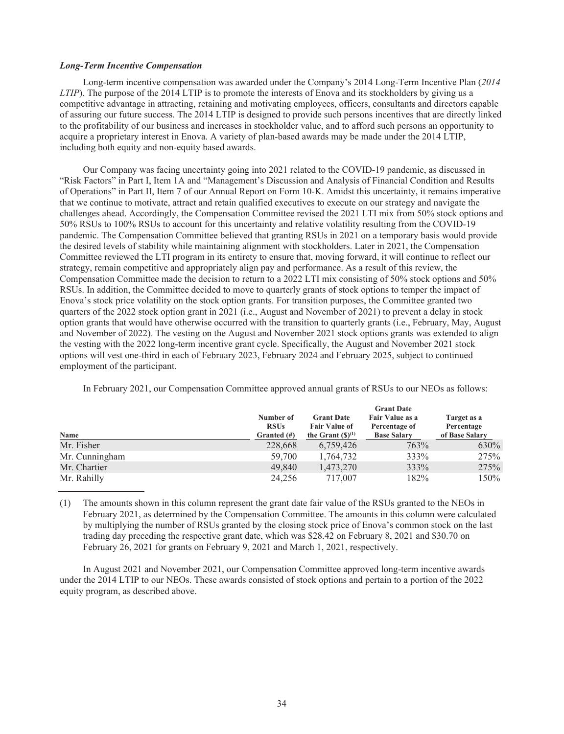#### *Long-Term Incentive Compensation*

Long-term incentive compensation was awarded under the Company's 2014 Long-Term Incentive Plan (*2014 LTIP*). The purpose of the 2014 LTIP is to promote the interests of Enova and its stockholders by giving us a competitive advantage in attracting, retaining and motivating employees, officers, consultants and directors capable of assuring our future success. The 2014 LTIP is designed to provide such persons incentives that are directly linked to the profitability of our business and increases in stockholder value, and to afford such persons an opportunity to acquire a proprietary interest in Enova. A variety of plan-based awards may be made under the 2014 LTIP, including both equity and non-equity based awards.

Our Company was facing uncertainty going into 2021 related to the COVID-19 pandemic, as discussed in "Risk Factors" in Part I, Item 1A and "Management's Discussion and Analysis of Financial Condition and Results of Operations" in Part II, Item 7 of our Annual Report on Form 10-K. Amidst this uncertainty, it remains imperative that we continue to motivate, attract and retain qualified executives to execute on our strategy and navigate the challenges ahead. Accordingly, the Compensation Committee revised the 2021 LTI mix from 50% stock options and 50% RSUs to 100% RSUs to account for this uncertainty and relative volatility resulting from the COVID-19 pandemic. The Compensation Committee believed that granting RSUs in 2021 on a temporary basis would provide the desired levels of stability while maintaining alignment with stockholders. Later in 2021, the Compensation Committee reviewed the LTI program in its entirety to ensure that, moving forward, it will continue to reflect our strategy, remain competitive and appropriately align pay and performance. As a result of this review, the Compensation Committee made the decision to return to a 2022 LTI mix consisting of 50% stock options and 50% RSUs. In addition, the Committee decided to move to quarterly grants of stock options to temper the impact of Enova's stock price volatility on the stock option grants. For transition purposes, the Committee granted two quarters of the 2022 stock option grant in 2021 (i.e., August and November of 2021) to prevent a delay in stock option grants that would have otherwise occurred with the transition to quarterly grants (i.e., February, May, August and November of 2022). The vesting on the August and November 2021 stock options grants was extended to align the vesting with the 2022 long-term incentive grant cycle. Specifically, the August and November 2021 stock options will vest one-third in each of February 2023, February 2024 and February 2025, subject to continued employment of the participant.

|  |  | In February 2021, our Compensation Committee approved annual grants of RSUs to our NEOs as follows: |  |  |  |  |
|--|--|-----------------------------------------------------------------------------------------------------|--|--|--|--|
|  |  |                                                                                                     |  |  |  |  |

|                | <b>Grant Date</b>        |                                           |                                  |                           |
|----------------|--------------------------|-------------------------------------------|----------------------------------|---------------------------|
|                | Number of<br><b>RSUs</b> | <b>Grant Date</b><br><b>Fair Value of</b> | Fair Value as a<br>Percentage of | Target as a<br>Percentage |
| Name           | Granted $(\#)$           | the Grant $(S)^{(1)}$                     | <b>Base Salary</b>               | of Base Salary            |
| Mr. Fisher     | 228,668                  | 6,759,426                                 | 763%                             | 630%                      |
| Mr. Cunningham | 59,700                   | 1,764,732                                 | 333%                             | 275%                      |
| Mr. Chartier   | 49,840                   | 1,473,270                                 | 333%                             | 275%                      |
| Mr. Rahilly    | 24,256                   | 717,007                                   | 182%                             | 150%                      |

(1) The amounts shown in this column represent the grant date fair value of the RSUs granted to the NEOs in February 2021, as determined by the Compensation Committee. The amounts in this column were calculated by multiplying the number of RSUs granted by the closing stock price of Enova's common stock on the last trading day preceding the respective grant date, which was \$28.42 on February 8, 2021 and \$30.70 on February 26, 2021 for grants on February 9, 2021 and March 1, 2021, respectively.

In August 2021 and November 2021, our Compensation Committee approved long-term incentive awards under the 2014 LTIP to our NEOs. These awards consisted of stock options and pertain to a portion of the 2022 equity program, as described above.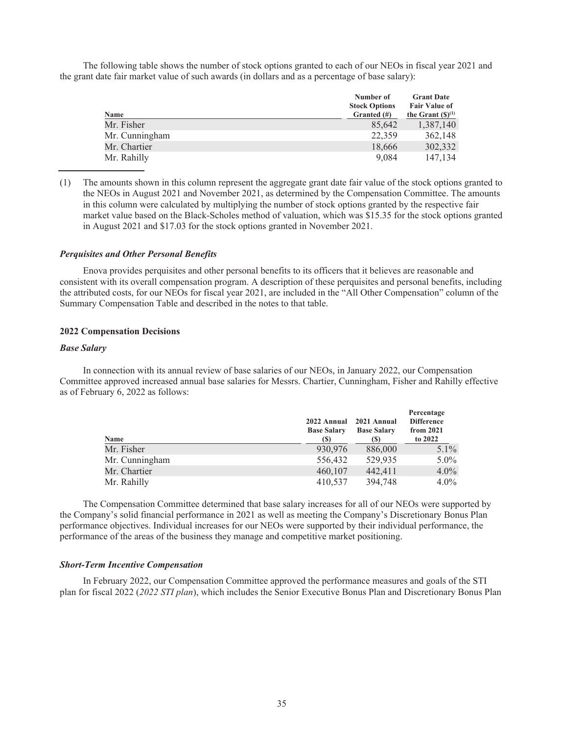The following table shows the number of stock options granted to each of our NEOs in fiscal year 2021 and the grant date fair market value of such awards (in dollars and as a percentage of base salary):

|                | Number of<br><b>Stock Options</b> | <b>Grant Date</b><br><b>Fair Value of</b> |
|----------------|-----------------------------------|-------------------------------------------|
| Name           | Granted $(\#)$                    | the Grant $(\mathbb{S})^{(1)}$            |
| Mr. Fisher     | 85,642                            | 1,387,140                                 |
| Mr. Cunningham | 22,359                            | 362,148                                   |
| Mr. Chartier   | 18,666                            | 302,332                                   |
| Mr. Rahilly    | 9,084                             | 147,134                                   |

(1) The amounts shown in this column represent the aggregate grant date fair value of the stock options granted to the NEOs in August 2021 and November 2021, as determined by the Compensation Committee. The amounts in this column were calculated by multiplying the number of stock options granted by the respective fair market value based on the Black-Scholes method of valuation, which was \$15.35 for the stock options granted in August 2021 and \$17.03 for the stock options granted in November 2021.

#### *Perquisites and Other Personal Benefits*

Enova provides perquisites and other personal benefits to its officers that it believes are reasonable and consistent with its overall compensation program. A description of these perquisites and personal benefits, including the attributed costs, for our NEOs for fiscal year 2021, are included in the "All Other Compensation" column of the Summary Compensation Table and described in the notes to that table.

#### **2022 Compensation Decisions**

#### *Base Salary*

In connection with its annual review of base salaries of our NEOs, in January 2022, our Compensation Committee approved increased annual base salaries for Messrs. Chartier, Cunningham, Fisher and Rahilly effective as of February 6, 2022 as follows:

| Name           | 2022 Annual<br><b>Base Salary</b><br>(S) | 2021 Annual<br><b>Base Salary</b><br>(S) | Percentage<br><b>Difference</b><br>from 2021<br>to 2022 |
|----------------|------------------------------------------|------------------------------------------|---------------------------------------------------------|
| Mr. Fisher     | 930,976                                  | 886,000                                  | $5.1\%$                                                 |
| Mr. Cunningham | 556,432                                  | 529,935                                  | $5.0\%$                                                 |
| Mr. Chartier   | 460,107                                  | 442,411                                  | $4.0\%$                                                 |
| Mr. Rahilly    | 410,537                                  | 394,748                                  | $4.0\%$                                                 |

The Compensation Committee determined that base salary increases for all of our NEOs were supported by the Company's solid financial performance in 2021 as well as meeting the Company's Discretionary Bonus Plan performance objectives. Individual increases for our NEOs were supported by their individual performance, the performance of the areas of the business they manage and competitive market positioning.

#### *Short-Term Incentive Compensation*

In February 2022, our Compensation Committee approved the performance measures and goals of the STI plan for fiscal 2022 (*2022 STI plan*), which includes the Senior Executive Bonus Plan and Discretionary Bonus Plan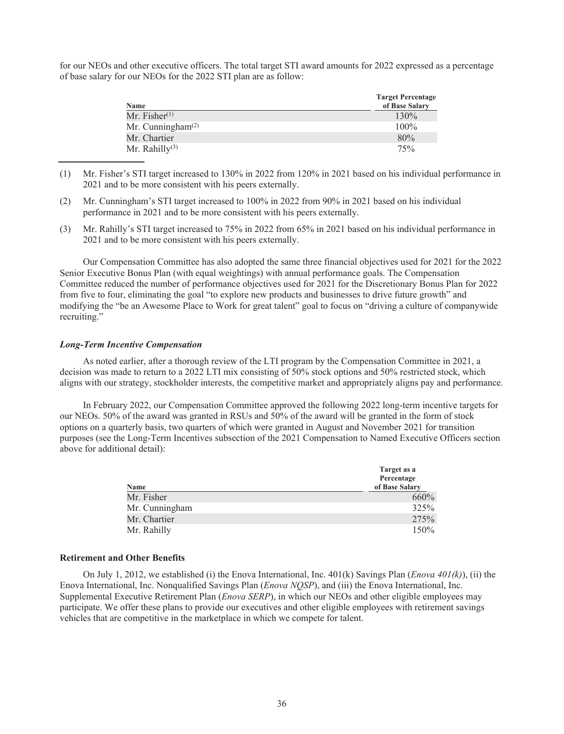for our NEOs and other executive officers. The total target STI award amounts for 2022 expressed as a percentage of base salary for our NEOs for the 2022 STI plan are as follow:

| Name                       | <b>Target Percentage</b><br>of Base Salary |
|----------------------------|--------------------------------------------|
| Mr. Fisher $(1)$           | 130%                                       |
| Mr. Cunningham $(2)$       | 100%                                       |
| Mr. Chartier               | 80%                                        |
| Mr. Rahilly <sup>(3)</sup> | 75%                                        |

(1) Mr. Fisher's STI target increased to 130% in 2022 from 120% in 2021 based on his individual performance in 2021 and to be more consistent with his peers externally.

(3) Mr. Rahilly's STI target increased to 75% in 2022 from 65% in 2021 based on his individual performance in 2021 and to be more consistent with his peers externally.

Our Compensation Committee has also adopted the same three financial objectives used for 2021 for the 2022 Senior Executive Bonus Plan (with equal weightings) with annual performance goals. The Compensation Committee reduced the number of performance objectives used for 2021 for the Discretionary Bonus Plan for 2022 from five to four, eliminating the goal "to explore new products and businesses to drive future growth" and modifying the "be an Awesome Place to Work for great talent" goal to focus on "driving a culture of companywide recruiting."

#### *Long-Term Incentive Compensation*

As noted earlier, after a thorough review of the LTI program by the Compensation Committee in 2021, a decision was made to return to a 2022 LTI mix consisting of 50% stock options and 50% restricted stock, which aligns with our strategy, stockholder interests, the competitive market and appropriately aligns pay and performance.

In February 2022, our Compensation Committee approved the following 2022 long-term incentive targets for our NEOs. 50% of the award was granted in RSUs and 50% of the award will be granted in the form of stock options on a quarterly basis, two quarters of which were granted in August and November 2021 for transition purposes (see the Long-Term Incentives subsection of the 2021 Compensation to Named Executive Officers section above for additional detail):

| Name           | Target as a<br>Percentage<br>of Base Salary |
|----------------|---------------------------------------------|
| Mr. Fisher     | 660%                                        |
| Mr. Cunningham | 325%                                        |
| Mr. Chartier   | 275%                                        |
| Mr. Rahilly    | 150%                                        |

#### **Retirement and Other Benefits**

On July 1, 2012, we established (i) the Enova International, Inc. 401(k) Savings Plan (*Enova 401(k)*), (ii) the Enova International, Inc. Nonqualified Savings Plan (*Enova NQSP*), and (iii) the Enova International, Inc. Supplemental Executive Retirement Plan (*Enova SERP*), in which our NEOs and other eligible employees may participate. We offer these plans to provide our executives and other eligible employees with retirement savings vehicles that are competitive in the marketplace in which we compete for talent.

<sup>(2)</sup> Mr. Cunningham's STI target increased to 100% in 2022 from 90% in 2021 based on his individual performance in 2021 and to be more consistent with his peers externally.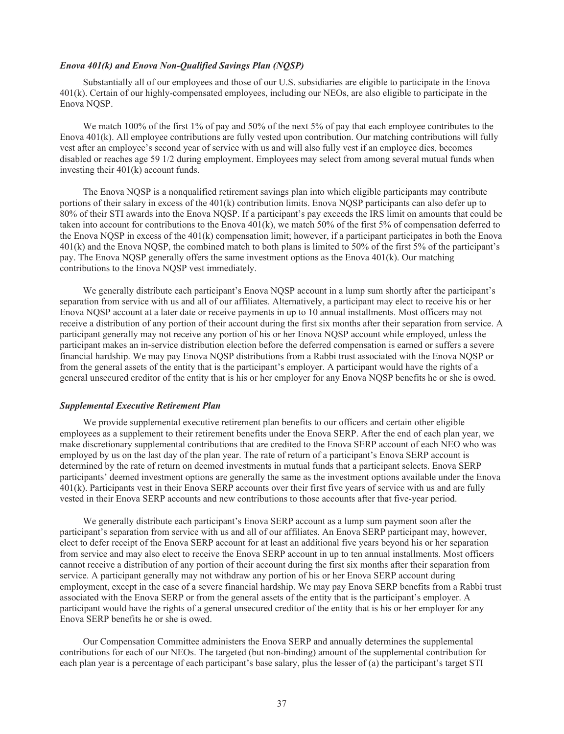### *Enova 401(k) and Enova Non-Qualified Savings Plan (NQSP)*

Substantially all of our employees and those of our U.S. subsidiaries are eligible to participate in the Enova 401(k). Certain of our highly-compensated employees, including our NEOs, are also eligible to participate in the Enova NQSP.

We match 100% of the first 1% of pay and 50% of the next 5% of pay that each employee contributes to the Enova 401(k). All employee contributions are fully vested upon contribution. Our matching contributions will fully vest after an employee's second year of service with us and will also fully vest if an employee dies, becomes disabled or reaches age 59 1/2 during employment. Employees may select from among several mutual funds when investing their 401(k) account funds.

The Enova NQSP is a nonqualified retirement savings plan into which eligible participants may contribute portions of their salary in excess of the 401(k) contribution limits. Enova NQSP participants can also defer up to 80% of their STI awards into the Enova NQSP. If a participant's pay exceeds the IRS limit on amounts that could be taken into account for contributions to the Enova 401(k), we match 50% of the first 5% of compensation deferred to the Enova NQSP in excess of the 401(k) compensation limit; however, if a participant participates in both the Enova 401(k) and the Enova NQSP, the combined match to both plans is limited to 50% of the first 5% of the participant's pay. The Enova NQSP generally offers the same investment options as the Enova 401(k). Our matching contributions to the Enova NQSP vest immediately.

We generally distribute each participant's Enova NOSP account in a lump sum shortly after the participant's separation from service with us and all of our affiliates. Alternatively, a participant may elect to receive his or her Enova NQSP account at a later date or receive payments in up to 10 annual installments. Most officers may not receive a distribution of any portion of their account during the first six months after their separation from service. A participant generally may not receive any portion of his or her Enova NQSP account while employed, unless the participant makes an in-service distribution election before the deferred compensation is earned or suffers a severe financial hardship. We may pay Enova NQSP distributions from a Rabbi trust associated with the Enova NQSP or from the general assets of the entity that is the participant's employer. A participant would have the rights of a general unsecured creditor of the entity that is his or her employer for any Enova NQSP benefits he or she is owed.

#### *Supplemental Executive Retirement Plan*

We provide supplemental executive retirement plan benefits to our officers and certain other eligible employees as a supplement to their retirement benefits under the Enova SERP. After the end of each plan year, we make discretionary supplemental contributions that are credited to the Enova SERP account of each NEO who was employed by us on the last day of the plan year. The rate of return of a participant's Enova SERP account is determined by the rate of return on deemed investments in mutual funds that a participant selects. Enova SERP participants' deemed investment options are generally the same as the investment options available under the Enova 401(k). Participants vest in their Enova SERP accounts over their first five years of service with us and are fully vested in their Enova SERP accounts and new contributions to those accounts after that five-year period.

We generally distribute each participant's Enova SERP account as a lump sum payment soon after the participant's separation from service with us and all of our affiliates. An Enova SERP participant may, however, elect to defer receipt of the Enova SERP account for at least an additional five years beyond his or her separation from service and may also elect to receive the Enova SERP account in up to ten annual installments. Most officers cannot receive a distribution of any portion of their account during the first six months after their separation from service. A participant generally may not withdraw any portion of his or her Enova SERP account during employment, except in the case of a severe financial hardship. We may pay Enova SERP benefits from a Rabbi trust associated with the Enova SERP or from the general assets of the entity that is the participant's employer. A participant would have the rights of a general unsecured creditor of the entity that is his or her employer for any Enova SERP benefits he or she is owed.

Our Compensation Committee administers the Enova SERP and annually determines the supplemental contributions for each of our NEOs. The targeted (but non-binding) amount of the supplemental contribution for each plan year is a percentage of each participant's base salary, plus the lesser of (a) the participant's target STI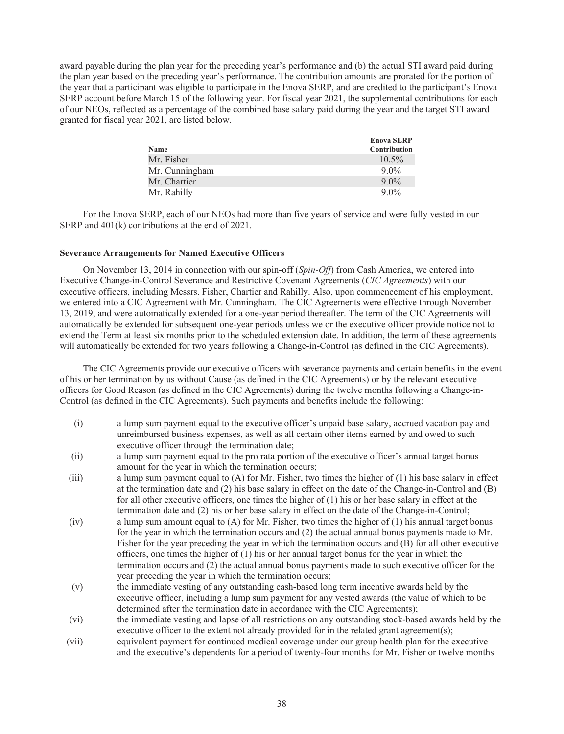award payable during the plan year for the preceding year's performance and (b) the actual STI award paid during the plan year based on the preceding year's performance. The contribution amounts are prorated for the portion of the year that a participant was eligible to participate in the Enova SERP, and are credited to the participant's Enova SERP account before March 15 of the following year. For fiscal year 2021, the supplemental contributions for each of our NEOs, reflected as a percentage of the combined base salary paid during the year and the target STI award granted for fiscal year 2021, are listed below.

| Name           | <b>Enova SERP</b><br><b>Contribution</b> |
|----------------|------------------------------------------|
| Mr. Fisher     | $10.5\%$                                 |
| Mr. Cunningham | $9.0\%$                                  |
| Mr. Chartier   | $9.0\%$                                  |
| Mr. Rahilly    | $9.0\%$                                  |

For the Enova SERP, each of our NEOs had more than five years of service and were fully vested in our SERP and 401(k) contributions at the end of 2021.

## **Severance Arrangements for Named Executive Officers**

On November 13, 2014 in connection with our spin-off (*Spin-Off*) from Cash America, we entered into Executive Change-in-Control Severance and Restrictive Covenant Agreements (*CIC Agreements*) with our executive officers, including Messrs. Fisher, Chartier and Rahilly. Also, upon commencement of his employment, we entered into a CIC Agreement with Mr. Cunningham. The CIC Agreements were effective through November 13, 2019, and were automatically extended for a one-year period thereafter. The term of the CIC Agreements will automatically be extended for subsequent one-year periods unless we or the executive officer provide notice not to extend the Term at least six months prior to the scheduled extension date. In addition, the term of these agreements will automatically be extended for two years following a Change-in-Control (as defined in the CIC Agreements).

The CIC Agreements provide our executive officers with severance payments and certain benefits in the event of his or her termination by us without Cause (as defined in the CIC Agreements) or by the relevant executive officers for Good Reason (as defined in the CIC Agreements) during the twelve months following a Change-in-Control (as defined in the CIC Agreements). Such payments and benefits include the following:

- (i) a lump sum payment equal to the executive officer's unpaid base salary, accrued vacation pay and unreimbursed business expenses, as well as all certain other items earned by and owed to such executive officer through the termination date;
- (ii) a lump sum payment equal to the pro rata portion of the executive officer's annual target bonus amount for the year in which the termination occurs;
- (iii) a lump sum payment equal to (A) for Mr. Fisher, two times the higher of (1) his base salary in effect at the termination date and (2) his base salary in effect on the date of the Change-in-Control and (B) for all other executive officers, one times the higher of (1) his or her base salary in effect at the termination date and (2) his or her base salary in effect on the date of the Change-in-Control;
- (iv) a lump sum amount equal to (A) for Mr. Fisher, two times the higher of (1) his annual target bonus for the year in which the termination occurs and (2) the actual annual bonus payments made to Mr. Fisher for the year preceding the year in which the termination occurs and (B) for all other executive officers, one times the higher of (1) his or her annual target bonus for the year in which the termination occurs and (2) the actual annual bonus payments made to such executive officer for the year preceding the year in which the termination occurs;
- (v) the immediate vesting of any outstanding cash-based long term incentive awards held by the executive officer, including a lump sum payment for any vested awards (the value of which to be determined after the termination date in accordance with the CIC Agreements);
- (vi) the immediate vesting and lapse of all restrictions on any outstanding stock-based awards held by the executive officer to the extent not already provided for in the related grant agreement(s);
- (vii) equivalent payment for continued medical coverage under our group health plan for the executive and the executive's dependents for a period of twenty-four months for Mr. Fisher or twelve months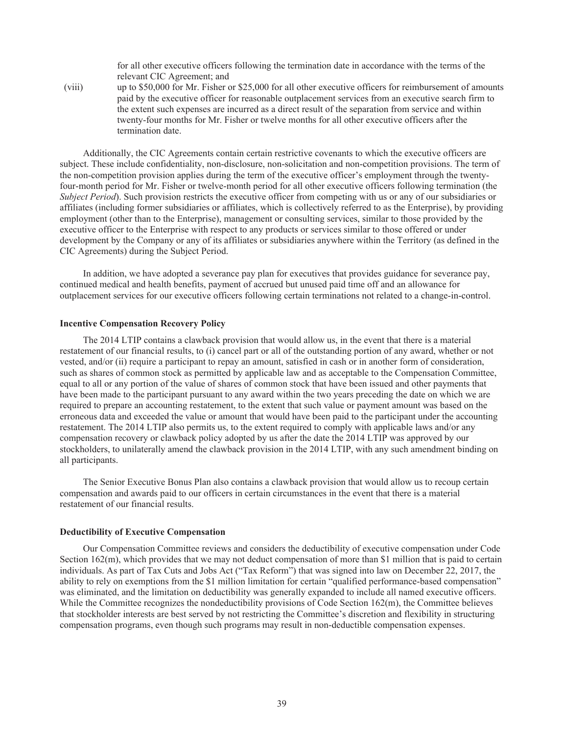for all other executive officers following the termination date in accordance with the terms of the relevant CIC Agreement; and

(viii) up to \$50,000 for Mr. Fisher or \$25,000 for all other executive officers for reimbursement of amounts paid by the executive officer for reasonable outplacement services from an executive search firm to the extent such expenses are incurred as a direct result of the separation from service and within twenty-four months for Mr. Fisher or twelve months for all other executive officers after the termination date.

Additionally, the CIC Agreements contain certain restrictive covenants to which the executive officers are subject. These include confidentiality, non-disclosure, non-solicitation and non-competition provisions. The term of the non-competition provision applies during the term of the executive officer's employment through the twentyfour-month period for Mr. Fisher or twelve-month period for all other executive officers following termination (the *Subject Period*). Such provision restricts the executive officer from competing with us or any of our subsidiaries or affiliates (including former subsidiaries or affiliates, which is collectively referred to as the Enterprise), by providing employment (other than to the Enterprise), management or consulting services, similar to those provided by the executive officer to the Enterprise with respect to any products or services similar to those offered or under development by the Company or any of its affiliates or subsidiaries anywhere within the Territory (as defined in the CIC Agreements) during the Subject Period.

In addition, we have adopted a severance pay plan for executives that provides guidance for severance pay, continued medical and health benefits, payment of accrued but unused paid time off and an allowance for outplacement services for our executive officers following certain terminations not related to a change-in-control.

# **Incentive Compensation Recovery Policy**

The 2014 LTIP contains a clawback provision that would allow us, in the event that there is a material restatement of our financial results, to (i) cancel part or all of the outstanding portion of any award, whether or not vested, and/or (ii) require a participant to repay an amount, satisfied in cash or in another form of consideration, such as shares of common stock as permitted by applicable law and as acceptable to the Compensation Committee, equal to all or any portion of the value of shares of common stock that have been issued and other payments that have been made to the participant pursuant to any award within the two years preceding the date on which we are required to prepare an accounting restatement, to the extent that such value or payment amount was based on the erroneous data and exceeded the value or amount that would have been paid to the participant under the accounting restatement. The 2014 LTIP also permits us, to the extent required to comply with applicable laws and/or any compensation recovery or clawback policy adopted by us after the date the 2014 LTIP was approved by our stockholders, to unilaterally amend the clawback provision in the 2014 LTIP, with any such amendment binding on all participants.

The Senior Executive Bonus Plan also contains a clawback provision that would allow us to recoup certain compensation and awards paid to our officers in certain circumstances in the event that there is a material restatement of our financial results.

#### **Deductibility of Executive Compensation**

Our Compensation Committee reviews and considers the deductibility of executive compensation under Code Section 162(m), which provides that we may not deduct compensation of more than \$1 million that is paid to certain individuals. As part of Tax Cuts and Jobs Act ("Tax Reform") that was signed into law on December 22, 2017, the ability to rely on exemptions from the \$1 million limitation for certain "qualified performance-based compensation" was eliminated, and the limitation on deductibility was generally expanded to include all named executive officers. While the Committee recognizes the nondeductibility provisions of Code Section 162(m), the Committee believes that stockholder interests are best served by not restricting the Committee's discretion and flexibility in structuring compensation programs, even though such programs may result in non-deductible compensation expenses.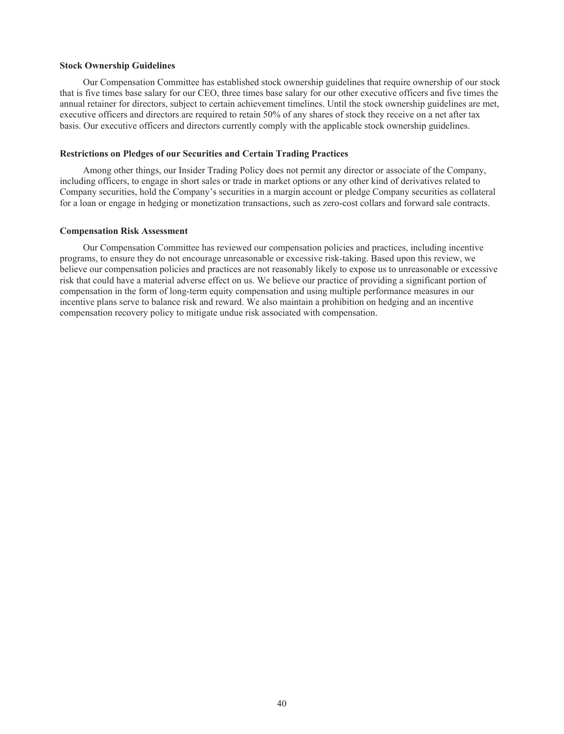### **Stock Ownership Guidelines**

Our Compensation Committee has established stock ownership guidelines that require ownership of our stock that is five times base salary for our CEO, three times base salary for our other executive officers and five times the annual retainer for directors, subject to certain achievement timelines. Until the stock ownership guidelines are met, executive officers and directors are required to retain 50% of any shares of stock they receive on a net after tax basis. Our executive officers and directors currently comply with the applicable stock ownership guidelines.

## **Restrictions on Pledges of our Securities and Certain Trading Practices**

Among other things, our Insider Trading Policy does not permit any director or associate of the Company, including officers, to engage in short sales or trade in market options or any other kind of derivatives related to Company securities, hold the Company's securities in a margin account or pledge Company securities as collateral for a loan or engage in hedging or monetization transactions, such as zero-cost collars and forward sale contracts.

#### **Compensation Risk Assessment**

Our Compensation Committee has reviewed our compensation policies and practices, including incentive programs, to ensure they do not encourage unreasonable or excessive risk-taking. Based upon this review, we believe our compensation policies and practices are not reasonably likely to expose us to unreasonable or excessive risk that could have a material adverse effect on us. We believe our practice of providing a significant portion of compensation in the form of long-term equity compensation and using multiple performance measures in our incentive plans serve to balance risk and reward. We also maintain a prohibition on hedging and an incentive compensation recovery policy to mitigate undue risk associated with compensation.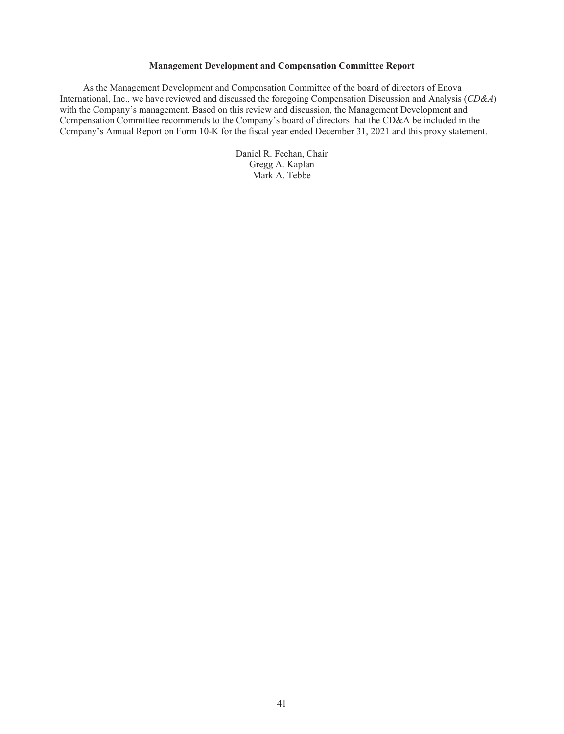## **Management Development and Compensation Committee Report**

As the Management Development and Compensation Committee of the board of directors of Enova International, Inc., we have reviewed and discussed the foregoing Compensation Discussion and Analysis (*CD&A*) with the Company's management. Based on this review and discussion, the Management Development and Compensation Committee recommends to the Company's board of directors that the CD&A be included in the Company's Annual Report on Form 10-K for the fiscal year ended December 31, 2021 and this proxy statement.

> Daniel R. Feehan, Chair Gregg A. Kaplan Mark A. Tebbe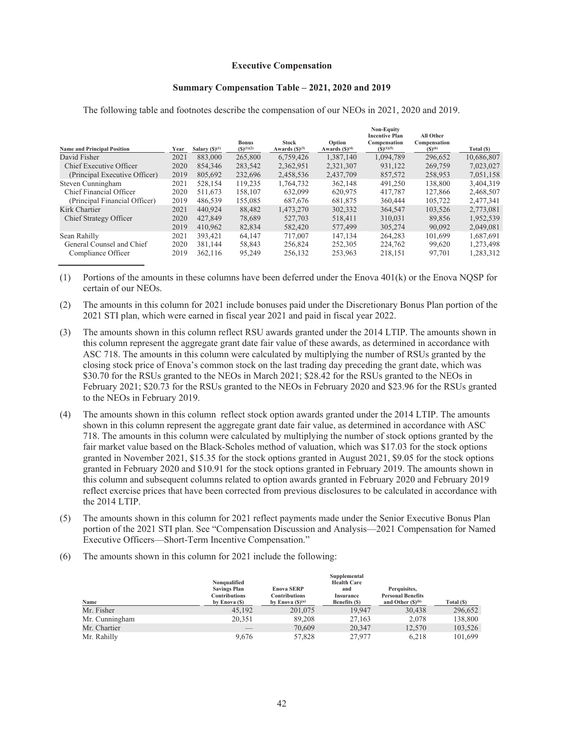### **Executive Compensation**

#### **Summary Compensation Table – 2021, 2020 and 2019**

**Non-Equity**

| <b>Stock</b><br>Option<br><b>Bonus</b><br>$(S)^{(1)(2)}$<br><b>Name and Principal Position</b><br>Salary $(S)^{(1)}$<br>Awards $(S)^{(3)}$<br>Awards $(S)^{(4)}$<br>Year | <b>Incentive Plan</b><br>Compensation<br>$(S)^{(1)(5)}$ | All Other<br>Compensation<br>$(S)^{(6)}$ | Total (\$) |
|--------------------------------------------------------------------------------------------------------------------------------------------------------------------------|---------------------------------------------------------|------------------------------------------|------------|
| 2021<br>265,800<br>David Fisher<br>883,000<br>6,759,426<br>1,387,140                                                                                                     | 1,094,789                                               | 296,652                                  | 10,686,807 |
| 2020<br>Chief Executive Officer<br>854,346<br>2,362,951<br>2,321,307<br>283,542                                                                                          | 931,122                                                 | 269,759                                  | 7,023,027  |
| 2019<br>805,692<br>2.458.536<br>2,437,709<br>(Principal Executive Officer)<br>232,696                                                                                    | 857,572                                                 | 258.953                                  | 7.051.158  |
| 2021<br>528.154<br>119,235<br>362.148<br>1,764,732<br>Steven Cunningham                                                                                                  | 491,250                                                 | 138.800                                  | 3,404,319  |
| 2020<br>Chief Financial Officer<br>511.673<br>632.099<br>158.107<br>620.975                                                                                              | 417,787                                                 | 127.866                                  | 2,468,507  |
| 2019<br>(Principal Financial Officer)<br>486.539<br>155,085<br>687,676<br>681,875                                                                                        | 360,444                                                 | 105,722                                  | 2,477,341  |
| Kirk Chartier<br>2021<br>440.924<br>88,482<br>1,473,270<br>302,332                                                                                                       | 364,547                                                 | 103,526                                  | 2,773,081  |
| 2020<br>427.849<br>Chief Strategy Officer<br>78,689<br>527,703<br>518,411                                                                                                | 310.031                                                 | 89,856                                   | 1,952,539  |
| 2019<br>410.962<br>82.834<br>582,420<br>577,499                                                                                                                          | 305,274                                                 | 90.092                                   | 2.049.081  |
| 2021<br>Sean Rahilly<br>393.421<br>64,147<br>717.007<br>147,134                                                                                                          | 264,283                                                 | 101,699                                  | 1,687,691  |
| 2020<br>256.824<br>General Counsel and Chief<br>381,144<br>58,843<br>252,305                                                                                             | 224,762                                                 | 99,620                                   | 1,273,498  |
| 2019<br>362,116<br>95,249<br>256,132<br>253,963<br>Compliance Officer                                                                                                    | 218,151                                                 | 97,701                                   | 1,283,312  |

The following table and footnotes describe the compensation of our NEOs in 2021, 2020 and 2019.

(1) Portions of the amounts in these columns have been deferred under the Enova 401(k) or the Enova NQSP for certain of our NEOs.

(2) The amounts in this column for 2021 include bonuses paid under the Discretionary Bonus Plan portion of the 2021 STI plan, which were earned in fiscal year 2021 and paid in fiscal year 2022.

- (3) The amounts shown in this column reflect RSU awards granted under the 2014 LTIP. The amounts shown in this column represent the aggregate grant date fair value of these awards, as determined in accordance with ASC 718. The amounts in this column were calculated by multiplying the number of RSUs granted by the closing stock price of Enova's common stock on the last trading day preceding the grant date, which was \$30.70 for the RSUs granted to the NEOs in March 2021; \$28.42 for the RSUs granted to the NEOs in February 2021; \$20.73 for the RSUs granted to the NEOs in February 2020 and \$23.96 for the RSUs granted to the NEOs in February 2019.
- (4) The amounts shown in this column reflect stock option awards granted under the 2014 LTIP. The amounts shown in this column represent the aggregate grant date fair value, as determined in accordance with ASC 718. The amounts in this column were calculated by multiplying the number of stock options granted by the fair market value based on the Black-Scholes method of valuation, which was \$17.03 for the stock options granted in November 2021, \$15.35 for the stock options granted in August 2021, \$9.05 for the stock options granted in February 2020 and \$10.91 for the stock options granted in February 2019. The amounts shown in this column and subsequent columns related to option awards granted in February 2020 and February 2019 reflect exercise prices that have been corrected from previous disclosures to be calculated in accordance with the 2014 LTIP.
- (5) The amounts shown in this column for 2021 reflect payments made under the Senior Executive Bonus Plan portion of the 2021 STI plan. See "Compensation Discussion and Analysis—2021 Compensation for Named Executive Officers—Short-Term Incentive Compensation."
- (6) The amounts shown in this column for 2021 include the following:

|                |                     |                               | Supplemental       |                          |            |
|----------------|---------------------|-------------------------------|--------------------|--------------------------|------------|
|                | Nonqualified        |                               | <b>Health Care</b> |                          |            |
|                | <b>Savings Plan</b> | <b>Enova SERP</b>             | and                | Perquisites,             |            |
|                | Contributions       | <b>Contributions</b>          | Insurance          | <b>Personal Benefits</b> |            |
| Name           | by Enova (\$)       | by Enova $(\mathbb{S})^{(a)}$ | Benefits (\$)      | and Other $(S)^{(b)}$    | Total (\$) |
| Mr. Fisher     | 45.192              | 201,075                       | 19.947             | 30,438                   | 296.652    |
| Mr. Cunningham | 20.351              | 89.208                        | 27.163             | 2,078                    | 138,800    |
| Mr. Chartier   | __                  | 70.609                        | 20,347             | 12.570                   | 103.526    |
| Mr. Rahilly    | 9,676               | 57,828                        | 27,977             | 6.218                    | 101.699    |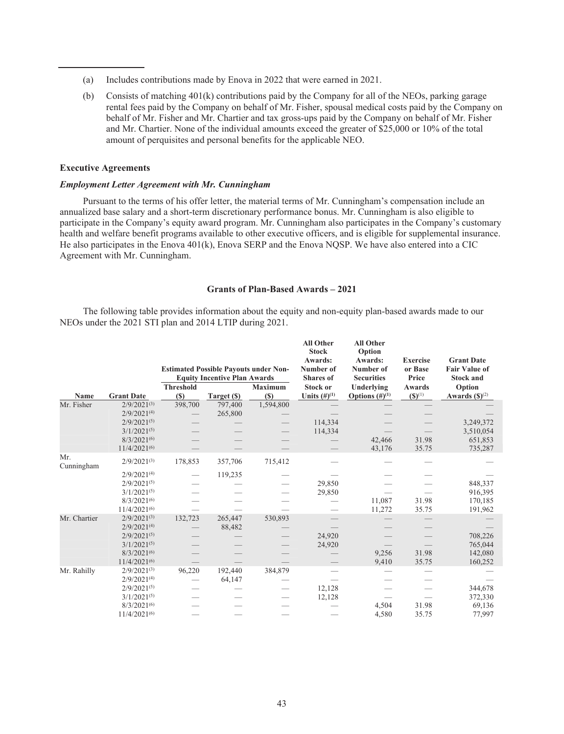- (a) Includes contributions made by Enova in 2022 that were earned in 2021.
- (b) Consists of matching 401(k) contributions paid by the Company for all of the NEOs, parking garage rental fees paid by the Company on behalf of Mr. Fisher, spousal medical costs paid by the Company on behalf of Mr. Fisher and Mr. Chartier and tax gross-ups paid by the Company on behalf of Mr. Fisher and Mr. Chartier. None of the individual amounts exceed the greater of \$25,000 or 10% of the total amount of perquisites and personal benefits for the applicable NEO.

# **Executive Agreements**

# *Employment Letter Agreement with Mr. Cunningham*

Pursuant to the terms of his offer letter, the material terms of Mr. Cunningham's compensation include an annualized base salary and a short-term discretionary performance bonus. Mr. Cunningham is also eligible to participate in the Company's equity award program. Mr. Cunningham also participates in the Company's customary health and welfare benefit programs available to other executive officers, and is eligible for supplemental insurance. He also participates in the Enova 401(k), Enova SERP and the Enova NQSP. We have also entered into a CIC Agreement with Mr. Cunningham.

# **Grants of Plan-Based Awards – 2021**

The following table provides information about the equity and non-equity plan-based awards made to our NEOs under the 2021 STI plan and 2014 LTIP during 2021.

|                   |                   |                  | <b>Estimated Possible Payouts under Non-</b><br><b>Equity Incentive Plan Awards</b> |                | <b>All Other</b><br><b>Stock</b><br>Awards:<br>Number of<br><b>Shares</b> of | <b>All Other</b><br>Option<br>Awards:<br>Number of<br><b>Securities</b> | <b>Exercise</b><br>or Base<br>Price | <b>Grant Date</b><br><b>Fair Value of</b><br><b>Stock and</b> |
|-------------------|-------------------|------------------|-------------------------------------------------------------------------------------|----------------|------------------------------------------------------------------------------|-------------------------------------------------------------------------|-------------------------------------|---------------------------------------------------------------|
|                   |                   | <b>Threshold</b> |                                                                                     | <b>Maximum</b> | <b>Stock or</b>                                                              | Underlying                                                              | Awards                              | Option                                                        |
| Name              | <b>Grant Date</b> | (S)              | Target (\$)                                                                         | (S)            | Units $(#)^{(1)}$                                                            | Options $(\#)^{(1)}$                                                    | $(S)^{(1)}$                         | Awards $(\mathbb{S})^{(2)}$                                   |
| Mr. Fisher        | $2/9/2021^{(3)}$  | 398,700          | 797,400                                                                             | 1,594,800      |                                                                              |                                                                         |                                     |                                                               |
|                   | $2/9/2021^{(4)}$  |                  | 265,800                                                                             |                |                                                                              |                                                                         |                                     |                                                               |
|                   | $2/9/2021^{(5)}$  |                  |                                                                                     |                | 114,334                                                                      |                                                                         |                                     | 3,249,372                                                     |
|                   | $3/1/2021^{(5)}$  |                  |                                                                                     |                | 114,334                                                                      |                                                                         |                                     | 3,510,054                                                     |
|                   | $8/3/2021^{(6)}$  |                  |                                                                                     |                |                                                                              | 42,466                                                                  | 31.98                               | 651,853                                                       |
|                   | $11/4/2021^{(6)}$ |                  |                                                                                     |                |                                                                              | 43,176                                                                  | 35.75                               | 735,287                                                       |
| Mr.<br>Cunningham | $2/9/2021^{(3)}$  | 178,853          | 357,706                                                                             | 715,412        |                                                                              |                                                                         |                                     |                                                               |
|                   | $2/9/2021^{(4)}$  |                  | 119,235                                                                             |                |                                                                              |                                                                         |                                     |                                                               |
|                   | $2/9/2021^{(5)}$  |                  |                                                                                     |                | 29,850                                                                       |                                                                         |                                     | 848,337                                                       |
|                   | $3/1/2021^{(5)}$  |                  |                                                                                     |                | 29,850                                                                       |                                                                         |                                     | 916,395                                                       |
|                   | $8/3/2021^{(6)}$  |                  |                                                                                     |                |                                                                              | 11,087                                                                  | 31.98                               | 170,185                                                       |
|                   | $11/4/2021^{(6)}$ |                  |                                                                                     |                |                                                                              | 11,272                                                                  | 35.75                               | 191,962                                                       |
| Mr. Chartier      | $2/9/2021^{(3)}$  | 132,723          | 265,447                                                                             | 530,893        |                                                                              |                                                                         |                                     |                                                               |
|                   | $2/9/2021^{(4)}$  |                  | 88,482                                                                              |                |                                                                              |                                                                         |                                     |                                                               |
|                   | $2/9/2021^{(5)}$  |                  |                                                                                     |                | 24,920                                                                       |                                                                         |                                     | 708,226                                                       |
|                   | $3/1/2021^{(5)}$  |                  |                                                                                     |                | 24,920                                                                       |                                                                         |                                     | 765,044                                                       |
|                   | $8/3/2021^{(6)}$  |                  |                                                                                     |                |                                                                              | 9,256                                                                   | 31.98                               | 142,080                                                       |
|                   | $11/4/2021^{(6)}$ |                  |                                                                                     |                |                                                                              | 9,410                                                                   | 35.75                               | 160,252                                                       |
| Mr. Rahilly       | $2/9/2021^{(3)}$  | 96,220           | 192,440                                                                             | 384,879        |                                                                              |                                                                         |                                     |                                                               |
|                   | $2/9/2021^{(4)}$  |                  | 64,147                                                                              |                |                                                                              |                                                                         |                                     |                                                               |
|                   | $2/9/2021^{(5)}$  |                  |                                                                                     |                | 12,128                                                                       |                                                                         |                                     | 344,678                                                       |
|                   | $3/1/2021^{(5)}$  |                  |                                                                                     |                | 12,128                                                                       |                                                                         |                                     | 372,330                                                       |
|                   | $8/3/2021^{(6)}$  |                  |                                                                                     |                |                                                                              | 4,504                                                                   | 31.98                               | 69,136                                                        |
|                   | $11/4/2021^{(6)}$ |                  |                                                                                     |                |                                                                              | 4,580                                                                   | 35.75                               | 77,997                                                        |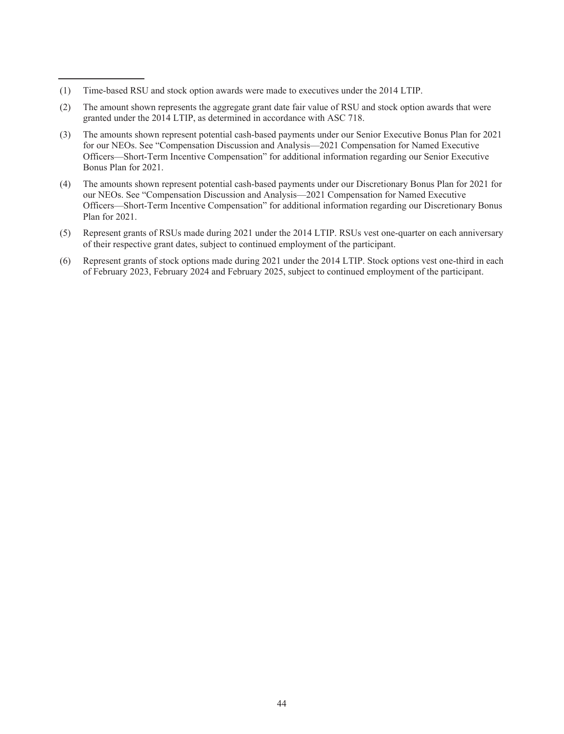- (1) Time-based RSU and stock option awards were made to executives under the 2014 LTIP.
- (2) The amount shown represents the aggregate grant date fair value of RSU and stock option awards that were granted under the 2014 LTIP, as determined in accordance with ASC 718.
- (3) The amounts shown represent potential cash-based payments under our Senior Executive Bonus Plan for 2021 for our NEOs. See "Compensation Discussion and Analysis—2021 Compensation for Named Executive Officers—Short-Term Incentive Compensation" for additional information regarding our Senior Executive Bonus Plan for 2021.
- (4) The amounts shown represent potential cash-based payments under our Discretionary Bonus Plan for 2021 for our NEOs. See "Compensation Discussion and Analysis—2021 Compensation for Named Executive Officers—Short-Term Incentive Compensation" for additional information regarding our Discretionary Bonus Plan for 2021.
- (5) Represent grants of RSUs made during 2021 under the 2014 LTIP. RSUs vest one-quarter on each anniversary of their respective grant dates, subject to continued employment of the participant.
- (6) Represent grants of stock options made during 2021 under the 2014 LTIP. Stock options vest one-third in each of February 2023, February 2024 and February 2025, subject to continued employment of the participant.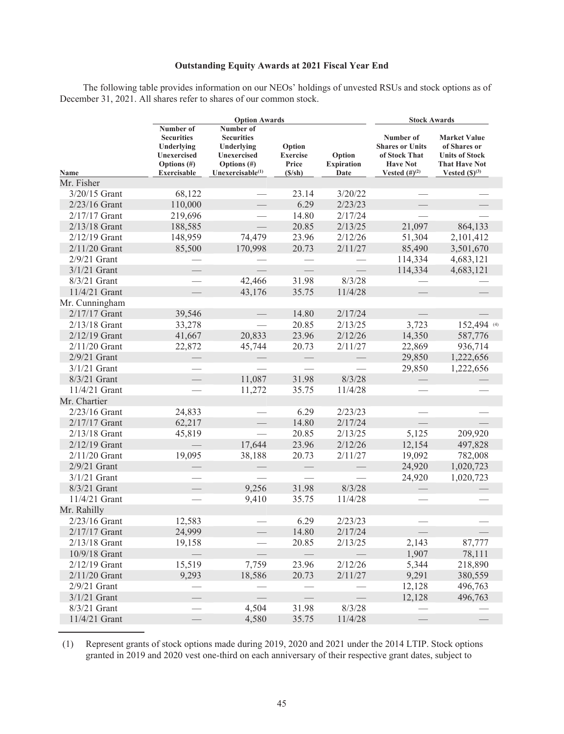# **Outstanding Equity Awards at 2021 Fiscal Year End**

The following table provides information on our NEOs' holdings of unvested RSUs and stock options as of December 31, 2021. All shares refer to shares of our common stock.

|                 |                                                                                                     | <b>Option Awards</b>                                                                                 | <b>Stock Awards</b>                             |                                     |                                                                                                      |                                                                                                                     |
|-----------------|-----------------------------------------------------------------------------------------------------|------------------------------------------------------------------------------------------------------|-------------------------------------------------|-------------------------------------|------------------------------------------------------------------------------------------------------|---------------------------------------------------------------------------------------------------------------------|
| Name            | Number of<br><b>Securities</b><br>Underlying<br>Unexercised<br>Options $(\#)$<br><b>Exercisable</b> | Number of<br><b>Securities</b><br>Underlying<br>Unexercised<br>Options $(\#)$<br>Unexercisable $(1)$ | Option<br><b>Exercise</b><br>Price<br>$(S/\sh)$ | Option<br><b>Expiration</b><br>Date | Number of<br><b>Shares or Units</b><br>of Stock That<br><b>Have Not</b><br><b>Vested</b> $(#)^{(2)}$ | <b>Market Value</b><br>of Shares or<br><b>Units of Stock</b><br><b>That Have Not</b><br>Vested $(\mathbb{S})^{(3)}$ |
| Mr. Fisher      |                                                                                                     |                                                                                                      |                                                 |                                     |                                                                                                      |                                                                                                                     |
| 3/20/15 Grant   | 68,122                                                                                              |                                                                                                      | 23.14                                           | 3/20/22                             |                                                                                                      |                                                                                                                     |
| 2/23/16 Grant   | 110,000                                                                                             |                                                                                                      | 6.29                                            | 2/23/23                             |                                                                                                      |                                                                                                                     |
| $2/17/17$ Grant | 219,696                                                                                             |                                                                                                      | 14.80                                           | 2/17/24                             |                                                                                                      |                                                                                                                     |
| 2/13/18 Grant   | 188,585                                                                                             |                                                                                                      | 20.85                                           | 2/13/25                             | 21,097                                                                                               | 864,133                                                                                                             |
| $2/12/19$ Grant | 148,959                                                                                             | 74,479                                                                                               | 23.96                                           | 2/12/26                             | 51,304                                                                                               | 2,101,412                                                                                                           |
| 2/11/20 Grant   | 85,500                                                                                              | 170,998                                                                                              | 20.73                                           | 2/11/27                             | 85,490                                                                                               | 3,501,670                                                                                                           |
| $2/9/21$ Grant  |                                                                                                     |                                                                                                      |                                                 |                                     | 114,334                                                                                              | 4,683,121                                                                                                           |
| $3/1/21$ Grant  |                                                                                                     |                                                                                                      |                                                 |                                     | 114,334                                                                                              | 4,683,121                                                                                                           |
| $8/3/21$ Grant  |                                                                                                     | 42,466                                                                                               | 31.98                                           | 8/3/28                              |                                                                                                      |                                                                                                                     |
| 11/4/21 Grant   |                                                                                                     | 43,176                                                                                               | 35.75                                           | 11/4/28                             |                                                                                                      |                                                                                                                     |
| Mr. Cunningham  |                                                                                                     |                                                                                                      |                                                 |                                     |                                                                                                      |                                                                                                                     |
| 2/17/17 Grant   | 39,546                                                                                              |                                                                                                      | 14.80                                           | 2/17/24                             |                                                                                                      |                                                                                                                     |
| $2/13/18$ Grant | 33,278                                                                                              |                                                                                                      | 20.85                                           | 2/13/25                             | 3,723                                                                                                | 152,494 (4)                                                                                                         |
| 2/12/19 Grant   | 41,667                                                                                              | 20,833                                                                                               | 23.96                                           | 2/12/26                             | 14,350                                                                                               | 587,776                                                                                                             |
| $2/11/20$ Grant | 22,872                                                                                              | 45,744                                                                                               | 20.73                                           | 2/11/27                             | 22,869                                                                                               | 936,714                                                                                                             |
| $2/9/21$ Grant  |                                                                                                     |                                                                                                      |                                                 |                                     | 29,850                                                                                               | 1,222,656                                                                                                           |
| $3/1/21$ Grant  |                                                                                                     |                                                                                                      |                                                 |                                     | 29,850                                                                                               | 1,222,656                                                                                                           |
| 8/3/21 Grant    |                                                                                                     | 11,087                                                                                               | 31.98                                           | 8/3/28                              |                                                                                                      |                                                                                                                     |
| 11/4/21 Grant   |                                                                                                     | 11,272                                                                                               | 35.75                                           | 11/4/28                             |                                                                                                      |                                                                                                                     |
| Mr. Chartier    |                                                                                                     |                                                                                                      |                                                 |                                     |                                                                                                      |                                                                                                                     |
| $2/23/16$ Grant | 24,833                                                                                              |                                                                                                      | 6.29                                            | 2/23/23                             |                                                                                                      |                                                                                                                     |
| 2/17/17 Grant   | 62,217                                                                                              |                                                                                                      | 14.80                                           | 2/17/24                             |                                                                                                      |                                                                                                                     |
| $2/13/18$ Grant | 45,819                                                                                              |                                                                                                      | 20.85                                           | 2/13/25                             | 5,125                                                                                                | 209,920                                                                                                             |
| 2/12/19 Grant   |                                                                                                     | 17,644                                                                                               | 23.96                                           | 2/12/26                             | 12,154                                                                                               | 497,828                                                                                                             |
| $2/11/20$ Grant | 19,095                                                                                              | 38,188                                                                                               | 20.73                                           | 2/11/27                             | 19,092                                                                                               | 782,008                                                                                                             |
| $2/9/21$ Grant  |                                                                                                     |                                                                                                      |                                                 |                                     | 24,920                                                                                               | 1,020,723                                                                                                           |
| $3/1/21$ Grant  |                                                                                                     |                                                                                                      |                                                 |                                     | 24,920                                                                                               | 1,020,723                                                                                                           |
| 8/3/21 Grant    |                                                                                                     | 9,256                                                                                                | 31.98                                           | 8/3/28                              |                                                                                                      |                                                                                                                     |
| 11/4/21 Grant   |                                                                                                     | 9,410                                                                                                | 35.75                                           | 11/4/28                             |                                                                                                      |                                                                                                                     |
| Mr. Rahilly     |                                                                                                     |                                                                                                      |                                                 |                                     |                                                                                                      |                                                                                                                     |
| $2/23/16$ Grant | 12,583                                                                                              |                                                                                                      | 6.29                                            | 2/23/23                             |                                                                                                      |                                                                                                                     |
| 2/17/17 Grant   | 24,999                                                                                              | $\overline{\phantom{0}}$                                                                             | 14.80                                           | 2/17/24                             | $\overline{\phantom{0}}$                                                                             |                                                                                                                     |
| 2/13/18 Grant   | 19,158                                                                                              |                                                                                                      | 20.85                                           | 2/13/25                             | 2,143                                                                                                | 87,777                                                                                                              |
| 10/9/18 Grant   |                                                                                                     |                                                                                                      |                                                 |                                     | 1,907                                                                                                | 78,111                                                                                                              |
| $2/12/19$ Grant | 15,519                                                                                              | 7,759                                                                                                | 23.96                                           | 2/12/26                             | 5,344                                                                                                | 218,890                                                                                                             |
| $2/11/20$ Grant | 9,293                                                                                               | 18,586                                                                                               | 20.73                                           | 2/11/27                             | 9,291                                                                                                | 380,559                                                                                                             |
| $2/9/21$ Grant  |                                                                                                     |                                                                                                      |                                                 |                                     | 12,128                                                                                               | 496,763                                                                                                             |
| $3/1/21$ Grant  |                                                                                                     |                                                                                                      |                                                 |                                     | 12,128                                                                                               | 496,763                                                                                                             |
| 8/3/21 Grant    |                                                                                                     | 4,504                                                                                                | 31.98                                           | 8/3/28                              |                                                                                                      |                                                                                                                     |
| 11/4/21 Grant   |                                                                                                     | 4,580                                                                                                | 35.75                                           | 11/4/28                             |                                                                                                      |                                                                                                                     |

(1) Represent grants of stock options made during 2019, 2020 and 2021 under the 2014 LTIP. Stock options granted in 2019 and 2020 vest one-third on each anniversary of their respective grant dates, subject to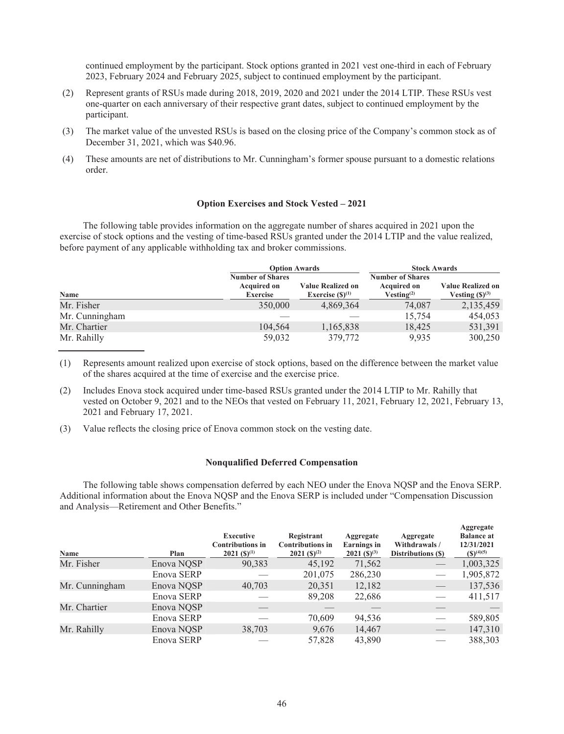continued employment by the participant. Stock options granted in 2021 vest one-third in each of February 2023, February 2024 and February 2025, subject to continued employment by the participant.

- (2) Represent grants of RSUs made during 2018, 2019, 2020 and 2021 under the 2014 LTIP. These RSUs vest one-quarter on each anniversary of their respective grant dates, subject to continued employment by the participant.
- (3) The market value of the unvested RSUs is based on the closing price of the Company's common stock as of December 31, 2021, which was \$40.96.
- (4) These amounts are net of distributions to Mr. Cunningham's former spouse pursuant to a domestic relations order.

#### **Option Exercises and Stock Vested – 2021**

The following table provides information on the aggregate number of shares acquired in 2021 upon the exercise of stock options and the vesting of time-based RSUs granted under the 2014 LTIP and the value realized, before payment of any applicable withholding tax and broker commissions.

|                | <b>Option Awards</b>                                             |                                                  | <b>Stock Awards</b>                                                     |                                                          |
|----------------|------------------------------------------------------------------|--------------------------------------------------|-------------------------------------------------------------------------|----------------------------------------------------------|
| Name           | <b>Number of Shares</b><br><b>Acquired on</b><br><b>Exercise</b> | <b>Value Realized on</b><br>Exercise $(S)^{(1)}$ | <b>Number of Shares</b><br><b>Acquired on</b><br>Vesting <sup>(2)</sup> | <b>Value Realized on</b><br>Vesting $(\mathbb{S})^{(3)}$ |
| Mr. Fisher     | 350,000                                                          | 4,869,364                                        | 74,087                                                                  | 2,135,459                                                |
| Mr. Cunningham |                                                                  |                                                  | 15,754                                                                  | 454,053                                                  |
| Mr. Chartier   | 104,564                                                          | 1,165,838                                        | 18,425                                                                  | 531,391                                                  |
| Mr. Rahilly    | 59,032                                                           | 379,772                                          | 9.935                                                                   | 300,250                                                  |

(1) Represents amount realized upon exercise of stock options, based on the difference between the market value of the shares acquired at the time of exercise and the exercise price.

- (2) Includes Enova stock acquired under time-based RSUs granted under the 2014 LTIP to Mr. Rahilly that vested on October 9, 2021 and to the NEOs that vested on February 11, 2021, February 12, 2021, February 13, 2021 and February 17, 2021.
- (3) Value reflects the closing price of Enova common stock on the vesting date.

## **Nonqualified Deferred Compensation**

The following table shows compensation deferred by each NEO under the Enova NQSP and the Enova SERP. Additional information about the Enova NQSP and the Enova SERP is included under "Compensation Discussion and Analysis—Retirement and Other Benefits."

| Name           | Plan       | <b>Executive</b><br><b>Contributions in</b><br>$2021 (S)^{(1)}$ | Registrant<br><b>Contributions in</b><br>$2021 (S)^{(2)}$ | Aggregate<br><b>Earnings</b> in<br>$2021 (S)^{(3)}$ | Aggregate<br>Withdrawals /<br>Distributions (\$) | Aggregate<br><b>Balance at</b><br>12/31/2021<br>$(S)^{(4)(5)}$ |
|----------------|------------|-----------------------------------------------------------------|-----------------------------------------------------------|-----------------------------------------------------|--------------------------------------------------|----------------------------------------------------------------|
| Mr. Fisher     | Enova NQSP | 90,383                                                          | 45,192                                                    | 71,562                                              |                                                  | 1,003,325                                                      |
|                | Enova SERP |                                                                 | 201,075                                                   | 286,230                                             |                                                  | 1,905,872                                                      |
| Mr. Cunningham | Enova NOSP | 40,703                                                          | 20,351                                                    | 12,182                                              |                                                  | 137,536                                                        |
|                | Enova SERP |                                                                 | 89,208                                                    | 22,686                                              |                                                  | 411,517                                                        |
| Mr. Chartier   | Enova NQSP |                                                                 |                                                           |                                                     |                                                  |                                                                |
|                | Enova SERP |                                                                 | 70,609                                                    | 94,536                                              |                                                  | 589,805                                                        |
| Mr. Rahilly    | Enova NQSP | 38,703                                                          | 9,676                                                     | 14,467                                              | $\hspace{0.05cm}$                                | 147,310                                                        |
|                | Enova SERP |                                                                 | 57,828                                                    | 43,890                                              |                                                  | 388,303                                                        |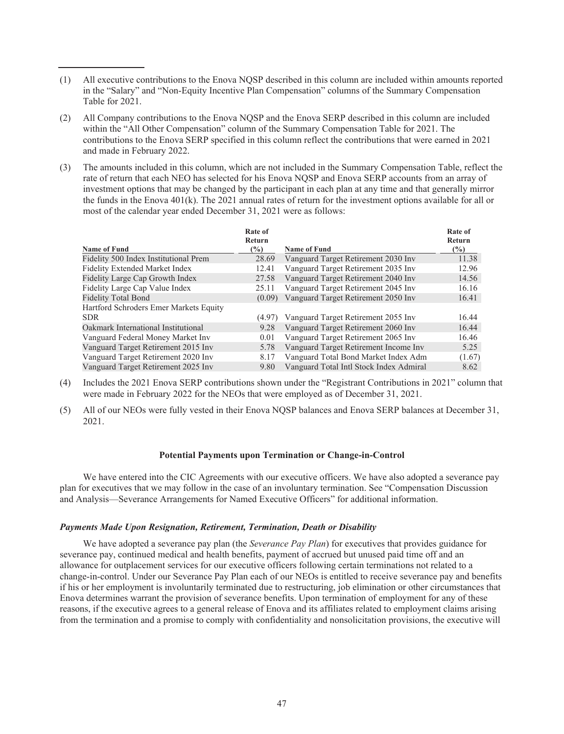- (1) All executive contributions to the Enova NQSP described in this column are included within amounts reported in the "Salary" and "Non-Equity Incentive Plan Compensation" columns of the Summary Compensation Table for 2021.
- (2) All Company contributions to the Enova NQSP and the Enova SERP described in this column are included within the "All Other Compensation" column of the Summary Compensation Table for 2021. The contributions to the Enova SERP specified in this column reflect the contributions that were earned in 2021 and made in February 2022.
- (3) The amounts included in this column, which are not included in the Summary Compensation Table, reflect the rate of return that each NEO has selected for his Enova NQSP and Enova SERP accounts from an array of investment options that may be changed by the participant in each plan at any time and that generally mirror the funds in the Enova 401(k). The 2021 annual rates of return for the investment options available for all or most of the calendar year ended December 31, 2021 were as follows:

|                                        | Rate of<br><b>Return</b> |                                         | Rate of<br>Return |
|----------------------------------------|--------------------------|-----------------------------------------|-------------------|
| <b>Name of Fund</b>                    | $\frac{6}{2}$            | <b>Name of Fund</b>                     | $\frac{9}{6}$     |
| Fidelity 500 Index Institutional Prem  | 28.69                    | Vanguard Target Retirement 2030 Inv     | 11.38             |
| <b>Fidelity Extended Market Index</b>  | 12.41                    | Vanguard Target Retirement 2035 Inv     | 12.96             |
| Fidelity Large Cap Growth Index        | 27.58                    | Vanguard Target Retirement 2040 Inv     | 14.56             |
| Fidelity Large Cap Value Index         | 25.11                    | Vanguard Target Retirement 2045 Inv     | 16.16             |
| <b>Fidelity Total Bond</b>             | (0.09)                   | Vanguard Target Retirement 2050 Inv     | 16.41             |
| Hartford Schroders Emer Markets Equity |                          |                                         |                   |
| SDR.                                   | (4.97)                   | Vanguard Target Retirement 2055 Inv     | 16.44             |
| Oakmark International Institutional    | 9.28                     | Vanguard Target Retirement 2060 Inv     | 16.44             |
| Vanguard Federal Money Market Inv      | 0.01                     | Vanguard Target Retirement 2065 Inv     | 16.46             |
| Vanguard Target Retirement 2015 Inv    | 5.78                     | Vanguard Target Retirement Income Inv   | 5.25              |
| Vanguard Target Retirement 2020 Inv    | 8.17                     | Vanguard Total Bond Market Index Adm    | (1.67)            |
| Vanguard Target Retirement 2025 Inv    | 9.80                     | Vanguard Total Intl Stock Index Admiral | 8.62              |

- (4) Includes the 2021 Enova SERP contributions shown under the "Registrant Contributions in 2021" column that were made in February 2022 for the NEOs that were employed as of December 31, 2021.
- (5) All of our NEOs were fully vested in their Enova NQSP balances and Enova SERP balances at December 31, 2021.

#### **Potential Payments upon Termination or Change-in-Control**

We have entered into the CIC Agreements with our executive officers. We have also adopted a severance pay plan for executives that we may follow in the case of an involuntary termination. See "Compensation Discussion and Analysis—Severance Arrangements for Named Executive Officers" for additional information.

# *Payments Made Upon Resignation, Retirement, Termination, Death or Disability*

We have adopted a severance pay plan (the *Severance Pay Plan*) for executives that provides guidance for severance pay, continued medical and health benefits, payment of accrued but unused paid time off and an allowance for outplacement services for our executive officers following certain terminations not related to a change-in-control. Under our Severance Pay Plan each of our NEOs is entitled to receive severance pay and benefits if his or her employment is involuntarily terminated due to restructuring, job elimination or other circumstances that Enova determines warrant the provision of severance benefits. Upon termination of employment for any of these reasons, if the executive agrees to a general release of Enova and its affiliates related to employment claims arising from the termination and a promise to comply with confidentiality and nonsolicitation provisions, the executive will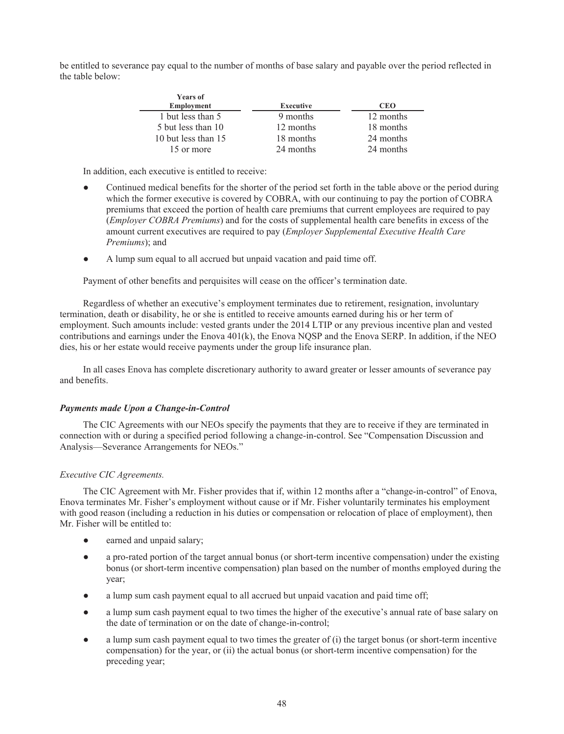be entitled to severance pay equal to the number of months of base salary and payable over the period reflected in the table below:

| <b>Years of</b><br><b>Employment</b> | <b>Executive</b> | <b>CEO</b> |
|--------------------------------------|------------------|------------|
| 1 but less than 5                    | 9 months         | 12 months  |
| 5 but less than 10                   | 12 months        | 18 months  |
| 10 but less than 15                  | 18 months        | 24 months  |
| 15 or more                           | 24 months        | 24 months  |

In addition, each executive is entitled to receive:

- Continued medical benefits for the shorter of the period set forth in the table above or the period during which the former executive is covered by COBRA, with our continuing to pay the portion of COBRA premiums that exceed the portion of health care premiums that current employees are required to pay (*Employer COBRA Premiums*) and for the costs of supplemental health care benefits in excess of the amount current executives are required to pay (*Employer Supplemental Executive Health Care Premiums*); and
- A lump sum equal to all accrued but unpaid vacation and paid time off.

Payment of other benefits and perquisites will cease on the officer's termination date.

Regardless of whether an executive's employment terminates due to retirement, resignation, involuntary termination, death or disability, he or she is entitled to receive amounts earned during his or her term of employment. Such amounts include: vested grants under the 2014 LTIP or any previous incentive plan and vested contributions and earnings under the Enova 401(k), the Enova NQSP and the Enova SERP. In addition, if the NEO dies, his or her estate would receive payments under the group life insurance plan.

In all cases Enova has complete discretionary authority to award greater or lesser amounts of severance pay and benefits.

# *Payments made Upon a Change-in-Control*

The CIC Agreements with our NEOs specify the payments that they are to receive if they are terminated in connection with or during a specified period following a change-in-control. See "Compensation Discussion and Analysis—Severance Arrangements for NEOs."

# *Executive CIC Agreements.*

The CIC Agreement with Mr. Fisher provides that if, within 12 months after a "change-in-control" of Enova, Enova terminates Mr. Fisher's employment without cause or if Mr. Fisher voluntarily terminates his employment with good reason (including a reduction in his duties or compensation or relocation of place of employment), then Mr. Fisher will be entitled to:

- earned and unpaid salary;
- a pro-rated portion of the target annual bonus (or short-term incentive compensation) under the existing bonus (or short-term incentive compensation) plan based on the number of months employed during the year;
- a lump sum cash payment equal to all accrued but unpaid vacation and paid time off;
- a lump sum cash payment equal to two times the higher of the executive's annual rate of base salary on the date of termination or on the date of change-in-control;
- a lump sum cash payment equal to two times the greater of (i) the target bonus (or short-term incentive compensation) for the year, or (ii) the actual bonus (or short-term incentive compensation) for the preceding year;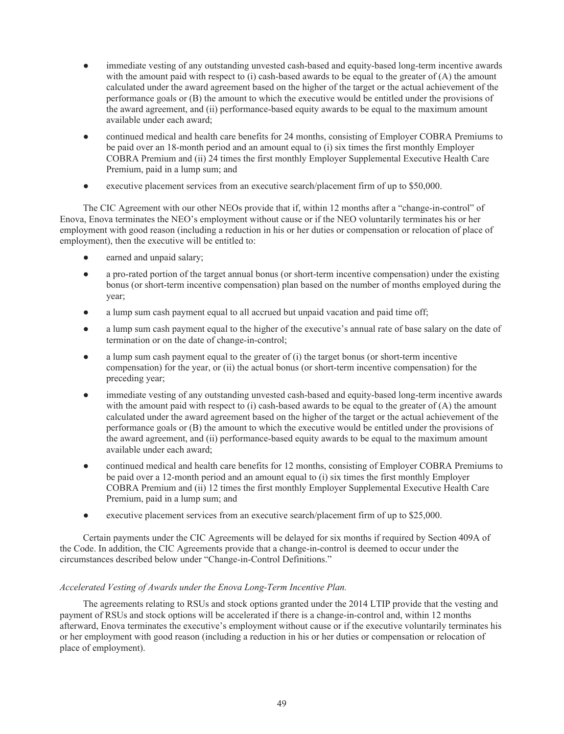- immediate vesting of any outstanding unvested cash-based and equity-based long-term incentive awards with the amount paid with respect to (i) cash-based awards to be equal to the greater of (A) the amount calculated under the award agreement based on the higher of the target or the actual achievement of the performance goals or (B) the amount to which the executive would be entitled under the provisions of the award agreement, and (ii) performance-based equity awards to be equal to the maximum amount available under each award;
- continued medical and health care benefits for 24 months, consisting of Employer COBRA Premiums to be paid over an 18-month period and an amount equal to (i) six times the first monthly Employer COBRA Premium and (ii) 24 times the first monthly Employer Supplemental Executive Health Care Premium, paid in a lump sum; and
- executive placement services from an executive search/placement firm of up to \$50,000.

The CIC Agreement with our other NEOs provide that if, within 12 months after a "change-in-control" of Enova, Enova terminates the NEO's employment without cause or if the NEO voluntarily terminates his or her employment with good reason (including a reduction in his or her duties or compensation or relocation of place of employment), then the executive will be entitled to:

- earned and unpaid salary;
- a pro-rated portion of the target annual bonus (or short-term incentive compensation) under the existing bonus (or short-term incentive compensation) plan based on the number of months employed during the year;
- a lump sum cash payment equal to all accrued but unpaid vacation and paid time off;
- a lump sum cash payment equal to the higher of the executive's annual rate of base salary on the date of termination or on the date of change-in-control;
- a lump sum cash payment equal to the greater of (i) the target bonus (or short-term incentive compensation) for the year, or (ii) the actual bonus (or short-term incentive compensation) for the preceding year;
- immediate vesting of any outstanding unvested cash-based and equity-based long-term incentive awards with the amount paid with respect to (i) cash-based awards to be equal to the greater of (A) the amount calculated under the award agreement based on the higher of the target or the actual achievement of the performance goals or (B) the amount to which the executive would be entitled under the provisions of the award agreement, and (ii) performance-based equity awards to be equal to the maximum amount available under each award;
- continued medical and health care benefits for 12 months, consisting of Employer COBRA Premiums to be paid over a 12-month period and an amount equal to (i) six times the first monthly Employer COBRA Premium and (ii) 12 times the first monthly Employer Supplemental Executive Health Care Premium, paid in a lump sum; and
- executive placement services from an executive search/placement firm of up to \$25,000.

Certain payments under the CIC Agreements will be delayed for six months if required by Section 409A of the Code. In addition, the CIC Agreements provide that a change-in-control is deemed to occur under the circumstances described below under "Change-in-Control Definitions."

# *Accelerated Vesting of Awards under the Enova Long-Term Incentive Plan.*

The agreements relating to RSUs and stock options granted under the 2014 LTIP provide that the vesting and payment of RSUs and stock options will be accelerated if there is a change-in-control and, within 12 months afterward, Enova terminates the executive's employment without cause or if the executive voluntarily terminates his or her employment with good reason (including a reduction in his or her duties or compensation or relocation of place of employment).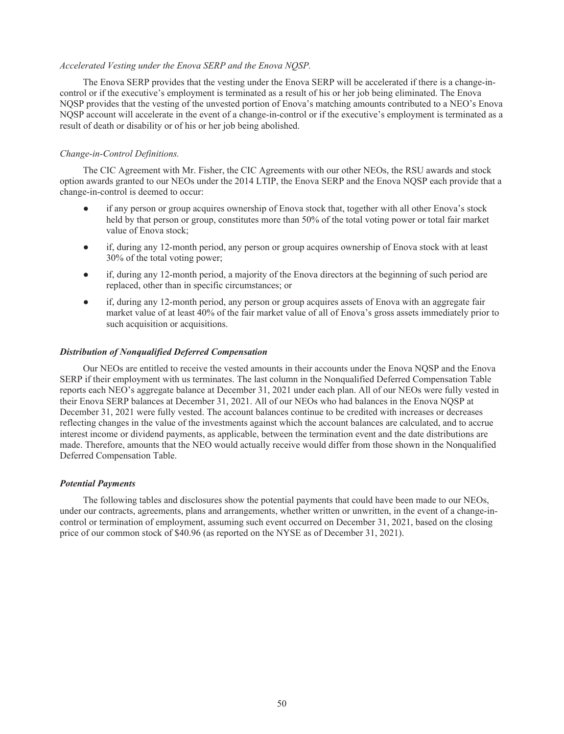## *Accelerated Vesting under the Enova SERP and the Enova NQSP.*

The Enova SERP provides that the vesting under the Enova SERP will be accelerated if there is a change-incontrol or if the executive's employment is terminated as a result of his or her job being eliminated. The Enova NQSP provides that the vesting of the unvested portion of Enova's matching amounts contributed to a NEO's Enova NQSP account will accelerate in the event of a change-in-control or if the executive's employment is terminated as a result of death or disability or of his or her job being abolished.

# *Change-in-Control Definitions.*

The CIC Agreement with Mr. Fisher, the CIC Agreements with our other NEOs, the RSU awards and stock option awards granted to our NEOs under the 2014 LTIP, the Enova SERP and the Enova NQSP each provide that a change-in-control is deemed to occur:

- if any person or group acquires ownership of Enova stock that, together with all other Enova's stock held by that person or group, constitutes more than 50% of the total voting power or total fair market value of Enova stock;
- if, during any 12-month period, any person or group acquires ownership of Enova stock with at least 30% of the total voting power;
- if, during any 12-month period, a majority of the Enova directors at the beginning of such period are replaced, other than in specific circumstances; or
- if, during any 12-month period, any person or group acquires assets of Enova with an aggregate fair market value of at least 40% of the fair market value of all of Enova's gross assets immediately prior to such acquisition or acquisitions.

## *Distribution of Nonqualified Deferred Compensation*

Our NEOs are entitled to receive the vested amounts in their accounts under the Enova NQSP and the Enova SERP if their employment with us terminates. The last column in the Nonqualified Deferred Compensation Table reports each NEO's aggregate balance at December 31, 2021 under each plan. All of our NEOs were fully vested in their Enova SERP balances at December 31, 2021. All of our NEOs who had balances in the Enova NQSP at December 31, 2021 were fully vested. The account balances continue to be credited with increases or decreases reflecting changes in the value of the investments against which the account balances are calculated, and to accrue interest income or dividend payments, as applicable, between the termination event and the date distributions are made. Therefore, amounts that the NEO would actually receive would differ from those shown in the Nonqualified Deferred Compensation Table.

# *Potential Payments*

The following tables and disclosures show the potential payments that could have been made to our NEOs, under our contracts, agreements, plans and arrangements, whether written or unwritten, in the event of a change-incontrol or termination of employment, assuming such event occurred on December 31, 2021, based on the closing price of our common stock of \$40.96 (as reported on the NYSE as of December 31, 2021).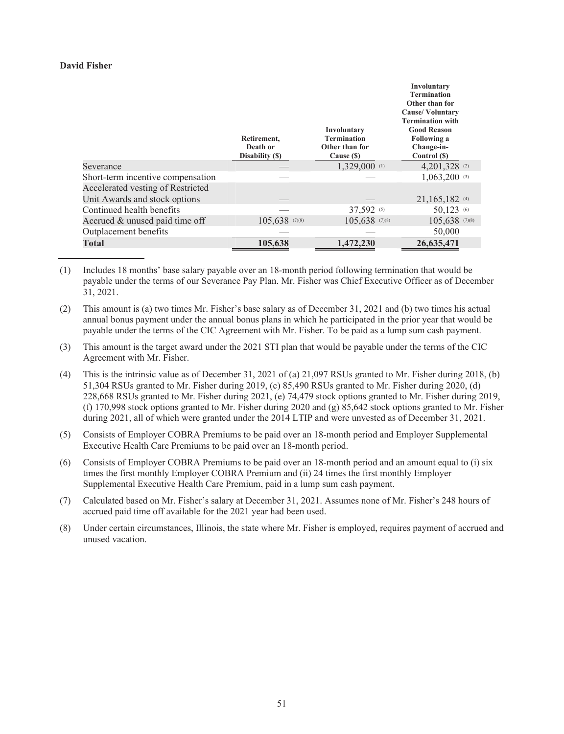# **David Fisher**

|                                                                    | Retirement,<br>Death or<br>Disability (\$) | Involuntary<br><b>Termination</b><br>Other than for<br>Cause (\$) | Involuntary<br><b>Termination</b><br>Other than for<br><b>Cause/Voluntary</b><br><b>Termination with</b><br><b>Good Reason</b><br><b>Following a</b><br>Change-in-<br>Control (\$) |
|--------------------------------------------------------------------|--------------------------------------------|-------------------------------------------------------------------|------------------------------------------------------------------------------------------------------------------------------------------------------------------------------------|
| Severance                                                          |                                            | 1,329,000 (1)                                                     | 4,201,328 $(2)$                                                                                                                                                                    |
| Short-term incentive compensation                                  |                                            |                                                                   | $1,063,200$ (3)                                                                                                                                                                    |
| Accelerated vesting of Restricted<br>Unit Awards and stock options |                                            |                                                                   | 21,165,182 (4)                                                                                                                                                                     |
| Continued health benefits                                          |                                            | 37,592 (5)                                                        | 50,123 (6)                                                                                                                                                                         |
| Accrued & unused paid time off                                     | 105,638 (7)(8)                             | 105,638 (7)(8)                                                    | 105,638 (7)(8)                                                                                                                                                                     |
| Outplacement benefits                                              |                                            |                                                                   | 50,000                                                                                                                                                                             |
| <b>Total</b>                                                       | 105,638                                    | 1,472,230                                                         | 26,635,471                                                                                                                                                                         |

(1) Includes 18 months' base salary payable over an 18-month period following termination that would be payable under the terms of our Severance Pay Plan. Mr. Fisher was Chief Executive Officer as of December 31, 2021.

- (2) This amount is (a) two times Mr. Fisher's base salary as of December 31, 2021 and (b) two times his actual annual bonus payment under the annual bonus plans in which he participated in the prior year that would be payable under the terms of the CIC Agreement with Mr. Fisher. To be paid as a lump sum cash payment.
- (3) This amount is the target award under the 2021 STI plan that would be payable under the terms of the CIC Agreement with Mr. Fisher.
- (4) This is the intrinsic value as of December 31, 2021 of (a) 21,097 RSUs granted to Mr. Fisher during 2018, (b) 51,304 RSUs granted to Mr. Fisher during 2019, (c) 85,490 RSUs granted to Mr. Fisher during 2020, (d) 228,668 RSUs granted to Mr. Fisher during 2021, (e) 74,479 stock options granted to Mr. Fisher during 2019, (f) 170,998 stock options granted to Mr. Fisher during 2020 and (g) 85,642 stock options granted to Mr. Fisher during 2021, all of which were granted under the 2014 LTIP and were unvested as of December 31, 2021.
- (5) Consists of Employer COBRA Premiums to be paid over an 18-month period and Employer Supplemental Executive Health Care Premiums to be paid over an 18-month period.
- (6) Consists of Employer COBRA Premiums to be paid over an 18-month period and an amount equal to (i) six times the first monthly Employer COBRA Premium and (ii) 24 times the first monthly Employer Supplemental Executive Health Care Premium, paid in a lump sum cash payment.
- (7) Calculated based on Mr. Fisher's salary at December 31, 2021. Assumes none of Mr. Fisher's 248 hours of accrued paid time off available for the 2021 year had been used.
- (8) Under certain circumstances, Illinois, the state where Mr. Fisher is employed, requires payment of accrued and unused vacation.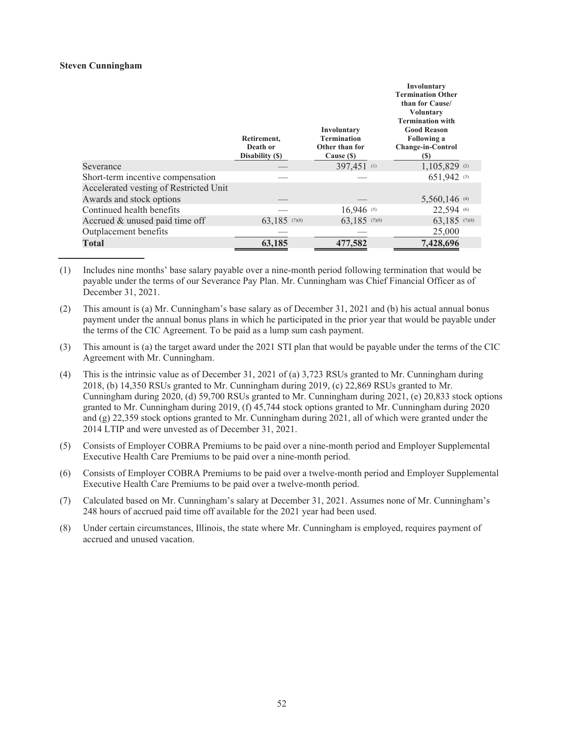## **Steven Cunningham**

|                                        | Retirement,<br>Death or<br>Disability (\$) | Involuntary<br><b>Termination</b><br>Other than for<br>Cause (\$) | Involuntary<br><b>Termination Other</b><br>than for Cause/<br><b>Voluntary</b><br><b>Termination with</b><br><b>Good Reason</b><br><b>Following a</b><br><b>Change-in-Control</b><br>(S) |
|----------------------------------------|--------------------------------------------|-------------------------------------------------------------------|------------------------------------------------------------------------------------------------------------------------------------------------------------------------------------------|
| Severance                              |                                            | 397,451 (1)                                                       | 1,105,829 (2)                                                                                                                                                                            |
| Short-term incentive compensation      |                                            |                                                                   | 651.942 (3)                                                                                                                                                                              |
| Accelerated vesting of Restricted Unit |                                            |                                                                   |                                                                                                                                                                                          |
| Awards and stock options               |                                            |                                                                   | 5,560,146 (4)                                                                                                                                                                            |
| Continued health benefits              |                                            | $16,946$ (5)                                                      | 22,594 (6)                                                                                                                                                                               |
| Accrued & unused paid time off         | $63,185$ (7)(8)                            | 63,185 (7)(8)                                                     | 63,185 (7)(8)                                                                                                                                                                            |
| Outplacement benefits                  |                                            |                                                                   | 25,000                                                                                                                                                                                   |
| <b>Total</b>                           | 63,185                                     | 477,582                                                           | 7,428,696                                                                                                                                                                                |

- (1) Includes nine months' base salary payable over a nine-month period following termination that would be payable under the terms of our Severance Pay Plan. Mr. Cunningham was Chief Financial Officer as of December 31, 2021.
- (2) This amount is (a) Mr. Cunningham's base salary as of December 31, 2021 and (b) his actual annual bonus payment under the annual bonus plans in which he participated in the prior year that would be payable under the terms of the CIC Agreement. To be paid as a lump sum cash payment.
- (3) This amount is (a) the target award under the 2021 STI plan that would be payable under the terms of the CIC Agreement with Mr. Cunningham.
- (4) This is the intrinsic value as of December 31, 2021 of (a) 3,723 RSUs granted to Mr. Cunningham during 2018, (b) 14,350 RSUs granted to Mr. Cunningham during 2019, (c) 22,869 RSUs granted to Mr. Cunningham during 2020, (d) 59,700 RSUs granted to Mr. Cunningham during 2021, (e) 20,833 stock options granted to Mr. Cunningham during 2019, (f) 45,744 stock options granted to Mr. Cunningham during 2020 and (g) 22,359 stock options granted to Mr. Cunningham during 2021, all of which were granted under the 2014 LTIP and were unvested as of December 31, 2021.
- (5) Consists of Employer COBRA Premiums to be paid over a nine-month period and Employer Supplemental Executive Health Care Premiums to be paid over a nine-month period.
- (6) Consists of Employer COBRA Premiums to be paid over a twelve-month period and Employer Supplemental Executive Health Care Premiums to be paid over a twelve-month period.
- (7) Calculated based on Mr. Cunningham's salary at December 31, 2021. Assumes none of Mr. Cunningham's 248 hours of accrued paid time off available for the 2021 year had been used.
- (8) Under certain circumstances, Illinois, the state where Mr. Cunningham is employed, requires payment of accrued and unused vacation.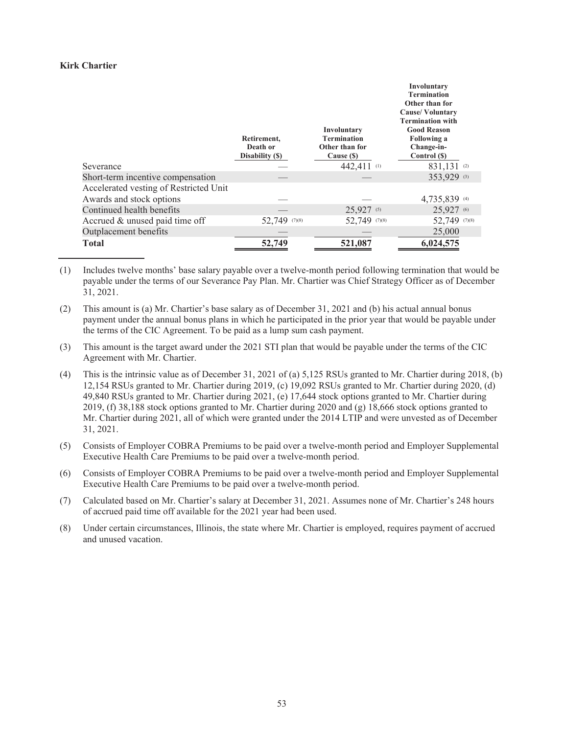## **Kirk Chartier**

|                                        |                 |                    | Involuntary             |
|----------------------------------------|-----------------|--------------------|-------------------------|
|                                        |                 |                    | <b>Termination</b>      |
|                                        |                 |                    | Other than for          |
|                                        |                 |                    | <b>Cause/Voluntary</b>  |
|                                        |                 |                    | <b>Termination with</b> |
|                                        |                 | Involuntary        | <b>Good Reason</b>      |
|                                        | Retirement,     | <b>Termination</b> | <b>Following a</b>      |
|                                        | Death or        | Other than for     | Change-in-              |
|                                        | Disability (\$) | Cause (\$)         | Control (\$)            |
| Severance                              |                 | 442,411 (1)        | 831,131 (2)             |
| Short-term incentive compensation      |                 |                    | 353,929 (3)             |
| Accelerated vesting of Restricted Unit |                 |                    |                         |
| Awards and stock options               |                 |                    | 4,735,839 (4)           |
| Continued health benefits              |                 | $25,927$ (5)       | 25,927 (6)              |
| Accrued & unused paid time off         | 52,749 (7)(8)   | 52,749 (7)(8)      | 52,749 (7)(8)           |
| Outplacement benefits                  |                 |                    | 25,000                  |
| <b>Total</b>                           | 52,749          | 521,087            | 6,024,575               |

- (1) Includes twelve months' base salary payable over a twelve-month period following termination that would be payable under the terms of our Severance Pay Plan. Mr. Chartier was Chief Strategy Officer as of December 31, 2021.
- (2) This amount is (a) Mr. Chartier's base salary as of December 31, 2021 and (b) his actual annual bonus payment under the annual bonus plans in which he participated in the prior year that would be payable under the terms of the CIC Agreement. To be paid as a lump sum cash payment.
- (3) This amount is the target award under the 2021 STI plan that would be payable under the terms of the CIC Agreement with Mr. Chartier.
- (4) This is the intrinsic value as of December 31, 2021 of (a) 5,125 RSUs granted to Mr. Chartier during 2018, (b) 12,154 RSUs granted to Mr. Chartier during 2019, (c) 19,092 RSUs granted to Mr. Chartier during 2020, (d) 49,840 RSUs granted to Mr. Chartier during 2021, (e) 17,644 stock options granted to Mr. Chartier during 2019, (f) 38,188 stock options granted to Mr. Chartier during 2020 and (g) 18,666 stock options granted to Mr. Chartier during 2021, all of which were granted under the 2014 LTIP and were unvested as of December 31, 2021.
- (5) Consists of Employer COBRA Premiums to be paid over a twelve-month period and Employer Supplemental Executive Health Care Premiums to be paid over a twelve-month period.
- (6) Consists of Employer COBRA Premiums to be paid over a twelve-month period and Employer Supplemental Executive Health Care Premiums to be paid over a twelve-month period.
- (7) Calculated based on Mr. Chartier's salary at December 31, 2021. Assumes none of Mr. Chartier's 248 hours of accrued paid time off available for the 2021 year had been used.
- (8) Under certain circumstances, Illinois, the state where Mr. Chartier is employed, requires payment of accrued and unused vacation.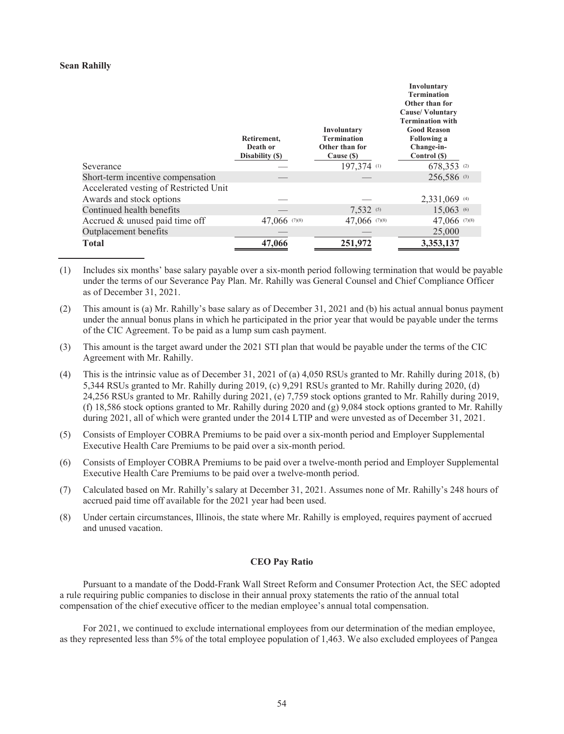### **Sean Rahilly**

|                                        |                 |                    | Involuntary             |
|----------------------------------------|-----------------|--------------------|-------------------------|
|                                        |                 |                    | <b>Termination</b>      |
|                                        |                 |                    | Other than for          |
|                                        |                 |                    | <b>Cause/Voluntary</b>  |
|                                        |                 |                    | <b>Termination with</b> |
|                                        |                 | Involuntary        | <b>Good Reason</b>      |
|                                        | Retirement,     | <b>Termination</b> | <b>Following a</b>      |
|                                        | Death or        | Other than for     | Change-in-              |
|                                        | Disability (\$) | Cause (\$)         | Control (\$)            |
| Severance                              |                 | 197,374 (1)        | 678,353 (2)             |
| Short-term incentive compensation      |                 |                    | 256,586 (3)             |
| Accelerated vesting of Restricted Unit |                 |                    |                         |
| Awards and stock options               |                 |                    | $2,331,069$ (4)         |
| Continued health benefits              |                 | $7,532$ (5)        | $15,063$ (6)            |
| Accrued & unused paid time off         | 47,066 (7)(8)   | 47,066 (7)(8)      | 47,066 (7)(8)           |
| Outplacement benefits                  |                 |                    | 25,000                  |
| <b>Total</b>                           | 47,066          | 251,972            | 3,353,137               |
|                                        |                 |                    |                         |

- (1) Includes six months' base salary payable over a six-month period following termination that would be payable under the terms of our Severance Pay Plan. Mr. Rahilly was General Counsel and Chief Compliance Officer as of December 31, 2021.
- (2) This amount is (a) Mr. Rahilly's base salary as of December 31, 2021 and (b) his actual annual bonus payment under the annual bonus plans in which he participated in the prior year that would be payable under the terms of the CIC Agreement. To be paid as a lump sum cash payment.
- (3) This amount is the target award under the 2021 STI plan that would be payable under the terms of the CIC Agreement with Mr. Rahilly.
- (4) This is the intrinsic value as of December 31, 2021 of (a) 4,050 RSUs granted to Mr. Rahilly during 2018, (b) 5,344 RSUs granted to Mr. Rahilly during 2019, (c) 9,291 RSUs granted to Mr. Rahilly during 2020, (d) 24,256 RSUs granted to Mr. Rahilly during 2021, (e) 7,759 stock options granted to Mr. Rahilly during 2019, (f) 18,586 stock options granted to Mr. Rahilly during 2020 and (g) 9,084 stock options granted to Mr. Rahilly during 2021, all of which were granted under the 2014 LTIP and were unvested as of December 31, 2021.
- (5) Consists of Employer COBRA Premiums to be paid over a six-month period and Employer Supplemental Executive Health Care Premiums to be paid over a six-month period.
- (6) Consists of Employer COBRA Premiums to be paid over a twelve-month period and Employer Supplemental Executive Health Care Premiums to be paid over a twelve-month period.
- (7) Calculated based on Mr. Rahilly's salary at December 31, 2021. Assumes none of Mr. Rahilly's 248 hours of accrued paid time off available for the 2021 year had been used.
- (8) Under certain circumstances, Illinois, the state where Mr. Rahilly is employed, requires payment of accrued and unused vacation.

## **CEO Pay Ratio**

Pursuant to a mandate of the Dodd-Frank Wall Street Reform and Consumer Protection Act, the SEC adopted a rule requiring public companies to disclose in their annual proxy statements the ratio of the annual total compensation of the chief executive officer to the median employee's annual total compensation.

For 2021, we continued to exclude international employees from our determination of the median employee, as they represented less than 5% of the total employee population of 1,463. We also excluded employees of Pangea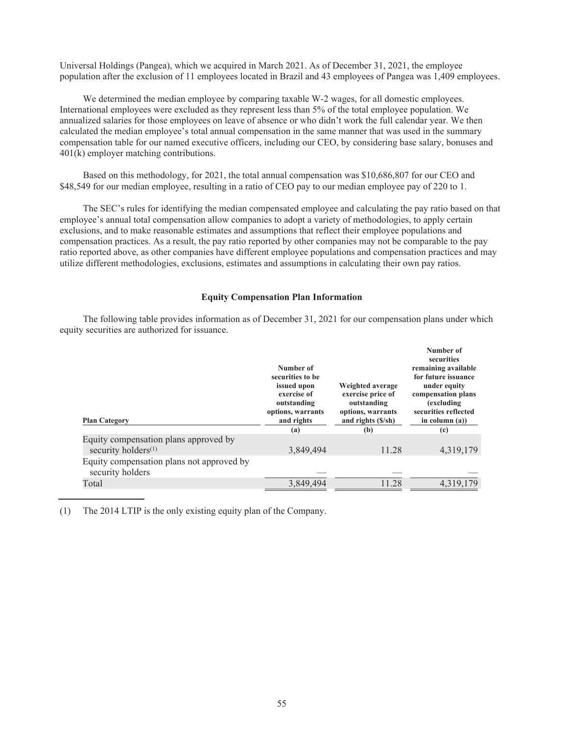Universal Holdings (Pangea), which we acquired in March 2021. As of December 31, 2021, the employee population after the exclusion of 11 employees located in Brazil and 43 employees of Pangea was 1,409 employees.

We determined the median employee by comparing taxable W-2 wages, for all domestic employees. International employees were excluded as they represent less than 5% of the total employee population. We annualized salaries for those employees on leave of absence or who didn't work the full calendar year. We then calculated the median employee's total annual compensation in the same manner that was used in the summary compensation table for our named executive officers, including our CEO, by considering base salary, bonuses and 401(k) employer matching contributions.

Based on this methodology, for 2021, the total annual compensation was \$10,686,807 for our CEO and \$48,549 for our median employee, resulting in a ratio of CEO pay to our median employee pay of 220 to 1.

The SEC's rules for identifying the median compensated employee and calculating the pay ratio based on that employee's annual total compensation allow companies to adopt a variety of methodologies, to apply certain exclusions, and to make reasonable estimates and assumptions that reflect their employee populations and compensation practices. As a result, the pay ratio reported by other companies may not be comparable to the pay ratio reported above, as other companies have different employee populations and compensation practices and may utilize different methodologies, exclusions, estimates and assumptions in calculating their own pay ratios.

# **Equity Compensation Plan Information**

The following table provides information as of December 31, 2021 for our compensation plans under which equity securities are authorized for issuance.

| <b>Plan Category</b>                                                     | Number of<br>securities to be<br>issued upon<br>exercise of<br>outstanding<br>options, warrants<br>and rights<br>(a) | Weighted average<br>exercise price of<br>outstanding<br>options, warrants<br>and rights (\$/sh)<br>(b) | Number of<br>securities<br>remaining available<br>for future issuance<br>under equity<br>compensation plans<br>(excluding<br>securities reflected<br>in column $(a)$ )<br>(c) |  |
|--------------------------------------------------------------------------|----------------------------------------------------------------------------------------------------------------------|--------------------------------------------------------------------------------------------------------|-------------------------------------------------------------------------------------------------------------------------------------------------------------------------------|--|
| Equity compensation plans approved by<br>security holders <sup>(1)</sup> | 3,849,494                                                                                                            | 11.28                                                                                                  | 4,319,179                                                                                                                                                                     |  |
| Equity compensation plans not approved by<br>security holders            |                                                                                                                      |                                                                                                        |                                                                                                                                                                               |  |
| Total                                                                    | 3,849,494                                                                                                            | 11.28                                                                                                  | 4,319,179                                                                                                                                                                     |  |

(1) The 2014 LTIP is the only existing equity plan of the Company.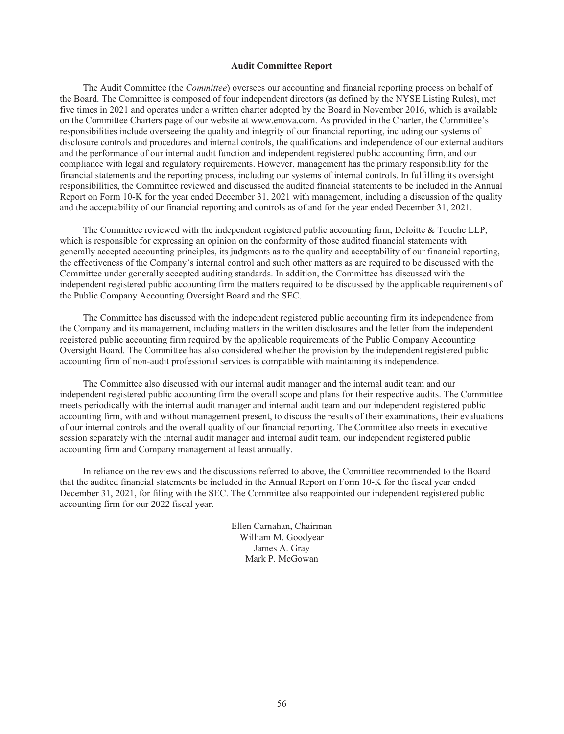#### **Audit Committee Report**

The Audit Committee (the *Committee*) oversees our accounting and financial reporting process on behalf of the Board. The Committee is composed of four independent directors (as defined by the NYSE Listing Rules), met five times in 2021 and operates under a written charter adopted by the Board in November 2016, which is available on the Committee Charters page of our website at www.enova.com. As provided in the Charter, the Committee's responsibilities include overseeing the quality and integrity of our financial reporting, including our systems of disclosure controls and procedures and internal controls, the qualifications and independence of our external auditors and the performance of our internal audit function and independent registered public accounting firm, and our compliance with legal and regulatory requirements. However, management has the primary responsibility for the financial statements and the reporting process, including our systems of internal controls. In fulfilling its oversight responsibilities, the Committee reviewed and discussed the audited financial statements to be included in the Annual Report on Form 10-K for the year ended December 31, 2021 with management, including a discussion of the quality and the acceptability of our financial reporting and controls as of and for the year ended December 31, 2021.

The Committee reviewed with the independent registered public accounting firm, Deloitte & Touche LLP, which is responsible for expressing an opinion on the conformity of those audited financial statements with generally accepted accounting principles, its judgments as to the quality and acceptability of our financial reporting, the effectiveness of the Company's internal control and such other matters as are required to be discussed with the Committee under generally accepted auditing standards. In addition, the Committee has discussed with the independent registered public accounting firm the matters required to be discussed by the applicable requirements of the Public Company Accounting Oversight Board and the SEC.

The Committee has discussed with the independent registered public accounting firm its independence from the Company and its management, including matters in the written disclosures and the letter from the independent registered public accounting firm required by the applicable requirements of the Public Company Accounting Oversight Board. The Committee has also considered whether the provision by the independent registered public accounting firm of non-audit professional services is compatible with maintaining its independence.

The Committee also discussed with our internal audit manager and the internal audit team and our independent registered public accounting firm the overall scope and plans for their respective audits. The Committee meets periodically with the internal audit manager and internal audit team and our independent registered public accounting firm, with and without management present, to discuss the results of their examinations, their evaluations of our internal controls and the overall quality of our financial reporting. The Committee also meets in executive session separately with the internal audit manager and internal audit team, our independent registered public accounting firm and Company management at least annually.

In reliance on the reviews and the discussions referred to above, the Committee recommended to the Board that the audited financial statements be included in the Annual Report on Form 10-K for the fiscal year ended December 31, 2021, for filing with the SEC. The Committee also reappointed our independent registered public accounting firm for our 2022 fiscal year.

> Ellen Carnahan, Chairman William M. Goodyear James A. Gray Mark P. McGowan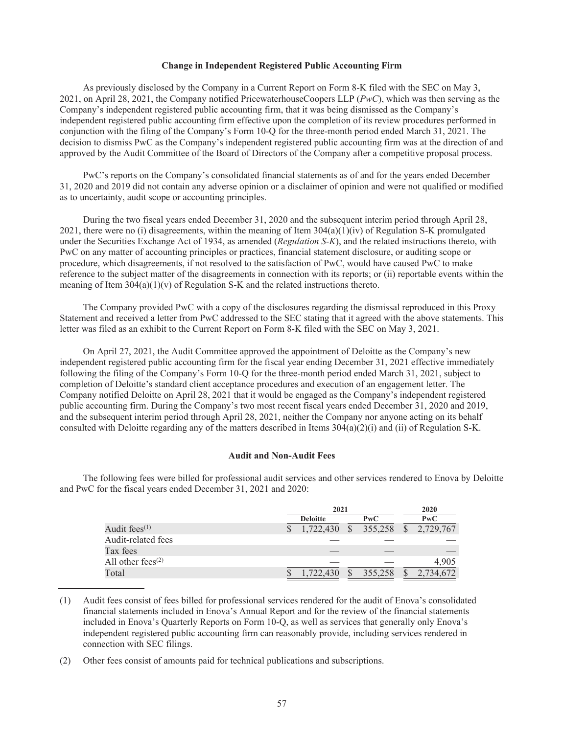### **Change in Independent Registered Public Accounting Firm**

As previously disclosed by the Company in a Current Report on Form 8-K filed with the SEC on May 3, 2021, on April 28, 2021, the Company notified PricewaterhouseCoopers LLP (*PwC*), which was then serving as the Company's independent registered public accounting firm, that it was being dismissed as the Company's independent registered public accounting firm effective upon the completion of its review procedures performed in conjunction with the filing of the Company's Form 10-Q for the three-month period ended March 31, 2021. The decision to dismiss PwC as the Company's independent registered public accounting firm was at the direction of and approved by the Audit Committee of the Board of Directors of the Company after a competitive proposal process.

PwC's reports on the Company's consolidated financial statements as of and for the years ended December 31, 2020 and 2019 did not contain any adverse opinion or a disclaimer of opinion and were not qualified or modified as to uncertainty, audit scope or accounting principles.

During the two fiscal years ended December 31, 2020 and the subsequent interim period through April 28, 2021, there were no (i) disagreements, within the meaning of Item  $304(a)(1)(iv)$  of Regulation S-K promulgated under the Securities Exchange Act of 1934, as amended (*Regulation S-K*), and the related instructions thereto, with PwC on any matter of accounting principles or practices, financial statement disclosure, or auditing scope or procedure, which disagreements, if not resolved to the satisfaction of PwC, would have caused PwC to make reference to the subject matter of the disagreements in connection with its reports; or (ii) reportable events within the meaning of Item  $304(a)(1)(v)$  of Regulation S-K and the related instructions thereto.

The Company provided PwC with a copy of the disclosures regarding the dismissal reproduced in this Proxy Statement and received a letter from PwC addressed to the SEC stating that it agreed with the above statements. This letter was filed as an exhibit to the Current Report on Form 8-K filed with the SEC on May 3, 2021.

On April 27, 2021, the Audit Committee approved the appointment of Deloitte as the Company's new independent registered public accounting firm for the fiscal year ending December 31, 2021 effective immediately following the filing of the Company's Form 10-Q for the three-month period ended March 31, 2021, subject to completion of Deloitte's standard client acceptance procedures and execution of an engagement letter. The Company notified Deloitte on April 28, 2021 that it would be engaged as the Company's independent registered public accounting firm. During the Company's two most recent fiscal years ended December 31, 2020 and 2019, and the subsequent interim period through April 28, 2021, neither the Company nor anyone acting on its behalf consulted with Deloitte regarding any of the matters described in Items  $304(a)(2)(i)$  and (ii) of Regulation S-K.

## **Audit and Non-Audit Fees**

The following fees were billed for professional audit services and other services rendered to Enova by Deloitte and PwC for the fiscal years ended December 31, 2021 and 2020:

|                      | 2021            |              |            | 2020 |           |  |
|----------------------|-----------------|--------------|------------|------|-----------|--|
|                      | <b>Deloitte</b> |              | PwC        |      | PWC       |  |
| Audit fees $(1)$     | 1,722,430       | <sup>S</sup> | 355,258 \$ |      | 2,729,767 |  |
| Audit-related fees   |                 |              |            |      |           |  |
| Tax fees             |                 |              |            |      |           |  |
| All other fees $(2)$ |                 |              |            |      | 4.905     |  |
| Total                |                 | S            | 355,258    |      |           |  |

<sup>(1)</sup> Audit fees consist of fees billed for professional services rendered for the audit of Enova's consolidated financial statements included in Enova's Annual Report and for the review of the financial statements included in Enova's Quarterly Reports on Form 10-Q, as well as services that generally only Enova's independent registered public accounting firm can reasonably provide, including services rendered in connection with SEC filings.

<sup>(2)</sup> Other fees consist of amounts paid for technical publications and subscriptions.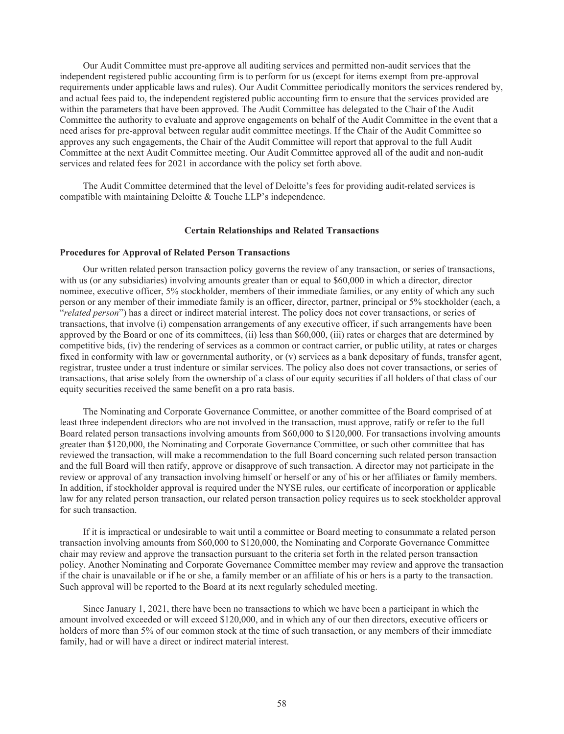Our Audit Committee must pre-approve all auditing services and permitted non-audit services that the independent registered public accounting firm is to perform for us (except for items exempt from pre-approval requirements under applicable laws and rules). Our Audit Committee periodically monitors the services rendered by, and actual fees paid to, the independent registered public accounting firm to ensure that the services provided are within the parameters that have been approved. The Audit Committee has delegated to the Chair of the Audit Committee the authority to evaluate and approve engagements on behalf of the Audit Committee in the event that a need arises for pre-approval between regular audit committee meetings. If the Chair of the Audit Committee so approves any such engagements, the Chair of the Audit Committee will report that approval to the full Audit Committee at the next Audit Committee meeting. Our Audit Committee approved all of the audit and non-audit services and related fees for 2021 in accordance with the policy set forth above.

The Audit Committee determined that the level of Deloitte's fees for providing audit-related services is compatible with maintaining Deloitte & Touche LLP's independence.

#### **Certain Relationships and Related Transactions**

#### **Procedures for Approval of Related Person Transactions**

Our written related person transaction policy governs the review of any transaction, or series of transactions, with us (or any subsidiaries) involving amounts greater than or equal to \$60,000 in which a director, director nominee, executive officer, 5% stockholder, members of their immediate families, or any entity of which any such person or any member of their immediate family is an officer, director, partner, principal or 5% stockholder (each, a "*related person*") has a direct or indirect material interest. The policy does not cover transactions, or series of transactions, that involve (i) compensation arrangements of any executive officer, if such arrangements have been approved by the Board or one of its committees, (ii) less than \$60,000, (iii) rates or charges that are determined by competitive bids, (iv) the rendering of services as a common or contract carrier, or public utility, at rates or charges fixed in conformity with law or governmental authority, or (v) services as a bank depositary of funds, transfer agent, registrar, trustee under a trust indenture or similar services. The policy also does not cover transactions, or series of transactions, that arise solely from the ownership of a class of our equity securities if all holders of that class of our equity securities received the same benefit on a pro rata basis.

The Nominating and Corporate Governance Committee, or another committee of the Board comprised of at least three independent directors who are not involved in the transaction, must approve, ratify or refer to the full Board related person transactions involving amounts from \$60,000 to \$120,000. For transactions involving amounts greater than \$120,000, the Nominating and Corporate Governance Committee, or such other committee that has reviewed the transaction, will make a recommendation to the full Board concerning such related person transaction and the full Board will then ratify, approve or disapprove of such transaction. A director may not participate in the review or approval of any transaction involving himself or herself or any of his or her affiliates or family members. In addition, if stockholder approval is required under the NYSE rules, our certificate of incorporation or applicable law for any related person transaction, our related person transaction policy requires us to seek stockholder approval for such transaction.

If it is impractical or undesirable to wait until a committee or Board meeting to consummate a related person transaction involving amounts from \$60,000 to \$120,000, the Nominating and Corporate Governance Committee chair may review and approve the transaction pursuant to the criteria set forth in the related person transaction policy. Another Nominating and Corporate Governance Committee member may review and approve the transaction if the chair is unavailable or if he or she, a family member or an affiliate of his or hers is a party to the transaction. Such approval will be reported to the Board at its next regularly scheduled meeting.

Since January 1, 2021, there have been no transactions to which we have been a participant in which the amount involved exceeded or will exceed \$120,000, and in which any of our then directors, executive officers or holders of more than 5% of our common stock at the time of such transaction, or any members of their immediate family, had or will have a direct or indirect material interest.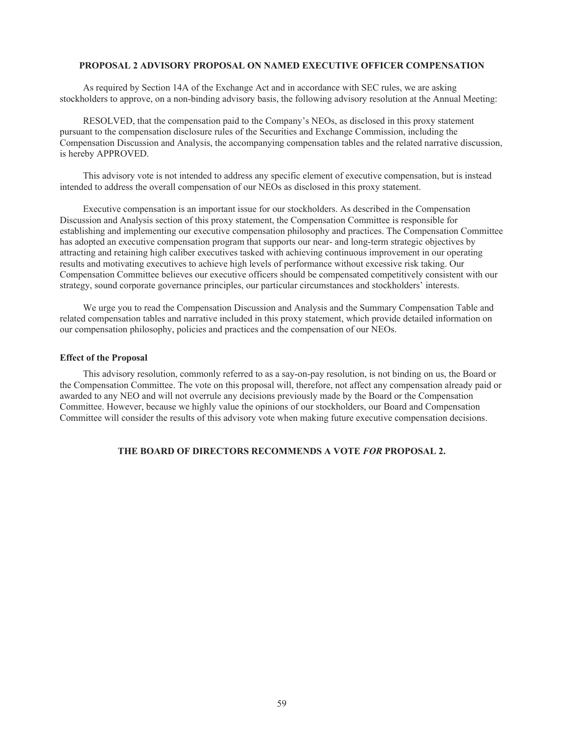### **PROPOSAL 2 ADVISORY PROPOSAL ON NAMED EXECUTIVE OFFICER COMPENSATION**

As required by Section 14A of the Exchange Act and in accordance with SEC rules, we are asking stockholders to approve, on a non-binding advisory basis, the following advisory resolution at the Annual Meeting:

RESOLVED, that the compensation paid to the Company's NEOs, as disclosed in this proxy statement pursuant to the compensation disclosure rules of the Securities and Exchange Commission, including the Compensation Discussion and Analysis, the accompanying compensation tables and the related narrative discussion, is hereby APPROVED.

This advisory vote is not intended to address any specific element of executive compensation, but is instead intended to address the overall compensation of our NEOs as disclosed in this proxy statement.

Executive compensation is an important issue for our stockholders. As described in the Compensation Discussion and Analysis section of this proxy statement, the Compensation Committee is responsible for establishing and implementing our executive compensation philosophy and practices. The Compensation Committee has adopted an executive compensation program that supports our near- and long-term strategic objectives by attracting and retaining high caliber executives tasked with achieving continuous improvement in our operating results and motivating executives to achieve high levels of performance without excessive risk taking. Our Compensation Committee believes our executive officers should be compensated competitively consistent with our strategy, sound corporate governance principles, our particular circumstances and stockholders' interests.

We urge you to read the Compensation Discussion and Analysis and the Summary Compensation Table and related compensation tables and narrative included in this proxy statement, which provide detailed information on our compensation philosophy, policies and practices and the compensation of our NEOs.

#### **Effect of the Proposal**

This advisory resolution, commonly referred to as a say-on-pay resolution, is not binding on us, the Board or the Compensation Committee. The vote on this proposal will, therefore, not affect any compensation already paid or awarded to any NEO and will not overrule any decisions previously made by the Board or the Compensation Committee. However, because we highly value the opinions of our stockholders, our Board and Compensation Committee will consider the results of this advisory vote when making future executive compensation decisions.

# **THE BOARD OF DIRECTORS RECOMMENDS A VOTE** *FOR* **PROPOSAL 2.**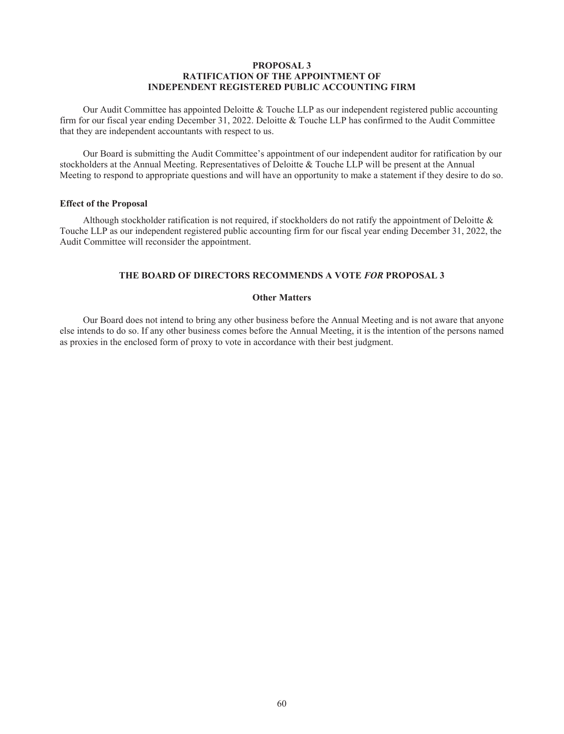## **PROPOSAL 3 RATIFICATION OF THE APPOINTMENT OF INDEPENDENT REGISTERED PUBLIC ACCOUNTING FIRM**

Our Audit Committee has appointed Deloitte & Touche LLP as our independent registered public accounting firm for our fiscal year ending December 31, 2022. Deloitte & Touche LLP has confirmed to the Audit Committee that they are independent accountants with respect to us.

Our Board is submitting the Audit Committee's appointment of our independent auditor for ratification by our stockholders at the Annual Meeting. Representatives of Deloitte & Touche LLP will be present at the Annual Meeting to respond to appropriate questions and will have an opportunity to make a statement if they desire to do so.

## **Effect of the Proposal**

Although stockholder ratification is not required, if stockholders do not ratify the appointment of Deloitte  $\&$ Touche LLP as our independent registered public accounting firm for our fiscal year ending December 31, 2022, the Audit Committee will reconsider the appointment.

# **THE BOARD OF DIRECTORS RECOMMENDS A VOTE** *FOR* **PROPOSAL 3**

# **Other Matters**

Our Board does not intend to bring any other business before the Annual Meeting and is not aware that anyone else intends to do so. If any other business comes before the Annual Meeting, it is the intention of the persons named as proxies in the enclosed form of proxy to vote in accordance with their best judgment.